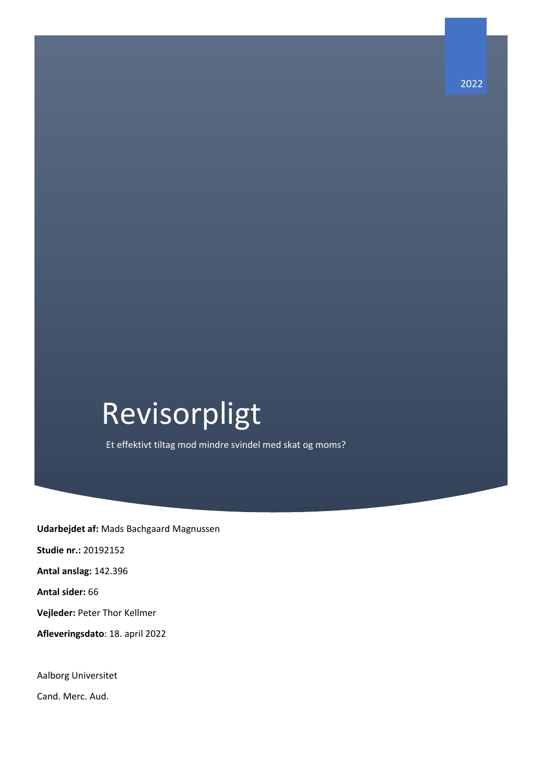# Revisorpligt

Et effektivt tiltag mod mindre svindel med skat og moms?

**Udarbejdet af:** Mads Bachgaard Magnussen **Studie nr.:** 20192152 **Antal anslag:** 142.396 **Antal sider:** 66 **Vejleder:** Peter Thor Kellmer **Afleveringsdato**: 18. april 2022

Aalborg Universitet

Cand. Merc. Aud.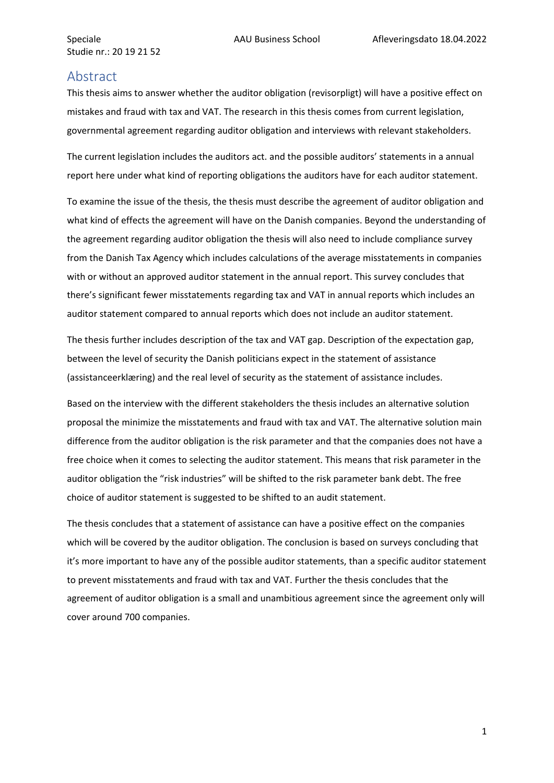## <span id="page-1-0"></span>**Abstract**

This thesis aims to answer whether the auditor obligation (revisorpligt) will have a positive effect on mistakes and fraud with tax and VAT. The research in this thesis comes from current legislation, governmental agreement regarding auditor obligation and interviews with relevant stakeholders.

The current legislation includes the auditors act. and the possible auditors' statements in a annual report here under what kind of reporting obligations the auditors have for each auditor statement.

To examine the issue of the thesis, the thesis must describe the agreement of auditor obligation and what kind of effects the agreement will have on the Danish companies. Beyond the understanding of the agreement regarding auditor obligation the thesis will also need to include compliance survey from the Danish Tax Agency which includes calculations of the average misstatements in companies with or without an approved auditor statement in the annual report. This survey concludes that there's significant fewer misstatements regarding tax and VAT in annual reports which includes an auditor statement compared to annual reports which does not include an auditor statement.

The thesis further includes description of the tax and VAT gap. Description of the expectation gap, between the level of security the Danish politicians expect in the statement of assistance (assistanceerklæring) and the real level of security as the statement of assistance includes.

Based on the interview with the different stakeholders the thesis includes an alternative solution proposal the minimize the misstatements and fraud with tax and VAT. The alternative solution main difference from the auditor obligation is the risk parameter and that the companies does not have a free choice when it comes to selecting the auditor statement. This means that risk parameter in the auditor obligation the "risk industries" will be shifted to the risk parameter bank debt. The free choice of auditor statement is suggested to be shifted to an audit statement.

The thesis concludes that a statement of assistance can have a positive effect on the companies which will be covered by the auditor obligation. The conclusion is based on surveys concluding that it's more important to have any of the possible auditor statements, than a specific auditor statement to prevent misstatements and fraud with tax and VAT. Further the thesis concludes that the agreement of auditor obligation is a small and unambitious agreement since the agreement only will cover around 700 companies.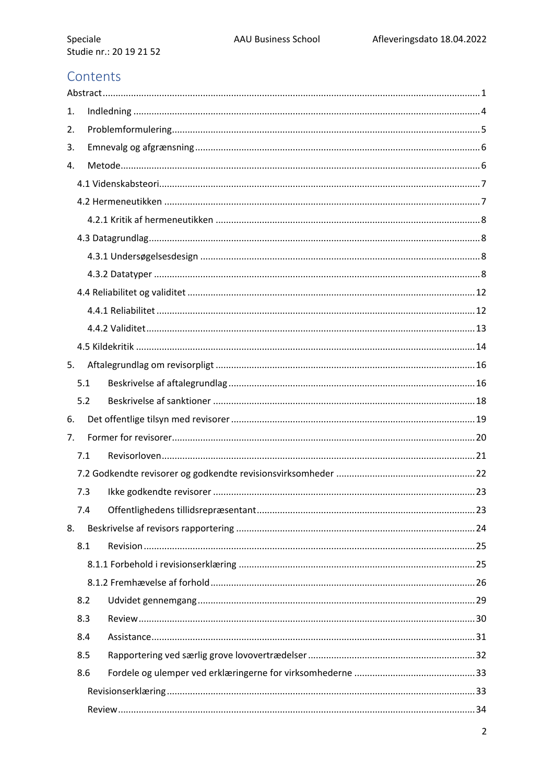# Contents

| 1. |     |  |  |  |  |  |
|----|-----|--|--|--|--|--|
| 2. |     |  |  |  |  |  |
| 3. |     |  |  |  |  |  |
| 4. |     |  |  |  |  |  |
|    |     |  |  |  |  |  |
|    |     |  |  |  |  |  |
|    |     |  |  |  |  |  |
|    |     |  |  |  |  |  |
|    |     |  |  |  |  |  |
|    |     |  |  |  |  |  |
|    |     |  |  |  |  |  |
|    |     |  |  |  |  |  |
|    |     |  |  |  |  |  |
|    |     |  |  |  |  |  |
| 5. |     |  |  |  |  |  |
|    | 5.1 |  |  |  |  |  |
|    | 5.2 |  |  |  |  |  |
| 6. |     |  |  |  |  |  |
| 7. |     |  |  |  |  |  |
|    | 7.1 |  |  |  |  |  |
|    |     |  |  |  |  |  |
|    | 7.3 |  |  |  |  |  |
|    | 7.4 |  |  |  |  |  |
| 8. |     |  |  |  |  |  |
|    | 8.1 |  |  |  |  |  |
|    |     |  |  |  |  |  |
|    |     |  |  |  |  |  |
|    | 8.2 |  |  |  |  |  |
|    | 8.3 |  |  |  |  |  |
|    | 8.4 |  |  |  |  |  |
|    | 8.5 |  |  |  |  |  |
|    | 8.6 |  |  |  |  |  |
|    |     |  |  |  |  |  |
|    |     |  |  |  |  |  |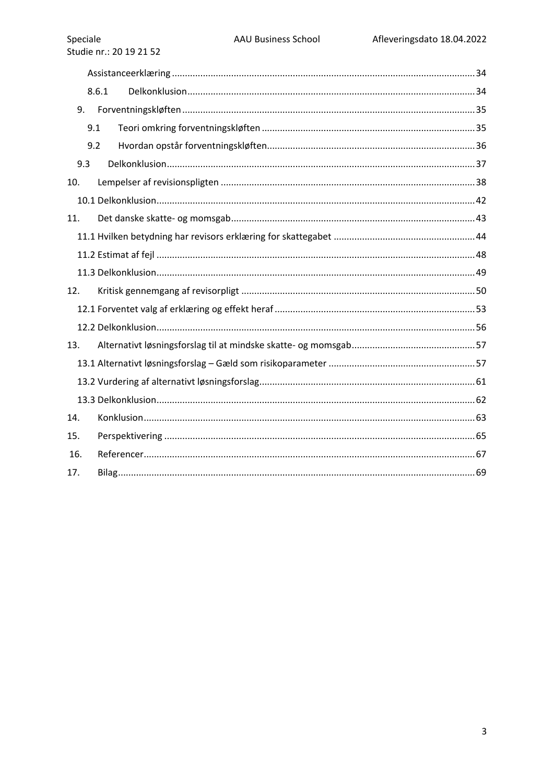|     | 8.6.1 |  |  |  |  |
|-----|-------|--|--|--|--|
| 9.  |       |  |  |  |  |
|     | 9.1   |  |  |  |  |
|     | 9.2   |  |  |  |  |
| 9.3 |       |  |  |  |  |
| 10. |       |  |  |  |  |
|     |       |  |  |  |  |
| 11. |       |  |  |  |  |
|     |       |  |  |  |  |
|     |       |  |  |  |  |
|     |       |  |  |  |  |
| 12. |       |  |  |  |  |
|     |       |  |  |  |  |
|     |       |  |  |  |  |
| 13. |       |  |  |  |  |
|     |       |  |  |  |  |
|     |       |  |  |  |  |
|     |       |  |  |  |  |
| 14. |       |  |  |  |  |
| 15. |       |  |  |  |  |
| 16. |       |  |  |  |  |
| 17. |       |  |  |  |  |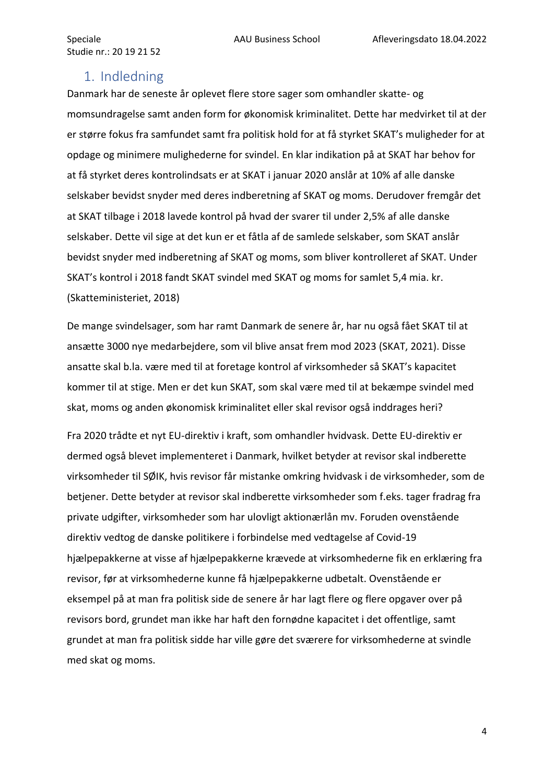## <span id="page-4-0"></span>1. Indledning

Danmark har de seneste år oplevet flere store sager som omhandler skatte- og momsundragelse samt anden form for økonomisk kriminalitet. Dette har medvirket til at der er større fokus fra samfundet samt fra politisk hold for at få styrket SKAT's muligheder for at opdage og minimere mulighederne for svindel. En klar indikation på at SKAT har behov for at få styrket deres kontrolindsats er at SKAT i januar 2020 anslår at 10% af alle danske selskaber bevidst snyder med deres indberetning af SKAT og moms. Derudover fremgår det at SKAT tilbage i 2018 lavede kontrol på hvad der svarer til under 2,5% af alle danske selskaber. Dette vil sige at det kun er et fåtla af de samlede selskaber, som SKAT anslår bevidst snyder med indberetning af SKAT og moms, som bliver kontrolleret af SKAT. Under SKAT's kontrol i 2018 fandt SKAT svindel med SKAT og moms for samlet 5,4 mia. kr. (Skatteministeriet, 2018)

De mange svindelsager, som har ramt Danmark de senere år, har nu også fået SKAT til at ansætte 3000 nye medarbejdere, som vil blive ansat frem mod 2023 (SKAT, 2021). Disse ansatte skal b.la. være med til at foretage kontrol af virksomheder så SKAT's kapacitet kommer til at stige. Men er det kun SKAT, som skal være med til at bekæmpe svindel med skat, moms og anden økonomisk kriminalitet eller skal revisor også inddrages heri?

Fra 2020 trådte et nyt EU-direktiv i kraft, som omhandler hvidvask. Dette EU-direktiv er dermed også blevet implementeret i Danmark, hvilket betyder at revisor skal indberette virksomheder til SØIK, hvis revisor får mistanke omkring hvidvask i de virksomheder, som de betjener. Dette betyder at revisor skal indberette virksomheder som f.eks. tager fradrag fra private udgifter, virksomheder som har ulovligt aktionærlån mv. Foruden ovenstående direktiv vedtog de danske politikere i forbindelse med vedtagelse af Covid-19 hjælpepakkerne at visse af hjælpepakkerne krævede at virksomhederne fik en erklæring fra revisor, før at virksomhederne kunne få hjælpepakkerne udbetalt. Ovenstående er eksempel på at man fra politisk side de senere år har lagt flere og flere opgaver over på revisors bord, grundet man ikke har haft den fornødne kapacitet i det offentlige, samt grundet at man fra politisk sidde har ville gøre det sværere for virksomhederne at svindle med skat og moms.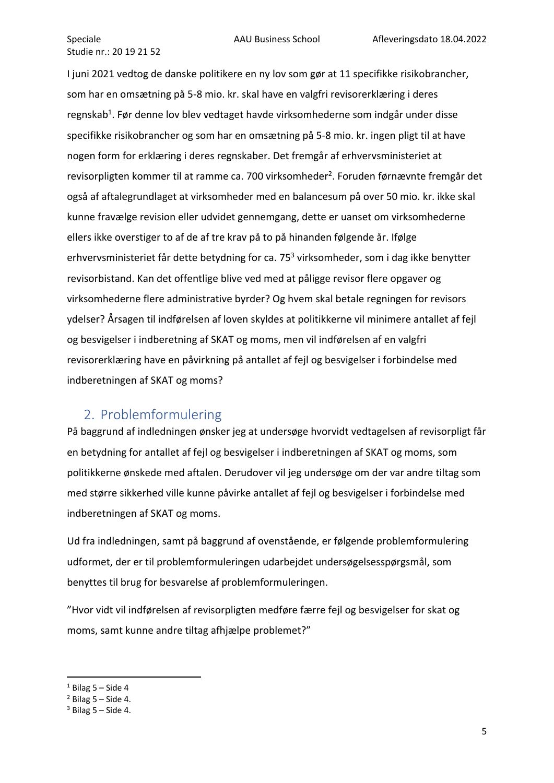I juni 2021 vedtog de danske politikere en ny lov som gør at 11 specifikke risikobrancher, som har en omsætning på 5-8 mio. kr. skal have en valgfri revisorerklæring i deres regnskab<sup>1</sup>. Før denne lov blev vedtaget havde virksomhederne som indgår under disse specifikke risikobrancher og som har en omsætning på 5-8 mio. kr. ingen pligt til at have nogen form for erklæring i deres regnskaber. Det fremgår af erhvervsministeriet at revisorpligten kommer til at ramme ca. 700 virksomheder<sup>2</sup>. Foruden førnævnte fremgår det også af aftalegrundlaget at virksomheder med en balancesum på over 50 mio. kr. ikke skal kunne fravælge revision eller udvidet gennemgang, dette er uanset om virksomhederne ellers ikke overstiger to af de af tre krav på to på hinanden følgende år. Ifølge erhvervsministeriet får dette betydning for ca. 75<sup>3</sup> virksomheder, som i dag ikke benytter revisorbistand. Kan det offentlige blive ved med at påligge revisor flere opgaver og virksomhederne flere administrative byrder? Og hvem skal betale regningen for revisors ydelser? Årsagen til indførelsen af loven skyldes at politikkerne vil minimere antallet af fejl og besvigelser i indberetning af SKAT og moms, men vil indførelsen af en valgfri revisorerklæring have en påvirkning på antallet af fejl og besvigelser i forbindelse med indberetningen af SKAT og moms?

# <span id="page-5-0"></span>2. Problemformulering

På baggrund af indledningen ønsker jeg at undersøge hvorvidt vedtagelsen af revisorpligt får en betydning for antallet af fejl og besvigelser i indberetningen af SKAT og moms, som politikkerne ønskede med aftalen. Derudover vil jeg undersøge om der var andre tiltag som med større sikkerhed ville kunne påvirke antallet af fejl og besvigelser i forbindelse med indberetningen af SKAT og moms.

Ud fra indledningen, samt på baggrund af ovenstående, er følgende problemformulering udformet, der er til problemformuleringen udarbejdet undersøgelsesspørgsmål, som benyttes til brug for besvarelse af problemformuleringen.

"Hvor vidt vil indførelsen af revisorpligten medføre færre fejl og besvigelser for skat og moms, samt kunne andre tiltag afhjælpe problemet?"

 $1$  Bilag 5 – Side 4

 $2$  Bilag 5 – Side 4.

 $3$  Bilag 5 – Side 4.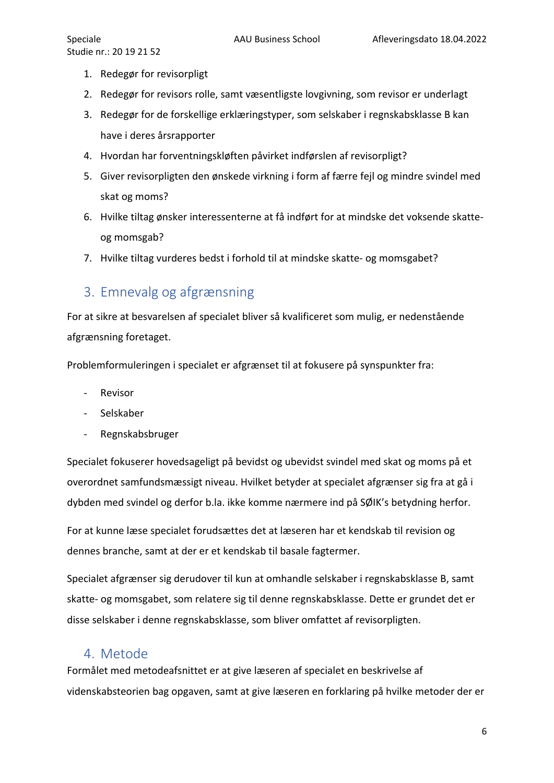- Studie nr.: 20 19 21 52
	- 1. Redegør for revisorpligt
	- 2. Redegør for revisors rolle, samt væsentligste lovgivning, som revisor er underlagt
	- 3. Redegør for de forskellige erklæringstyper, som selskaber i regnskabsklasse B kan have i deres årsrapporter
	- 4. Hvordan har forventningskløften påvirket indførslen af revisorpligt?
	- 5. Giver revisorpligten den ønskede virkning i form af færre fejl og mindre svindel med skat og moms?
	- 6. Hvilke tiltag ønsker interessenterne at få indført for at mindske det voksende skatteog momsgab?
	- 7. Hvilke tiltag vurderes bedst i forhold til at mindske skatte- og momsgabet?

# <span id="page-6-0"></span>3. Emnevalg og afgrænsning

For at sikre at besvarelsen af specialet bliver så kvalificeret som mulig, er nedenstående afgrænsning foretaget.

Problemformuleringen i specialet er afgrænset til at fokusere på synspunkter fra:

- Revisor
- Selskaber
- Regnskabsbruger

Specialet fokuserer hovedsageligt på bevidst og ubevidst svindel med skat og moms på et overordnet samfundsmæssigt niveau. Hvilket betyder at specialet afgrænser sig fra at gå i dybden med svindel og derfor b.la. ikke komme nærmere ind på SØIK's betydning herfor.

For at kunne læse specialet forudsættes det at læseren har et kendskab til revision og dennes branche, samt at der er et kendskab til basale fagtermer.

Specialet afgrænser sig derudover til kun at omhandle selskaber i regnskabsklasse B, samt skatte- og momsgabet, som relatere sig til denne regnskabsklasse. Dette er grundet det er disse selskaber i denne regnskabsklasse, som bliver omfattet af revisorpligten.

# <span id="page-6-1"></span>4. Metode

Formålet med metodeafsnittet er at give læseren af specialet en beskrivelse af videnskabsteorien bag opgaven, samt at give læseren en forklaring på hvilke metoder der er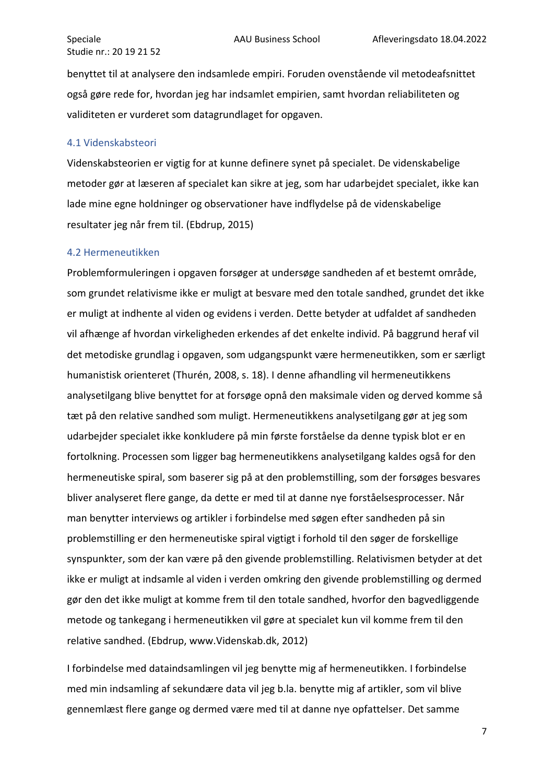benyttet til at analysere den indsamlede empiri. Foruden ovenstående vil metodeafsnittet også gøre rede for, hvordan jeg har indsamlet empirien, samt hvordan reliabiliteten og validiteten er vurderet som datagrundlaget for opgaven.

#### <span id="page-7-0"></span>4.1 Videnskabsteori

Videnskabsteorien er vigtig for at kunne definere synet på specialet. De videnskabelige metoder gør at læseren af specialet kan sikre at jeg, som har udarbejdet specialet, ikke kan lade mine egne holdninger og observationer have indflydelse på de videnskabelige resultater jeg når frem til. (Ebdrup, 2015)

#### <span id="page-7-1"></span>4.2 Hermeneutikken

Problemformuleringen i opgaven forsøger at undersøge sandheden af et bestemt område, som grundet relativisme ikke er muligt at besvare med den totale sandhed, grundet det ikke er muligt at indhente al viden og evidens i verden. Dette betyder at udfaldet af sandheden vil afhænge af hvordan virkeligheden erkendes af det enkelte individ. På baggrund heraf vil det metodiske grundlag i opgaven, som udgangspunkt være hermeneutikken, som er særligt humanistisk orienteret (Thurén, 2008, s. 18). I denne afhandling vil hermeneutikkens analysetilgang blive benyttet for at forsøge opnå den maksimale viden og derved komme så tæt på den relative sandhed som muligt. Hermeneutikkens analysetilgang gør at jeg som udarbejder specialet ikke konkludere på min første forståelse da denne typisk blot er en fortolkning. Processen som ligger bag hermeneutikkens analysetilgang kaldes også for den hermeneutiske spiral, som baserer sig på at den problemstilling, som der forsøges besvares bliver analyseret flere gange, da dette er med til at danne nye forståelsesprocesser. Når man benytter interviews og artikler i forbindelse med søgen efter sandheden på sin problemstilling er den hermeneutiske spiral vigtigt i forhold til den søger de forskellige synspunkter, som der kan være på den givende problemstilling. Relativismen betyder at det ikke er muligt at indsamle al viden i verden omkring den givende problemstilling og dermed gør den det ikke muligt at komme frem til den totale sandhed, hvorfor den bagvedliggende metode og tankegang i hermeneutikken vil gøre at specialet kun vil komme frem til den relative sandhed. (Ebdrup, www.Videnskab.dk, 2012)

I forbindelse med dataindsamlingen vil jeg benytte mig af hermeneutikken. I forbindelse med min indsamling af sekundære data vil jeg b.la. benytte mig af artikler, som vil blive gennemlæst flere gange og dermed være med til at danne nye opfattelser. Det samme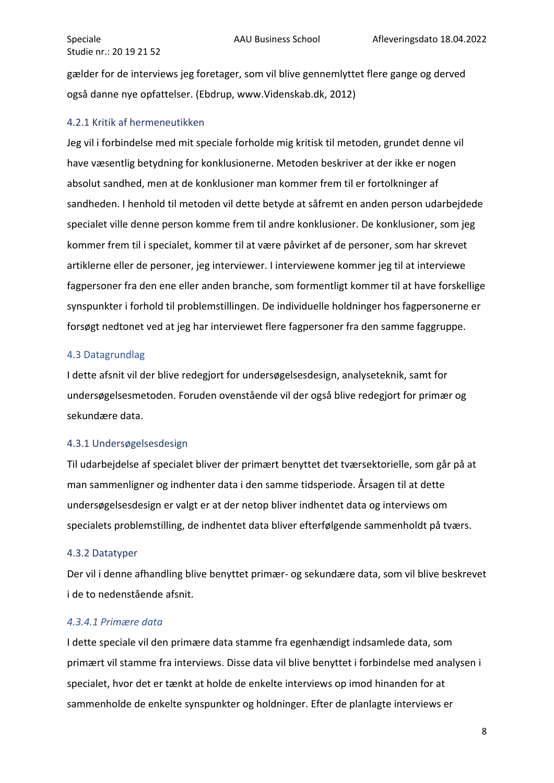gælder for de interviews jeg foretager, som vil blive gennemlyttet flere gange og derved også danne nye opfattelser. (Ebdrup, www.Videnskab.dk, 2012)

#### <span id="page-8-0"></span>4.2.1 Kritik af hermeneutikken

Jeg vil i forbindelse med mit speciale forholde mig kritisk til metoden, grundet denne vil have væsentlig betydning for konklusionerne. Metoden beskriver at der ikke er nogen absolut sandhed, men at de konklusioner man kommer frem til er fortolkninger af sandheden. I henhold til metoden vil dette betyde at såfremt en anden person udarbejdede specialet ville denne person komme frem til andre konklusioner. De konklusioner, som jeg kommer frem til i specialet, kommer til at være påvirket af de personer, som har skrevet artiklerne eller de personer, jeg interviewer. I interviewene kommer jeg til at interviewe fagpersoner fra den ene eller anden branche, som formentligt kommer til at have forskellige synspunkter i forhold til problemstillingen. De individuelle holdninger hos fagpersonerne er forsøgt nedtonet ved at jeg har interviewet flere fagpersoner fra den samme faggruppe.

#### <span id="page-8-1"></span>4.3 Datagrundlag

I dette afsnit vil der blive redegjort for undersøgelsesdesign, analyseteknik, samt for undersøgelsesmetoden. Foruden ovenstående vil der også blive redegjort for primær og sekundære data.

#### <span id="page-8-2"></span>4.3.1 Undersøgelsesdesign

Til udarbejdelse af specialet bliver der primært benyttet det tværsektorielle, som går på at man sammenligner og indhenter data i den samme tidsperiode. Årsagen til at dette undersøgelsesdesign er valgt er at der netop bliver indhentet data og interviews om specialets problemstilling, de indhentet data bliver efterfølgende sammenholdt på tværs.

#### <span id="page-8-3"></span>4.3.2 Datatyper

Der vil i denne afhandling blive benyttet primær- og sekundære data, som vil blive beskrevet i de to nedenstående afsnit.

#### *4.3.4.1 Primære data*

I dette speciale vil den primære data stamme fra egenhændigt indsamlede data, som primært vil stamme fra interviews. Disse data vil blive benyttet i forbindelse med analysen i specialet, hvor det er tænkt at holde de enkelte interviews op imod hinanden for at sammenholde de enkelte synspunkter og holdninger. Efter de planlagte interviews er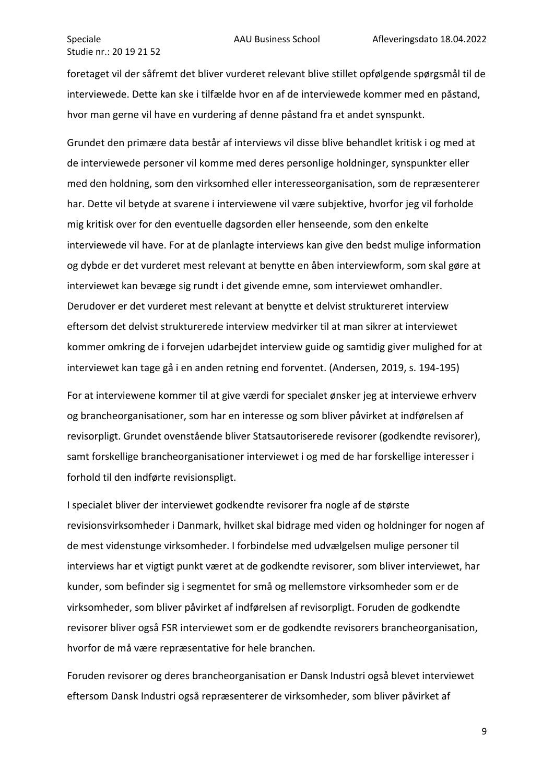foretaget vil der såfremt det bliver vurderet relevant blive stillet opfølgende spørgsmål til de interviewede. Dette kan ske i tilfælde hvor en af de interviewede kommer med en påstand, hvor man gerne vil have en vurdering af denne påstand fra et andet synspunkt.

Grundet den primære data består af interviews vil disse blive behandlet kritisk i og med at de interviewede personer vil komme med deres personlige holdninger, synspunkter eller med den holdning, som den virksomhed eller interesseorganisation, som de repræsenterer har. Dette vil betyde at svarene i interviewene vil være subjektive, hvorfor jeg vil forholde mig kritisk over for den eventuelle dagsorden eller henseende, som den enkelte interviewede vil have. For at de planlagte interviews kan give den bedst mulige information og dybde er det vurderet mest relevant at benytte en åben interviewform, som skal gøre at interviewet kan bevæge sig rundt i det givende emne, som interviewet omhandler. Derudover er det vurderet mest relevant at benytte et delvist struktureret interview eftersom det delvist strukturerede interview medvirker til at man sikrer at interviewet kommer omkring de i forvejen udarbejdet interview guide og samtidig giver mulighed for at interviewet kan tage gå i en anden retning end forventet. (Andersen, 2019, s. 194-195)

For at interviewene kommer til at give værdi for specialet ønsker jeg at interviewe erhverv og brancheorganisationer, som har en interesse og som bliver påvirket at indførelsen af revisorpligt. Grundet ovenstående bliver Statsautoriserede revisorer (godkendte revisorer), samt forskellige brancheorganisationer interviewet i og med de har forskellige interesser i forhold til den indførte revisionspligt.

I specialet bliver der interviewet godkendte revisorer fra nogle af de største revisionsvirksomheder i Danmark, hvilket skal bidrage med viden og holdninger for nogen af de mest videnstunge virksomheder. I forbindelse med udvælgelsen mulige personer til interviews har et vigtigt punkt været at de godkendte revisorer, som bliver interviewet, har kunder, som befinder sig i segmentet for små og mellemstore virksomheder som er de virksomheder, som bliver påvirket af indførelsen af revisorpligt. Foruden de godkendte revisorer bliver også FSR interviewet som er de godkendte revisorers brancheorganisation, hvorfor de må være repræsentative for hele branchen.

Foruden revisorer og deres brancheorganisation er Dansk Industri også blevet interviewet eftersom Dansk Industri også repræsenterer de virksomheder, som bliver påvirket af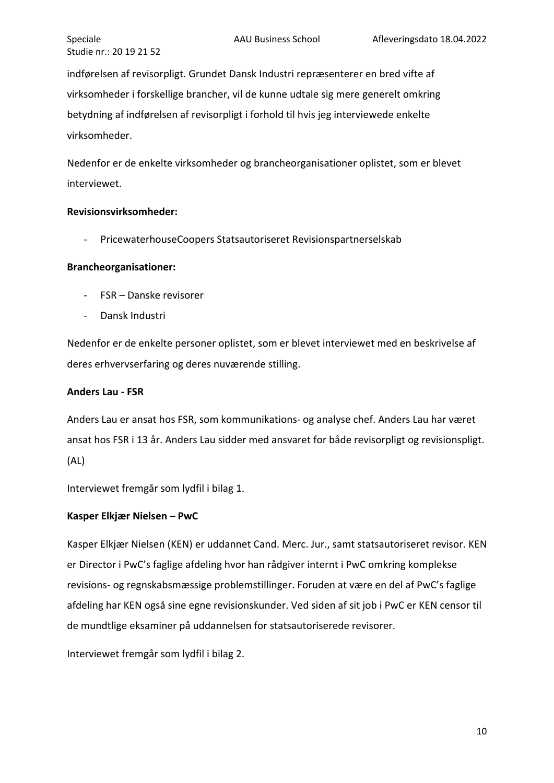indførelsen af revisorpligt. Grundet Dansk Industri repræsenterer en bred vifte af virksomheder i forskellige brancher, vil de kunne udtale sig mere generelt omkring betydning af indførelsen af revisorpligt i forhold til hvis jeg interviewede enkelte virksomheder.

Nedenfor er de enkelte virksomheder og brancheorganisationer oplistet, som er blevet interviewet.

#### **Revisionsvirksomheder:**

- PricewaterhouseCoopers Statsautoriseret Revisionspartnerselskab

#### **Brancheorganisationer:**

- FSR Danske revisorer
- Dansk Industri

Nedenfor er de enkelte personer oplistet, som er blevet interviewet med en beskrivelse af deres erhvervserfaring og deres nuværende stilling.

#### **Anders Lau - FSR**

Anders Lau er ansat hos FSR, som kommunikations- og analyse chef. Anders Lau har været ansat hos FSR i 13 år. Anders Lau sidder med ansvaret for både revisorpligt og revisionspligt. (AL)

Interviewet fremgår som lydfil i bilag 1.

#### **Kasper Elkjær Nielsen – PwC**

Kasper Elkjær Nielsen (KEN) er uddannet Cand. Merc. Jur., samt statsautoriseret revisor. KEN er Director i PwC's faglige afdeling hvor han rådgiver internt i PwC omkring komplekse revisions- og regnskabsmæssige problemstillinger. Foruden at være en del af PwC's faglige afdeling har KEN også sine egne revisionskunder. Ved siden af sit job i PwC er KEN censor til de mundtlige eksaminer på uddannelsen for statsautoriserede revisorer.

Interviewet fremgår som lydfil i bilag 2.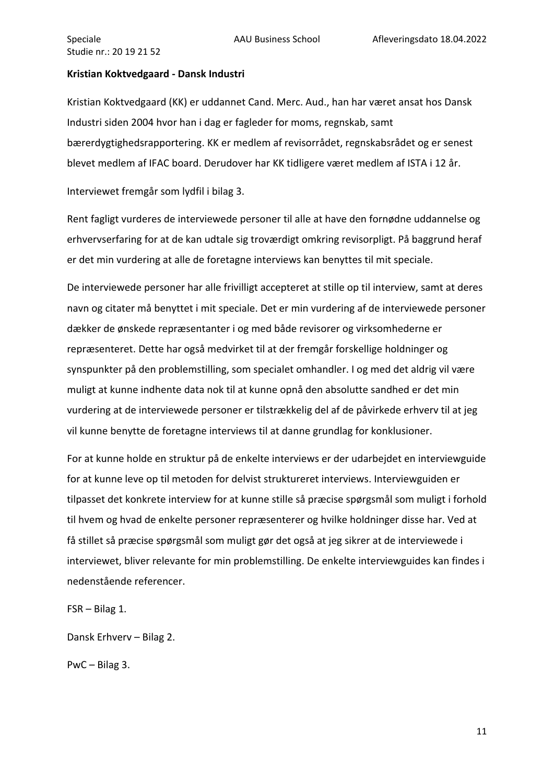#### **Kristian Koktvedgaard - Dansk Industri**

Kristian Koktvedgaard (KK) er uddannet Cand. Merc. Aud., han har været ansat hos Dansk Industri siden 2004 hvor han i dag er fagleder for moms, regnskab, samt bærerdygtighedsrapportering. KK er medlem af revisorrådet, regnskabsrådet og er senest blevet medlem af IFAC board. Derudover har KK tidligere været medlem af ISTA i 12 år.

Interviewet fremgår som lydfil i bilag 3.

Rent fagligt vurderes de interviewede personer til alle at have den fornødne uddannelse og erhvervserfaring for at de kan udtale sig troværdigt omkring revisorpligt. På baggrund heraf er det min vurdering at alle de foretagne interviews kan benyttes til mit speciale.

De interviewede personer har alle frivilligt accepteret at stille op til interview, samt at deres navn og citater må benyttet i mit speciale. Det er min vurdering af de interviewede personer dækker de ønskede repræsentanter i og med både revisorer og virksomhederne er repræsenteret. Dette har også medvirket til at der fremgår forskellige holdninger og synspunkter på den problemstilling, som specialet omhandler. I og med det aldrig vil være muligt at kunne indhente data nok til at kunne opnå den absolutte sandhed er det min vurdering at de interviewede personer er tilstrækkelig del af de påvirkede erhverv til at jeg vil kunne benytte de foretagne interviews til at danne grundlag for konklusioner.

For at kunne holde en struktur på de enkelte interviews er der udarbejdet en interviewguide for at kunne leve op til metoden for delvist struktureret interviews. Interviewguiden er tilpasset det konkrete interview for at kunne stille så præcise spørgsmål som muligt i forhold til hvem og hvad de enkelte personer repræsenterer og hvilke holdninger disse har. Ved at få stillet så præcise spørgsmål som muligt gør det også at jeg sikrer at de interviewede i interviewet, bliver relevante for min problemstilling. De enkelte interviewguides kan findes i nedenstående referencer.

FSR – Bilag 1.

Dansk Erhverv – Bilag 2.

PwC – Bilag 3.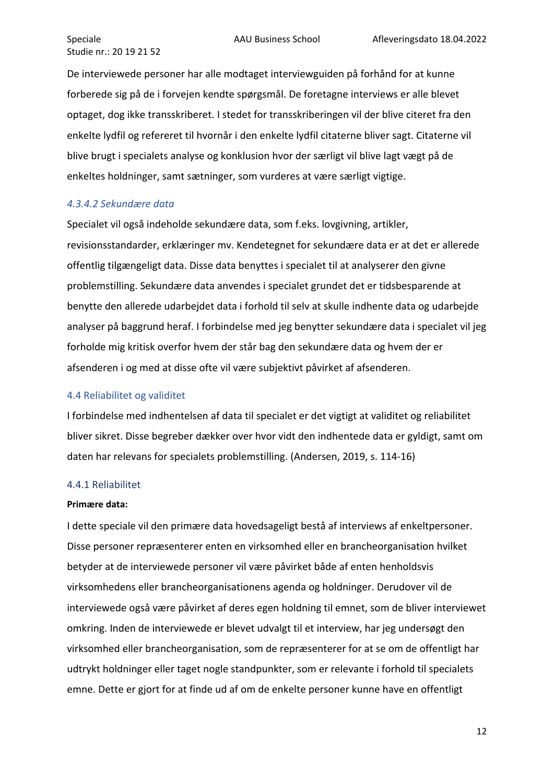De interviewede personer har alle modtaget interviewguiden på forhånd for at kunne forberede sig på de i forvejen kendte spørgsmål. De foretagne interviews er alle blevet optaget, dog ikke transskriberet. I stedet for transskriberingen vil der blive citeret fra den enkelte lydfil og refereret til hvornår i den enkelte lydfil citaterne bliver sagt. Citaterne vil blive brugt i specialets analyse og konklusion hvor der særligt vil blive lagt vægt på de enkeltes holdninger, samt sætninger, som vurderes at være særligt vigtige.

#### *4.3.4.2 Sekundære data*

Specialet vil også indeholde sekundære data, som f.eks. lovgivning, artikler, revisionsstandarder, erklæringer mv. Kendetegnet for sekundære data er at det er allerede offentlig tilgængeligt data. Disse data benyttes i specialet til at analyserer den givne problemstilling. Sekundære data anvendes i specialet grundet det er tidsbesparende at benytte den allerede udarbejdet data i forhold til selv at skulle indhente data og udarbejde analyser på baggrund heraf. I forbindelse med jeg benytter sekundære data i specialet vil jeg forholde mig kritisk overfor hvem der står bag den sekundære data og hvem der er afsenderen i og med at disse ofte vil være subjektivt påvirket af afsenderen.

#### <span id="page-12-0"></span>4.4 Reliabilitet og validitet

I forbindelse med indhentelsen af data til specialet er det vigtigt at validitet og reliabilitet bliver sikret. Disse begreber dækker over hvor vidt den indhentede data er gyldigt, samt om daten har relevans for specialets problemstilling. (Andersen, 2019, s. 114-16)

#### <span id="page-12-1"></span>4.4.1 Reliabilitet

#### **Primære data:**

I dette speciale vil den primære data hovedsageligt bestå af interviews af enkeltpersoner. Disse personer repræsenterer enten en virksomhed eller en brancheorganisation hvilket betyder at de interviewede personer vil være påvirket både af enten henholdsvis virksomhedens eller brancheorganisationens agenda og holdninger. Derudover vil de interviewede også være påvirket af deres egen holdning til emnet, som de bliver interviewet omkring. Inden de interviewede er blevet udvalgt til et interview, har jeg undersøgt den virksomhed eller brancheorganisation, som de repræsenterer for at se om de offentligt har udtrykt holdninger eller taget nogle standpunkter, som er relevante i forhold til specialets emne. Dette er gjort for at finde ud af om de enkelte personer kunne have en offentligt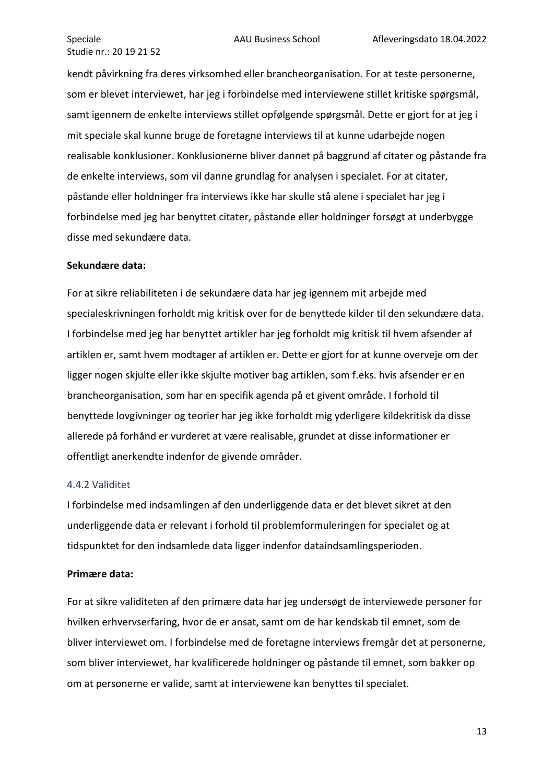kendt påvirkning fra deres virksomhed eller brancheorganisation. For at teste personerne, som er blevet interviewet, har jeg i forbindelse med interviewene stillet kritiske spørgsmål, samt igennem de enkelte interviews stillet opfølgende spørgsmål. Dette er gjort for at jeg i mit speciale skal kunne bruge de foretagne interviews til at kunne udarbejde nogen realisable konklusioner. Konklusionerne bliver dannet på baggrund af citater og påstande fra de enkelte interviews, som vil danne grundlag for analysen i specialet. For at citater, påstande eller holdninger fra interviews ikke har skulle stå alene i specialet har jeg i forbindelse med jeg har benyttet citater, påstande eller holdninger forsøgt at underbygge disse med sekundære data.

#### **Sekundære data:**

For at sikre reliabiliteten i de sekundære data har jeg igennem mit arbejde med specialeskrivningen forholdt mig kritisk over for de benyttede kilder til den sekundære data. I forbindelse med jeg har benyttet artikler har jeg forholdt mig kritisk til hvem afsender af artiklen er, samt hvem modtager af artiklen er. Dette er gjort for at kunne overveje om der ligger nogen skjulte eller ikke skjulte motiver bag artiklen, som f.eks. hvis afsender er en brancheorganisation, som har en specifik agenda på et givent område. I forhold til benyttede lovgivninger og teorier har jeg ikke forholdt mig yderligere kildekritisk da disse allerede på forhånd er vurderet at være realisable, grundet at disse informationer er offentligt anerkendte indenfor de givende områder.

#### <span id="page-13-0"></span>4.4.2 Validitet

I forbindelse med indsamlingen af den underliggende data er det blevet sikret at den underliggende data er relevant i forhold til problemformuleringen for specialet og at tidspunktet for den indsamlede data ligger indenfor dataindsamlingsperioden.

#### **Primære data:**

For at sikre validiteten af den primære data har jeg undersøgt de interviewede personer for hvilken erhvervserfaring, hvor de er ansat, samt om de har kendskab til emnet, som de bliver interviewet om. I forbindelse med de foretagne interviews fremgår det at personerne, som bliver interviewet, har kvalificerede holdninger og påstande til emnet, som bakker op om at personerne er valide, samt at interviewene kan benyttes til specialet.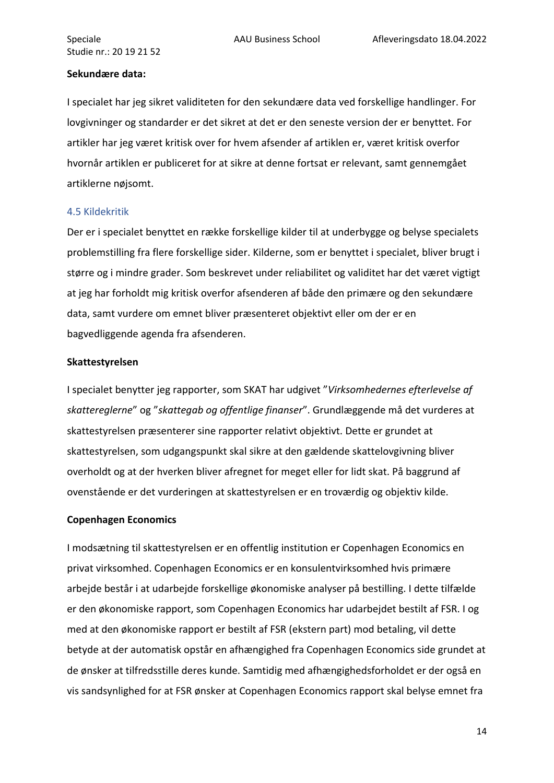#### **Sekundære data:**

I specialet har jeg sikret validiteten for den sekundære data ved forskellige handlinger. For lovgivninger og standarder er det sikret at det er den seneste version der er benyttet. For artikler har jeg været kritisk over for hvem afsender af artiklen er, været kritisk overfor hvornår artiklen er publiceret for at sikre at denne fortsat er relevant, samt gennemgået artiklerne nøjsomt.

#### <span id="page-14-0"></span>4.5 Kildekritik

Der er i specialet benyttet en række forskellige kilder til at underbygge og belyse specialets problemstilling fra flere forskellige sider. Kilderne, som er benyttet i specialet, bliver brugt i større og i mindre grader. Som beskrevet under reliabilitet og validitet har det været vigtigt at jeg har forholdt mig kritisk overfor afsenderen af både den primære og den sekundære data, samt vurdere om emnet bliver præsenteret objektivt eller om der er en bagvedliggende agenda fra afsenderen.

#### **Skattestyrelsen**

I specialet benytter jeg rapporter, som SKAT har udgivet "*Virksomhedernes efterlevelse af skattereglerne*" og "*skattegab og offentlige finanser*". Grundlæggende må det vurderes at skattestyrelsen præsenterer sine rapporter relativt objektivt. Dette er grundet at skattestyrelsen, som udgangspunkt skal sikre at den gældende skattelovgivning bliver overholdt og at der hverken bliver afregnet for meget eller for lidt skat. På baggrund af ovenstående er det vurderingen at skattestyrelsen er en troværdig og objektiv kilde.

#### **Copenhagen Economics**

I modsætning til skattestyrelsen er en offentlig institution er Copenhagen Economics en privat virksomhed. Copenhagen Economics er en konsulentvirksomhed hvis primære arbejde består i at udarbejde forskellige økonomiske analyser på bestilling. I dette tilfælde er den økonomiske rapport, som Copenhagen Economics har udarbejdet bestilt af FSR. I og med at den økonomiske rapport er bestilt af FSR (ekstern part) mod betaling, vil dette betyde at der automatisk opstår en afhængighed fra Copenhagen Economics side grundet at de ønsker at tilfredsstille deres kunde. Samtidig med afhængighedsforholdet er der også en vis sandsynlighed for at FSR ønsker at Copenhagen Economics rapport skal belyse emnet fra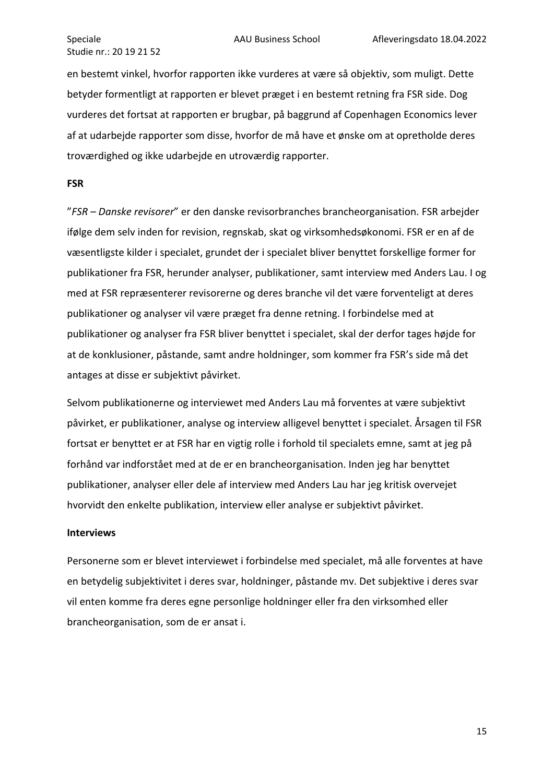en bestemt vinkel, hvorfor rapporten ikke vurderes at være så objektiv, som muligt. Dette betyder formentligt at rapporten er blevet præget i en bestemt retning fra FSR side. Dog vurderes det fortsat at rapporten er brugbar, på baggrund af Copenhagen Economics lever af at udarbejde rapporter som disse, hvorfor de må have et ønske om at opretholde deres troværdighed og ikke udarbejde en utroværdig rapporter.

#### **FSR**

"*FSR – Danske revisorer*" er den danske revisorbranches brancheorganisation. FSR arbejder ifølge dem selv inden for revision, regnskab, skat og virksomhedsøkonomi. FSR er en af de væsentligste kilder i specialet, grundet der i specialet bliver benyttet forskellige former for publikationer fra FSR, herunder analyser, publikationer, samt interview med Anders Lau. I og med at FSR repræsenterer revisorerne og deres branche vil det være forventeligt at deres publikationer og analyser vil være præget fra denne retning. I forbindelse med at publikationer og analyser fra FSR bliver benyttet i specialet, skal der derfor tages højde for at de konklusioner, påstande, samt andre holdninger, som kommer fra FSR's side må det antages at disse er subjektivt påvirket.

Selvom publikationerne og interviewet med Anders Lau må forventes at være subjektivt påvirket, er publikationer, analyse og interview alligevel benyttet i specialet. Årsagen til FSR fortsat er benyttet er at FSR har en vigtig rolle i forhold til specialets emne, samt at jeg på forhånd var indforstået med at de er en brancheorganisation. Inden jeg har benyttet publikationer, analyser eller dele af interview med Anders Lau har jeg kritisk overvejet hvorvidt den enkelte publikation, interview eller analyse er subjektivt påvirket.

#### **Interviews**

Personerne som er blevet interviewet i forbindelse med specialet, må alle forventes at have en betydelig subjektivitet i deres svar, holdninger, påstande mv. Det subjektive i deres svar vil enten komme fra deres egne personlige holdninger eller fra den virksomhed eller brancheorganisation, som de er ansat i.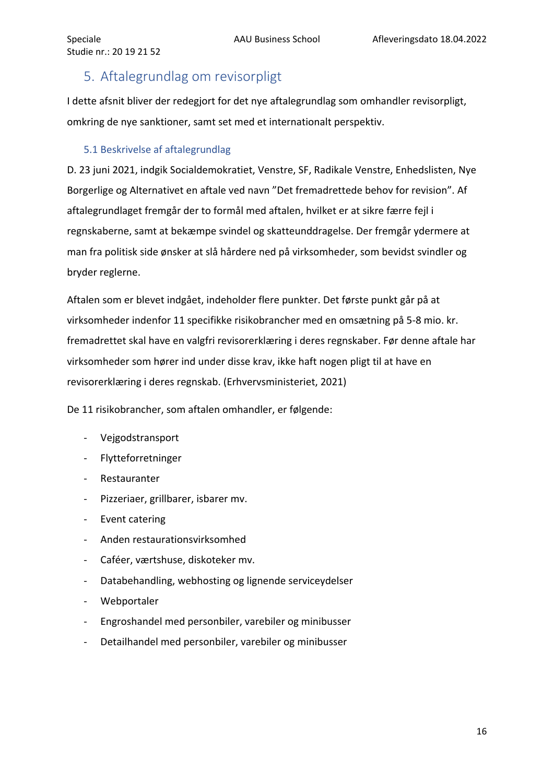# <span id="page-16-0"></span>5. Aftalegrundlag om revisorpligt

I dette afsnit bliver der redegjort for det nye aftalegrundlag som omhandler revisorpligt, omkring de nye sanktioner, samt set med et internationalt perspektiv.

## <span id="page-16-1"></span>5.1 Beskrivelse af aftalegrundlag

D. 23 juni 2021, indgik Socialdemokratiet, Venstre, SF, Radikale Venstre, Enhedslisten, Nye Borgerlige og Alternativet en aftale ved navn "Det fremadrettede behov for revision". Af aftalegrundlaget fremgår der to formål med aftalen, hvilket er at sikre færre fejl i regnskaberne, samt at bekæmpe svindel og skatteunddragelse. Der fremgår ydermere at man fra politisk side ønsker at slå hårdere ned på virksomheder, som bevidst svindler og bryder reglerne.

Aftalen som er blevet indgået, indeholder flere punkter. Det første punkt går på at virksomheder indenfor 11 specifikke risikobrancher med en omsætning på 5-8 mio. kr. fremadrettet skal have en valgfri revisorerklæring i deres regnskaber. Før denne aftale har virksomheder som hører ind under disse krav, ikke haft nogen pligt til at have en revisorerklæring i deres regnskab. (Erhvervsministeriet, 2021)

De 11 risikobrancher, som aftalen omhandler, er følgende:

- Vejgodstransport
- Flytteforretninger
- Restauranter
- Pizzeriaer, grillbarer, isbarer mv.
- Event catering
- Anden restaurationsvirksomhed
- Caféer, værtshuse, diskoteker mv.
- Databehandling, webhosting og lignende serviceydelser
- Webportaler
- Engroshandel med personbiler, varebiler og minibusser
- Detailhandel med personbiler, varebiler og minibusser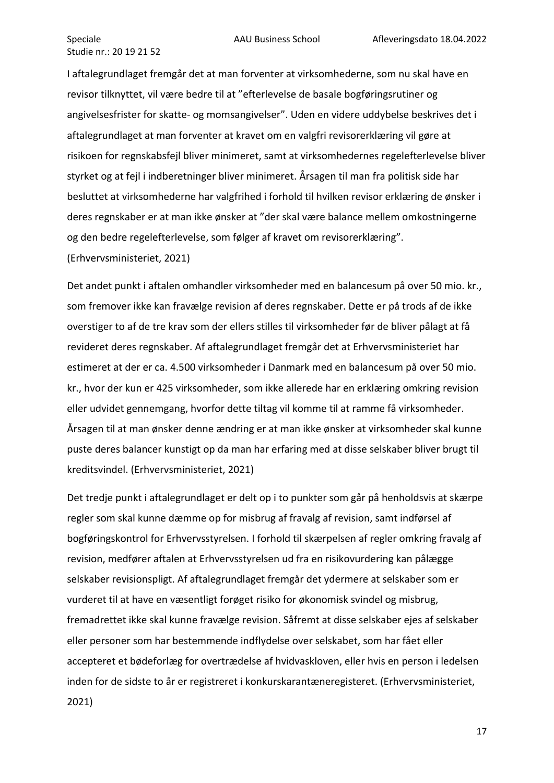I aftalegrundlaget fremgår det at man forventer at virksomhederne, som nu skal have en revisor tilknyttet, vil være bedre til at "efterlevelse de basale bogføringsrutiner og angivelsesfrister for skatte- og momsangivelser". Uden en videre uddybelse beskrives det i aftalegrundlaget at man forventer at kravet om en valgfri revisorerklæring vil gøre at risikoen for regnskabsfejl bliver minimeret, samt at virksomhedernes regelefterlevelse bliver styrket og at fejl i indberetninger bliver minimeret. Årsagen til man fra politisk side har besluttet at virksomhederne har valgfrihed i forhold til hvilken revisor erklæring de ønsker i deres regnskaber er at man ikke ønsker at "der skal være balance mellem omkostningerne og den bedre regelefterlevelse, som følger af kravet om revisorerklæring". (Erhvervsministeriet, 2021)

Det andet punkt i aftalen omhandler virksomheder med en balancesum på over 50 mio. kr., som fremover ikke kan fravælge revision af deres regnskaber. Dette er på trods af de ikke overstiger to af de tre krav som der ellers stilles til virksomheder før de bliver pålagt at få revideret deres regnskaber. Af aftalegrundlaget fremgår det at Erhvervsministeriet har estimeret at der er ca. 4.500 virksomheder i Danmark med en balancesum på over 50 mio. kr., hvor der kun er 425 virksomheder, som ikke allerede har en erklæring omkring revision eller udvidet gennemgang, hvorfor dette tiltag vil komme til at ramme få virksomheder. Årsagen til at man ønsker denne ændring er at man ikke ønsker at virksomheder skal kunne puste deres balancer kunstigt op da man har erfaring med at disse selskaber bliver brugt til kreditsvindel. (Erhvervsministeriet, 2021)

Det tredje punkt i aftalegrundlaget er delt op i to punkter som går på henholdsvis at skærpe regler som skal kunne dæmme op for misbrug af fravalg af revision, samt indførsel af bogføringskontrol for Erhvervsstyrelsen. I forhold til skærpelsen af regler omkring fravalg af revision, medfører aftalen at Erhvervsstyrelsen ud fra en risikovurdering kan pålægge selskaber revisionspligt. Af aftalegrundlaget fremgår det ydermere at selskaber som er vurderet til at have en væsentligt forøget risiko for økonomisk svindel og misbrug, fremadrettet ikke skal kunne fravælge revision. Såfremt at disse selskaber ejes af selskaber eller personer som har bestemmende indflydelse over selskabet, som har fået eller accepteret et bødeforlæg for overtrædelse af hvidvaskloven, eller hvis en person i ledelsen inden for de sidste to år er registreret i konkurskarantæneregisteret. (Erhvervsministeriet, 2021)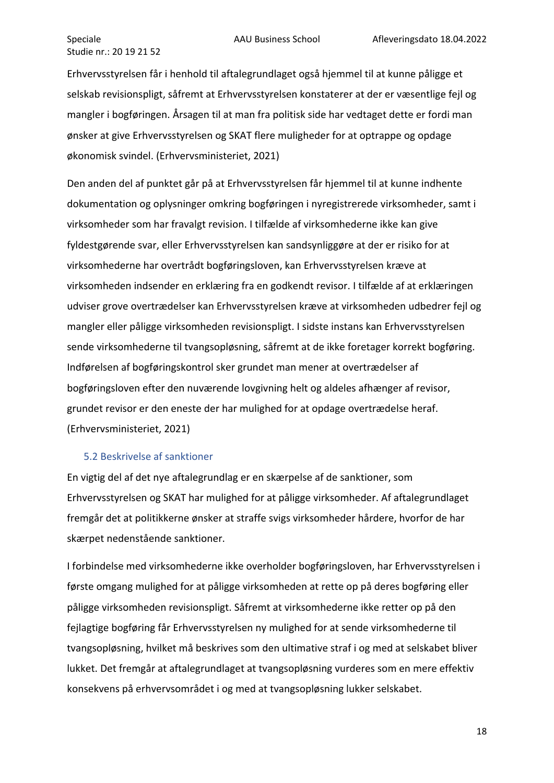Erhvervsstyrelsen får i henhold til aftalegrundlaget også hjemmel til at kunne påligge et selskab revisionspligt, såfremt at Erhvervsstyrelsen konstaterer at der er væsentlige fejl og mangler i bogføringen. Årsagen til at man fra politisk side har vedtaget dette er fordi man ønsker at give Erhvervsstyrelsen og SKAT flere muligheder for at optrappe og opdage økonomisk svindel. (Erhvervsministeriet, 2021)

Den anden del af punktet går på at Erhvervsstyrelsen får hjemmel til at kunne indhente dokumentation og oplysninger omkring bogføringen i nyregistrerede virksomheder, samt i virksomheder som har fravalgt revision. I tilfælde af virksomhederne ikke kan give fyldestgørende svar, eller Erhvervsstyrelsen kan sandsynliggøre at der er risiko for at virksomhederne har overtrådt bogføringsloven, kan Erhvervsstyrelsen kræve at virksomheden indsender en erklæring fra en godkendt revisor. I tilfælde af at erklæringen udviser grove overtrædelser kan Erhvervsstyrelsen kræve at virksomheden udbedrer fejl og mangler eller påligge virksomheden revisionspligt. I sidste instans kan Erhvervsstyrelsen sende virksomhederne til tvangsopløsning, såfremt at de ikke foretager korrekt bogføring. Indførelsen af bogføringskontrol sker grundet man mener at overtrædelser af bogføringsloven efter den nuværende lovgivning helt og aldeles afhænger af revisor, grundet revisor er den eneste der har mulighed for at opdage overtrædelse heraf. (Erhvervsministeriet, 2021)

#### <span id="page-18-0"></span>5.2 Beskrivelse af sanktioner

En vigtig del af det nye aftalegrundlag er en skærpelse af de sanktioner, som Erhvervsstyrelsen og SKAT har mulighed for at påligge virksomheder. Af aftalegrundlaget fremgår det at politikkerne ønsker at straffe svigs virksomheder hårdere, hvorfor de har skærpet nedenstående sanktioner.

I forbindelse med virksomhederne ikke overholder bogføringsloven, har Erhvervsstyrelsen i første omgang mulighed for at påligge virksomheden at rette op på deres bogføring eller påligge virksomheden revisionspligt. Såfremt at virksomhederne ikke retter op på den fejlagtige bogføring får Erhvervsstyrelsen ny mulighed for at sende virksomhederne til tvangsopløsning, hvilket må beskrives som den ultimative straf i og med at selskabet bliver lukket. Det fremgår at aftalegrundlaget at tvangsopløsning vurderes som en mere effektiv konsekvens på erhvervsområdet i og med at tvangsopløsning lukker selskabet.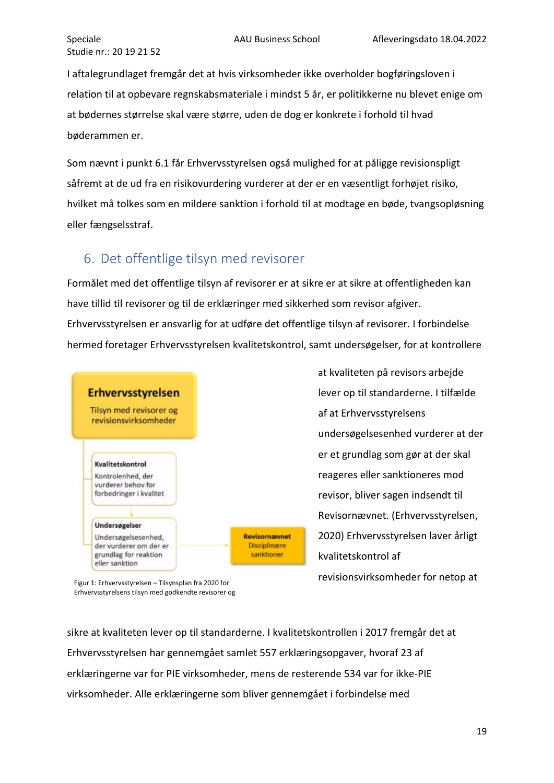I aftalegrundlaget fremgår det at hvis virksomheder ikke overholder bogføringsloven i relation til at opbevare regnskabsmateriale i mindst 5 år, er politikkerne nu blevet enige om at bødernes størrelse skal være større, uden de dog er konkrete i forhold til hvad bøderammen er.

Som nævnt i punkt 6.1 får Erhvervsstyrelsen også mulighed for at påligge revisionspligt såfremt at de ud fra en risikovurdering vurderer at der er en væsentligt forhøjet risiko, hvilket må tolkes som en mildere sanktion i forhold til at modtage en bøde, tvangsopløsning eller fængselsstraf.

# <span id="page-19-0"></span>6. Det offentlige tilsyn med revisorer

Formålet med det offentlige tilsyn af revisorer er at sikre er at sikre at offentligheden kan have tillid til revisorer og til de erklæringer med sikkerhed som revisor afgiver. Erhvervsstyrelsen er ansvarlig for at udføre det offentlige tilsyn af revisorer. I forbindelse hermed foretager Erhvervsstyrelsen kvalitetskontrol, samt undersøgelser, for at kontrollere



at kvaliteten på revisors arbejde lever op til standarderne. I tilfælde af at Erhvervsstyrelsens undersøgelsesenhed vurderer at der er et grundlag som gør at der skal reageres eller sanktioneres mod revisor, bliver sagen indsendt til Revisornævnet. (Erhvervsstyrelsen, 2020) Erhvervsstyrelsen laver årligt kvalitetskontrol af revisionsvirksomheder for netop at

Figur 1: Erhvervsstyrelsen – Tilsynsplan fra 2020 for Erhvervsstyrelsens tilsyn med godkendte revisorer og

sikre at kvaliteten lever op til standarderne. I kvalitetskontrollen i 2017 fremgår det at Erhvervsstyrelsen har gennemgået samlet 557 erklæringsopgaver, hvoraf 23 af erklæringerne var for PIE virksomheder, mens de resterende 534 var for ikke-PIE virksomheder. Alle erklæringerne som bliver gennemgået i forbindelse med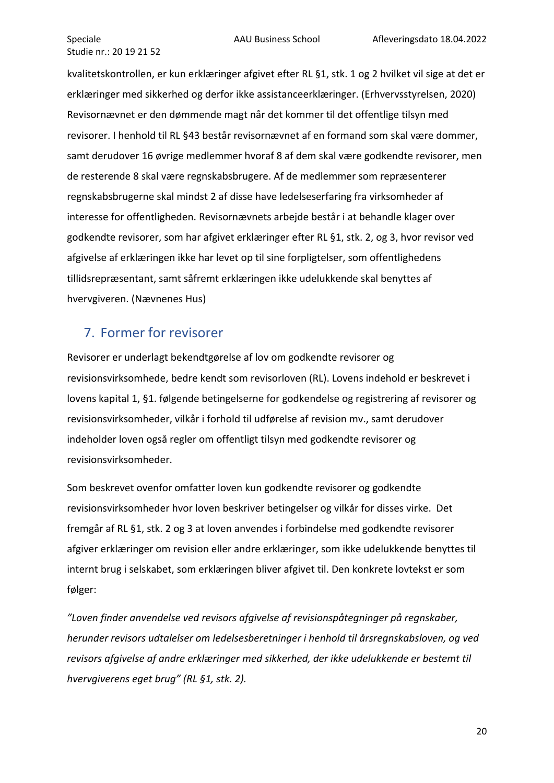kvalitetskontrollen, er kun erklæringer afgivet efter RL §1, stk. 1 og 2 hvilket vil sige at det er erklæringer med sikkerhed og derfor ikke assistanceerklæringer. (Erhvervsstyrelsen, 2020) Revisornævnet er den dømmende magt når det kommer til det offentlige tilsyn med revisorer. I henhold til RL §43 består revisornævnet af en formand som skal være dommer, samt derudover 16 øvrige medlemmer hvoraf 8 af dem skal være godkendte revisorer, men de resterende 8 skal være regnskabsbrugere. Af de medlemmer som repræsenterer regnskabsbrugerne skal mindst 2 af disse have ledelseserfaring fra virksomheder af interesse for offentligheden. Revisornævnets arbejde består i at behandle klager over godkendte revisorer, som har afgivet erklæringer efter RL §1, stk. 2, og 3, hvor revisor ved afgivelse af erklæringen ikke har levet op til sine forpligtelser, som offentlighedens tillidsrepræsentant, samt såfremt erklæringen ikke udelukkende skal benyttes af hvervgiveren. (Nævnenes Hus)

# <span id="page-20-0"></span>7. Former for revisorer

Revisorer er underlagt bekendtgørelse af lov om godkendte revisorer og revisionsvirksomhede, bedre kendt som revisorloven (RL). Lovens indehold er beskrevet i lovens kapital 1, §1. følgende betingelserne for godkendelse og registrering af revisorer og revisionsvirksomheder, vilkår i forhold til udførelse af revision mv., samt derudover indeholder loven også regler om offentligt tilsyn med godkendte revisorer og revisionsvirksomheder.

Som beskrevet ovenfor omfatter loven kun godkendte revisorer og godkendte revisionsvirksomheder hvor loven beskriver betingelser og vilkår for disses virke. Det fremgår af RL §1, stk. 2 og 3 at loven anvendes i forbindelse med godkendte revisorer afgiver erklæringer om revision eller andre erklæringer, som ikke udelukkende benyttes til internt brug i selskabet, som erklæringen bliver afgivet til. Den konkrete lovtekst er som følger:

*"Loven finder anvendelse ved revisors afgivelse af revisionspåtegninger på regnskaber, herunder revisors udtalelser om ledelsesberetninger i henhold til årsregnskabsloven, og ved revisors afgivelse af andre erklæringer med sikkerhed, der ikke udelukkende er bestemt til hvervgiverens eget brug" (RL §1, stk. 2).*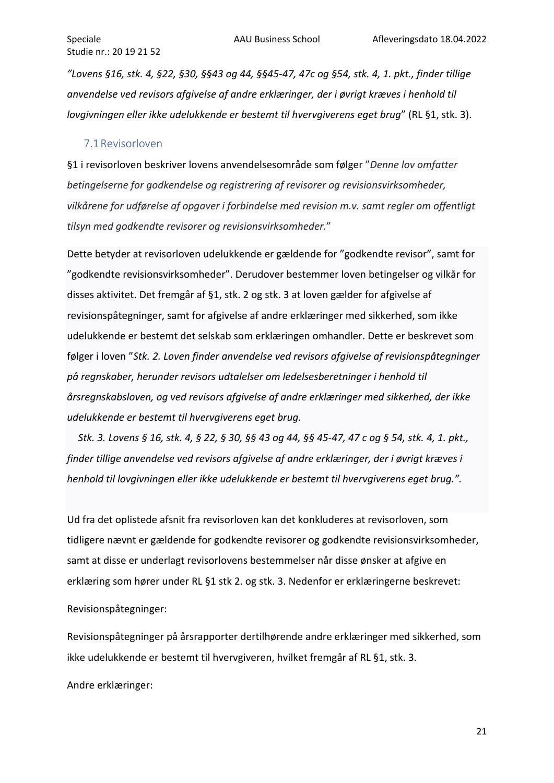*"Lovens §16, stk. 4, §22, §30, §§43 og 44, §§45-47, 47c og §54, stk. 4, 1. pkt., finder tillige anvendelse ved revisors afgivelse af andre erklæringer, der i øvrigt kræves i henhold til lovgivningen eller ikke udelukkende er bestemt til hvervgiverens eget brug*" (RL §1, stk. 3).

#### <span id="page-21-0"></span>7.1Revisorloven

§1 i revisorloven beskriver lovens anvendelsesområde som følger "*Denne lov omfatter betingelserne for godkendelse og registrering af revisorer og revisionsvirksomheder, vilkårene for udførelse af opgaver i forbindelse med revision m.v. samt regler om offentligt tilsyn med godkendte revisorer og revisionsvirksomheder.*"

Dette betyder at revisorloven udelukkende er gældende for "godkendte revisor", samt for "godkendte revisionsvirksomheder". Derudover bestemmer loven betingelser og vilkår for disses aktivitet. Det fremgår af §1, stk. 2 og stk. 3 at loven gælder for afgivelse af revisionspåtegninger, samt for afgivelse af andre erklæringer med sikkerhed, som ikke udelukkende er bestemt det selskab som erklæringen omhandler. Dette er beskrevet som følger i loven "*Stk. 2. Loven finder anvendelse ved revisors afgivelse af revisionspåtegninger på regnskaber, herunder revisors udtalelser om ledelsesberetninger i henhold til årsregnskabsloven, og ved revisors afgivelse af andre erklæringer med sikkerhed, der ikke udelukkende er bestemt til hvervgiverens eget brug.*

*Stk. 3. Lovens § 16, stk. 4, § 22, § 30, §§ 43 og 44, §§ 45-47, 47 c og § 54, stk. 4, 1. pkt., finder tillige anvendelse ved revisors afgivelse af andre erklæringer, der i øvrigt kræves i henhold til lovgivningen eller ikke udelukkende er bestemt til hvervgiverens eget brug.".*

Ud fra det oplistede afsnit fra revisorloven kan det konkluderes at revisorloven, som tidligere nævnt er gældende for godkendte revisorer og godkendte revisionsvirksomheder, samt at disse er underlagt revisorlovens bestemmelser når disse ønsker at afgive en erklæring som hører under RL §1 stk 2. og stk. 3. Nedenfor er erklæringerne beskrevet:

Revisionspåtegninger:

Revisionspåtegninger på årsrapporter dertilhørende andre erklæringer med sikkerhed, som ikke udelukkende er bestemt til hvervgiveren, hvilket fremgår af RL §1, stk. 3.

Andre erklæringer: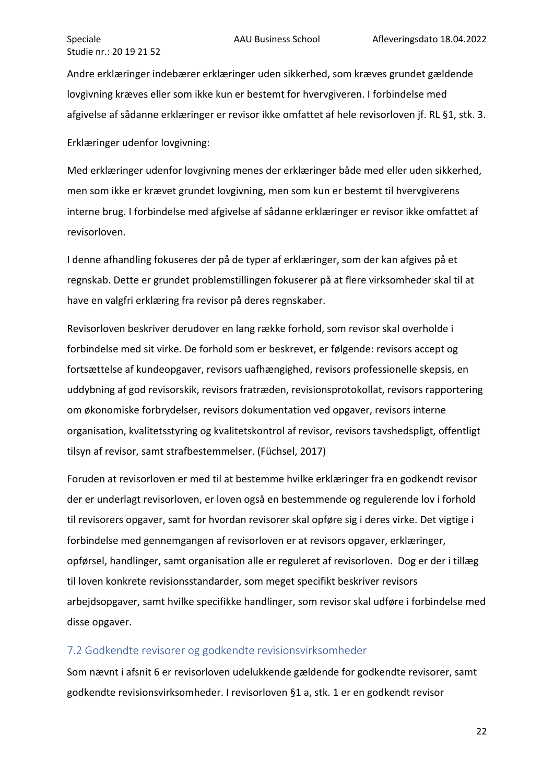Andre erklæringer indebærer erklæringer uden sikkerhed, som kræves grundet gældende lovgivning kræves eller som ikke kun er bestemt for hvervgiveren. I forbindelse med afgivelse af sådanne erklæringer er revisor ikke omfattet af hele revisorloven jf. RL §1, stk. 3.

Erklæringer udenfor lovgivning:

Med erklæringer udenfor lovgivning menes der erklæringer både med eller uden sikkerhed, men som ikke er krævet grundet lovgivning, men som kun er bestemt til hvervgiverens interne brug. I forbindelse med afgivelse af sådanne erklæringer er revisor ikke omfattet af revisorloven.

I denne afhandling fokuseres der på de typer af erklæringer, som der kan afgives på et regnskab. Dette er grundet problemstillingen fokuserer på at flere virksomheder skal til at have en valgfri erklæring fra revisor på deres regnskaber.

Revisorloven beskriver derudover en lang række forhold, som revisor skal overholde i forbindelse med sit virke. De forhold som er beskrevet, er følgende: revisors accept og fortsættelse af kundeopgaver, revisors uafhængighed, revisors professionelle skepsis, en uddybning af god revisorskik, revisors fratræden, revisionsprotokollat, revisors rapportering om økonomiske forbrydelser, revisors dokumentation ved opgaver, revisors interne organisation, kvalitetsstyring og kvalitetskontrol af revisor, revisors tavshedspligt, offentligt tilsyn af revisor, samt strafbestemmelser. (Füchsel, 2017)

Foruden at revisorloven er med til at bestemme hvilke erklæringer fra en godkendt revisor der er underlagt revisorloven, er loven også en bestemmende og regulerende lov i forhold til revisorers opgaver, samt for hvordan revisorer skal opføre sig i deres virke. Det vigtige i forbindelse med gennemgangen af revisorloven er at revisors opgaver, erklæringer, opførsel, handlinger, samt organisation alle er reguleret af revisorloven. Dog er der i tillæg til loven konkrete revisionsstandarder, som meget specifikt beskriver revisors arbejdsopgaver, samt hvilke specifikke handlinger, som revisor skal udføre i forbindelse med disse opgaver.

#### <span id="page-22-0"></span>7.2 Godkendte revisorer og godkendte revisionsvirksomheder

Som nævnt i afsnit 6 er revisorloven udelukkende gældende for godkendte revisorer, samt godkendte revisionsvirksomheder. I revisorloven §1 a, stk. 1 er en godkendt revisor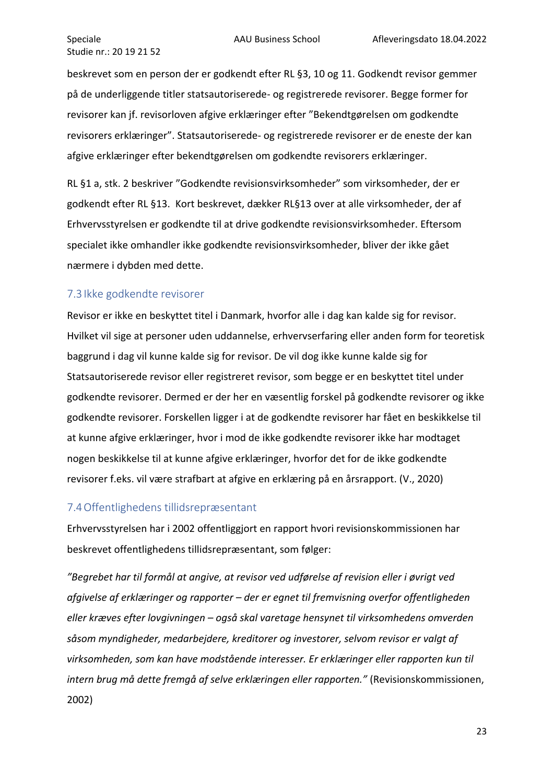beskrevet som en person der er godkendt efter RL §3, 10 og 11. Godkendt revisor gemmer på de underliggende titler statsautoriserede- og registrerede revisorer. Begge former for revisorer kan jf. revisorloven afgive erklæringer efter "Bekendtgørelsen om godkendte revisorers erklæringer". Statsautoriserede- og registrerede revisorer er de eneste der kan afgive erklæringer efter bekendtgørelsen om godkendte revisorers erklæringer.

RL §1 a, stk. 2 beskriver "Godkendte revisionsvirksomheder" som virksomheder, der er godkendt efter RL §13. Kort beskrevet, dækker RL§13 over at alle virksomheder, der af Erhvervsstyrelsen er godkendte til at drive godkendte revisionsvirksomheder. Eftersom specialet ikke omhandler ikke godkendte revisionsvirksomheder, bliver der ikke gået nærmere i dybden med dette.

#### <span id="page-23-0"></span>7.3Ikke godkendte revisorer

Revisor er ikke en beskyttet titel i Danmark, hvorfor alle i dag kan kalde sig for revisor. Hvilket vil sige at personer uden uddannelse, erhvervserfaring eller anden form for teoretisk baggrund i dag vil kunne kalde sig for revisor. De vil dog ikke kunne kalde sig for Statsautoriserede revisor eller registreret revisor, som begge er en beskyttet titel under godkendte revisorer. Dermed er der her en væsentlig forskel på godkendte revisorer og ikke godkendte revisorer. Forskellen ligger i at de godkendte revisorer har fået en beskikkelse til at kunne afgive erklæringer, hvor i mod de ikke godkendte revisorer ikke har modtaget nogen beskikkelse til at kunne afgive erklæringer, hvorfor det for de ikke godkendte revisorer f.eks. vil være strafbart at afgive en erklæring på en årsrapport. (V., 2020)

#### <span id="page-23-1"></span>7.4Offentlighedens tillidsrepræsentant

Erhvervsstyrelsen har i 2002 offentliggjort en rapport hvori revisionskommissionen har beskrevet offentlighedens tillidsrepræsentant, som følger:

*"Begrebet har til formål at angive, at revisor ved udførelse af revision eller i øvrigt ved afgivelse af erklæringer og rapporter – der er egnet til fremvisning overfor offentligheden eller kræves efter lovgivningen – også skal varetage hensynet til virksomhedens omverden såsom myndigheder, medarbejdere, kreditorer og investorer, selvom revisor er valgt af virksomheden, som kan have modstående interesser. Er erklæringer eller rapporten kun til intern brug må dette fremgå af selve erklæringen eller rapporten."* (Revisionskommissionen, 2002)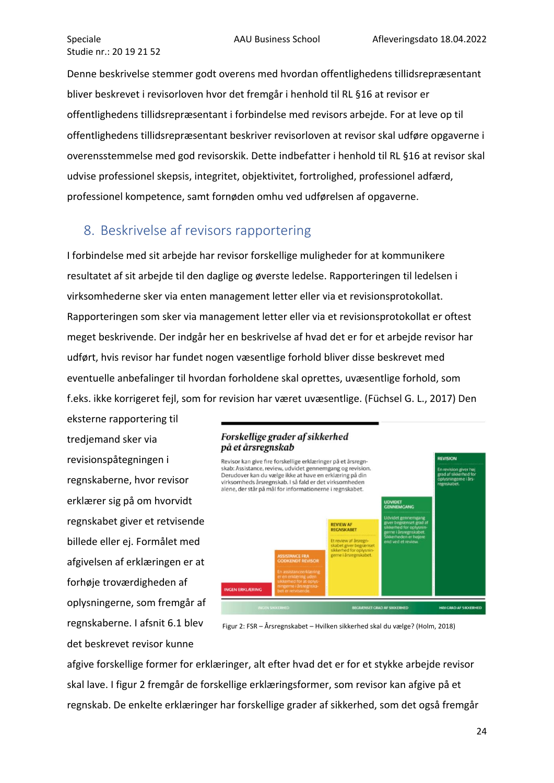Denne beskrivelse stemmer godt overens med hvordan offentlighedens tillidsrepræsentant bliver beskrevet i revisorloven hvor det fremgår i henhold til RL §16 at revisor er offentlighedens tillidsrepræsentant i forbindelse med revisors arbejde. For at leve op til offentlighedens tillidsrepræsentant beskriver revisorloven at revisor skal udføre opgaverne i overensstemmelse med god revisorskik. Dette indbefatter i henhold til RL §16 at revisor skal udvise professionel skepsis, integritet, objektivitet, fortrolighed, professionel adfærd, professionel kompetence, samt fornøden omhu ved udførelsen af opgaverne.

# <span id="page-24-0"></span>8. Beskrivelse af revisors rapportering

I forbindelse med sit arbejde har revisor forskellige muligheder for at kommunikere resultatet af sit arbejde til den daglige og øverste ledelse. Rapporteringen til ledelsen i virksomhederne sker via enten management letter eller via et revisionsprotokollat. Rapporteringen som sker via management letter eller via et revisionsprotokollat er oftest meget beskrivende. Der indgår her en beskrivelse af hvad det er for et arbejde revisor har udført, hvis revisor har fundet nogen væsentlige forhold bliver disse beskrevet med eventuelle anbefalinger til hvordan forholdene skal oprettes, uvæsentlige forhold, som f.eks. ikke korrigeret fejl, som for revision har været uvæsentlige. (Füchsel G. L., 2017) Den

eksterne rapportering til tredjemand sker via revisionspåtegningen i regnskaberne, hvor revisor erklærer sig på om hvorvidt regnskabet giver et retvisende billede eller ej. Formålet med afgivelsen af erklæringen er at forhøje troværdigheden af oplysningerne, som fremgår af regnskaberne. I afsnit 6.1 blev det beskrevet revisor kunne

#### Forskellige grader af sikkerhed på et årsregnskab



Figur 2: FSR – Årsregnskabet – Hvilken sikkerhed skal du vælge? (Holm, 2018)

afgive forskellige former for erklæringer, alt efter hvad det er for et stykke arbejde revisor skal lave. I figur 2 fremgår de forskellige erklæringsformer, som revisor kan afgive på et regnskab. De enkelte erklæringer har forskellige grader af sikkerhed, som det også fremgår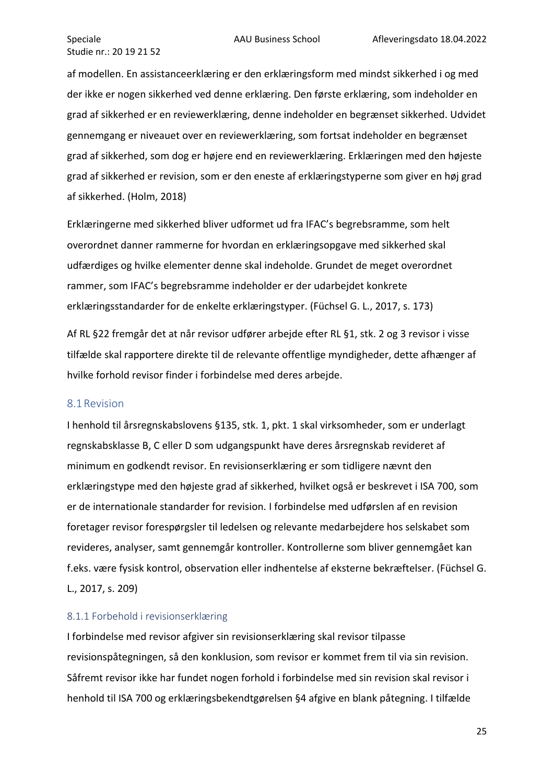af modellen. En assistanceerklæring er den erklæringsform med mindst sikkerhed i og med der ikke er nogen sikkerhed ved denne erklæring. Den første erklæring, som indeholder en grad af sikkerhed er en reviewerklæring, denne indeholder en begrænset sikkerhed. Udvidet gennemgang er niveauet over en reviewerklæring, som fortsat indeholder en begrænset grad af sikkerhed, som dog er højere end en reviewerklæring. Erklæringen med den højeste grad af sikkerhed er revision, som er den eneste af erklæringstyperne som giver en høj grad af sikkerhed. (Holm, 2018)

Erklæringerne med sikkerhed bliver udformet ud fra IFAC's begrebsramme, som helt overordnet danner rammerne for hvordan en erklæringsopgave med sikkerhed skal udfærdiges og hvilke elementer denne skal indeholde. Grundet de meget overordnet rammer, som IFAC's begrebsramme indeholder er der udarbejdet konkrete erklæringsstandarder for de enkelte erklæringstyper. (Füchsel G. L., 2017, s. 173)

Af RL §22 fremgår det at når revisor udfører arbejde efter RL §1, stk. 2 og 3 revisor i visse tilfælde skal rapportere direkte til de relevante offentlige myndigheder, dette afhænger af hvilke forhold revisor finder i forbindelse med deres arbejde.

#### <span id="page-25-0"></span>8.1Revision

I henhold til årsregnskabslovens §135, stk. 1, pkt. 1 skal virksomheder, som er underlagt regnskabsklasse B, C eller D som udgangspunkt have deres årsregnskab revideret af minimum en godkendt revisor. En revisionserklæring er som tidligere nævnt den erklæringstype med den højeste grad af sikkerhed, hvilket også er beskrevet i ISA 700, som er de internationale standarder for revision. I forbindelse med udførslen af en revision foretager revisor forespørgsler til ledelsen og relevante medarbejdere hos selskabet som revideres, analyser, samt gennemgår kontroller. Kontrollerne som bliver gennemgået kan f.eks. være fysisk kontrol, observation eller indhentelse af eksterne bekræftelser. (Füchsel G. L., 2017, s. 209)

#### <span id="page-25-1"></span>8.1.1 Forbehold i revisionserklæring

I forbindelse med revisor afgiver sin revisionserklæring skal revisor tilpasse revisionspåtegningen, så den konklusion, som revisor er kommet frem til via sin revision. Såfremt revisor ikke har fundet nogen forhold i forbindelse med sin revision skal revisor i henhold til ISA 700 og erklæringsbekendtgørelsen §4 afgive en blank påtegning. I tilfælde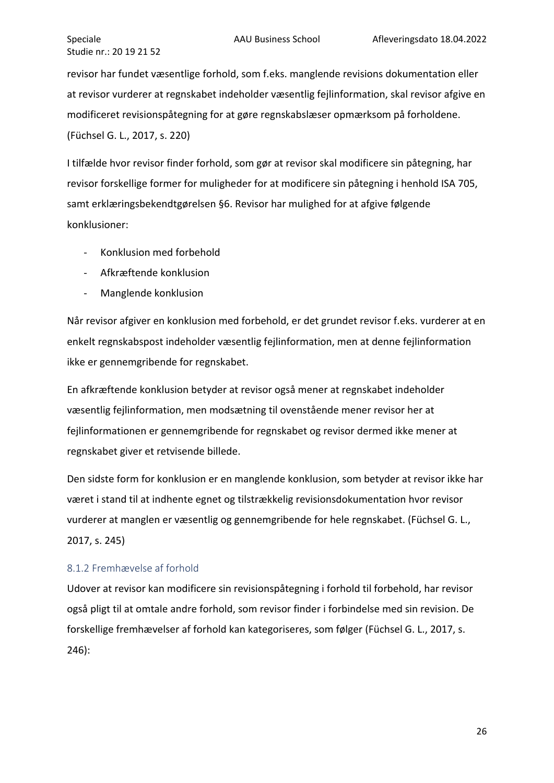revisor har fundet væsentlige forhold, som f.eks. manglende revisions dokumentation eller at revisor vurderer at regnskabet indeholder væsentlig fejlinformation, skal revisor afgive en modificeret revisionspåtegning for at gøre regnskabslæser opmærksom på forholdene. (Füchsel G. L., 2017, s. 220)

I tilfælde hvor revisor finder forhold, som gør at revisor skal modificere sin påtegning, har revisor forskellige former for muligheder for at modificere sin påtegning i henhold ISA 705, samt erklæringsbekendtgørelsen §6. Revisor har mulighed for at afgive følgende konklusioner:

- Konklusion med forbehold
- Afkræftende konklusion
- Manglende konklusion

Når revisor afgiver en konklusion med forbehold, er det grundet revisor f.eks. vurderer at en enkelt regnskabspost indeholder væsentlig fejlinformation, men at denne fejlinformation ikke er gennemgribende for regnskabet.

En afkræftende konklusion betyder at revisor også mener at regnskabet indeholder væsentlig fejlinformation, men modsætning til ovenstående mener revisor her at fejlinformationen er gennemgribende for regnskabet og revisor dermed ikke mener at regnskabet giver et retvisende billede.

Den sidste form for konklusion er en manglende konklusion, som betyder at revisor ikke har været i stand til at indhente egnet og tilstrækkelig revisionsdokumentation hvor revisor vurderer at manglen er væsentlig og gennemgribende for hele regnskabet. (Füchsel G. L., 2017, s. 245)

#### <span id="page-26-0"></span>8.1.2 Fremhævelse af forhold

Udover at revisor kan modificere sin revisionspåtegning i forhold til forbehold, har revisor også pligt til at omtale andre forhold, som revisor finder i forbindelse med sin revision. De forskellige fremhævelser af forhold kan kategoriseres, som følger (Füchsel G. L., 2017, s. 246):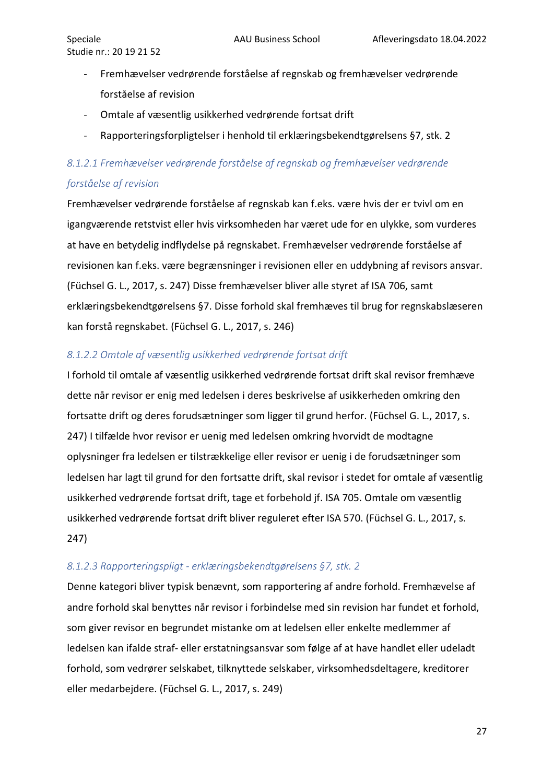- Fremhævelser vedrørende forståelse af regnskab og fremhævelser vedrørende forståelse af revision
- Omtale af væsentlig usikkerhed vedrørende fortsat drift
- Rapporteringsforpligtelser i henhold til erklæringsbekendtgørelsens §7, stk. 2

# *8.1.2.1 Fremhævelser vedrørende forståelse af regnskab og fremhævelser vedrørende forståelse af revision*

Fremhævelser vedrørende forståelse af regnskab kan f.eks. være hvis der er tvivl om en igangværende retstvist eller hvis virksomheden har været ude for en ulykke, som vurderes at have en betydelig indflydelse på regnskabet. Fremhævelser vedrørende forståelse af revisionen kan f.eks. være begrænsninger i revisionen eller en uddybning af revisors ansvar. (Füchsel G. L., 2017, s. 247) Disse fremhævelser bliver alle styret af ISA 706, samt erklæringsbekendtgørelsens §7. Disse forhold skal fremhæves til brug for regnskabslæseren kan forstå regnskabet. (Füchsel G. L., 2017, s. 246)

#### *8.1.2.2 Omtale af væsentlig usikkerhed vedrørende fortsat drift*

I forhold til omtale af væsentlig usikkerhed vedrørende fortsat drift skal revisor fremhæve dette når revisor er enig med ledelsen i deres beskrivelse af usikkerheden omkring den fortsatte drift og deres forudsætninger som ligger til grund herfor. (Füchsel G. L., 2017, s. 247) I tilfælde hvor revisor er uenig med ledelsen omkring hvorvidt de modtagne oplysninger fra ledelsen er tilstrækkelige eller revisor er uenig i de forudsætninger som ledelsen har lagt til grund for den fortsatte drift, skal revisor i stedet for omtale af væsentlig usikkerhed vedrørende fortsat drift, tage et forbehold jf. ISA 705. Omtale om væsentlig usikkerhed vedrørende fortsat drift bliver reguleret efter ISA 570. (Füchsel G. L., 2017, s. 247)

## *8.1.2.3 Rapporteringspligt - erklæringsbekendtgørelsens §7, stk. 2*

Denne kategori bliver typisk benævnt, som rapportering af andre forhold. Fremhævelse af andre forhold skal benyttes når revisor i forbindelse med sin revision har fundet et forhold, som giver revisor en begrundet mistanke om at ledelsen eller enkelte medlemmer af ledelsen kan ifalde straf- eller erstatningsansvar som følge af at have handlet eller udeladt forhold, som vedrører selskabet, tilknyttede selskaber, virksomhedsdeltagere, kreditorer eller medarbejdere. (Füchsel G. L., 2017, s. 249)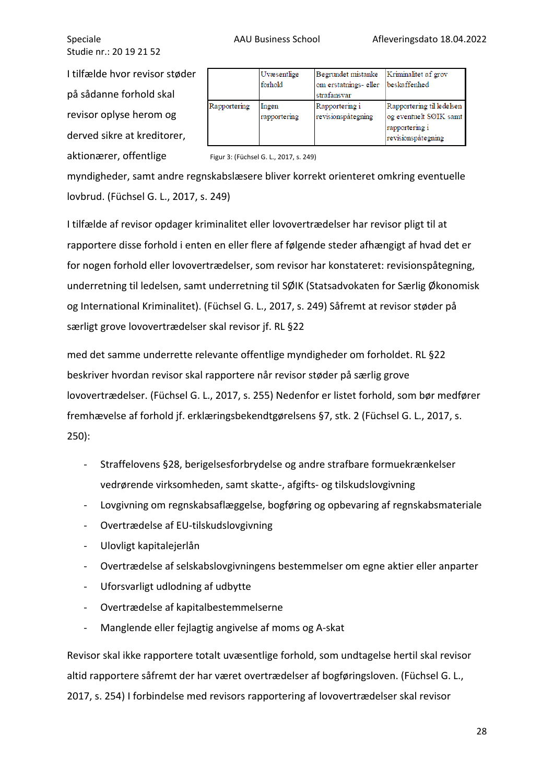I tilfælde hvor revisor støder på sådanne forhold skal revisor oplyse herom og derved sikre at kreditorer, aktionærer, offentlige

|              | Uvæsentlige<br>forhold | Begrundet mistanke<br>om erstatnings- eller<br>strafansvar | Kriminalitet af grov<br>beskaffenhed                                                        |
|--------------|------------------------|------------------------------------------------------------|---------------------------------------------------------------------------------------------|
| Rapportering | Ingen<br>rapportering  | Rapportering i<br>revisionspåtegning                       | Rapportering til ledelsen<br>og eventuelt SØIK samt<br>rapportering i<br>revisionspåtegning |

#### Figur 3: (Füchsel G. L., 2017, s. 249)

myndigheder, samt andre regnskabslæsere bliver korrekt orienteret omkring eventuelle lovbrud. (Füchsel G. L., 2017, s. 249)

I tilfælde af revisor opdager kriminalitet eller lovovertrædelser har revisor pligt til at rapportere disse forhold i enten en eller flere af følgende steder afhængigt af hvad det er for nogen forhold eller lovovertrædelser, som revisor har konstateret: revisionspåtegning, underretning til ledelsen, samt underretning til SØIK (Statsadvokaten for Særlig Økonomisk og International Kriminalitet). (Füchsel G. L., 2017, s. 249) Såfremt at revisor støder på særligt grove lovovertrædelser skal revisor jf. RL §22

med det samme underrette relevante offentlige myndigheder om forholdet. RL §22 beskriver hvordan revisor skal rapportere når revisor støder på særlig grove lovovertrædelser. (Füchsel G. L., 2017, s. 255) Nedenfor er listet forhold, som bør medfører fremhævelse af forhold jf. erklæringsbekendtgørelsens §7, stk. 2 (Füchsel G. L., 2017, s. 250):

- Straffelovens §28, berigelsesforbrydelse og andre strafbare formuekrænkelser vedrørende virksomheden, samt skatte-, afgifts- og tilskudslovgivning
- Lovgivning om regnskabsaflæggelse, bogføring og opbevaring af regnskabsmateriale
- Overtrædelse af EU-tilskudslovgivning
- Ulovligt kapitalejerlån
- Overtrædelse af selskabslovgivningens bestemmelser om egne aktier eller anparter
- Uforsvarligt udlodning af udbytte
- Overtrædelse af kapitalbestemmelserne
- Manglende eller fejlagtig angivelse af moms og A-skat

Revisor skal ikke rapportere totalt uvæsentlige forhold, som undtagelse hertil skal revisor altid rapportere såfremt der har været overtrædelser af bogføringsloven. (Füchsel G. L., 2017, s. 254) I forbindelse med revisors rapportering af lovovertrædelser skal revisor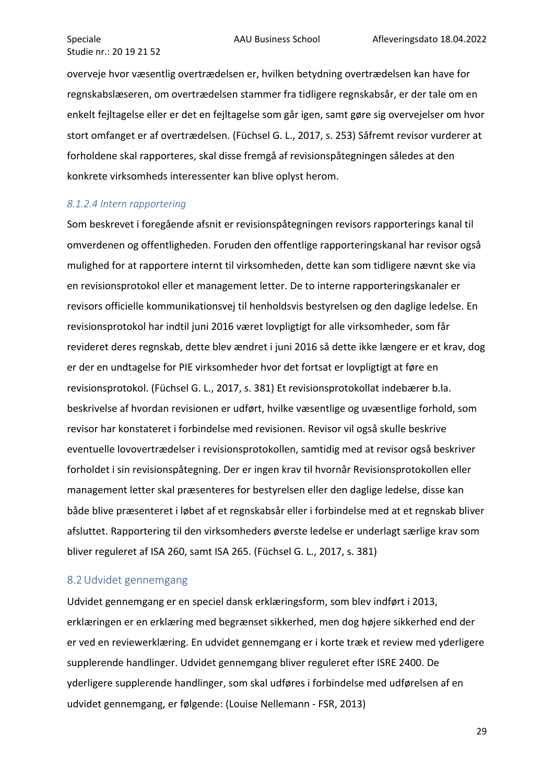overveje hvor væsentlig overtrædelsen er, hvilken betydning overtrædelsen kan have for regnskabslæseren, om overtrædelsen stammer fra tidligere regnskabsår, er der tale om en enkelt fejltagelse eller er det en fejltagelse som går igen, samt gøre sig overvejelser om hvor stort omfanget er af overtrædelsen. (Füchsel G. L., 2017, s. 253) Såfremt revisor vurderer at forholdene skal rapporteres, skal disse fremgå af revisionspåtegningen således at den konkrete virksomheds interessenter kan blive oplyst herom.

#### *8.1.2.4 Intern rapportering*

Som beskrevet i foregående afsnit er revisionspåtegningen revisors rapporterings kanal til omverdenen og offentligheden. Foruden den offentlige rapporteringskanal har revisor også mulighed for at rapportere internt til virksomheden, dette kan som tidligere nævnt ske via en revisionsprotokol eller et management letter. De to interne rapporteringskanaler er revisors officielle kommunikationsvej til henholdsvis bestyrelsen og den daglige ledelse. En revisionsprotokol har indtil juni 2016 været lovpligtigt for alle virksomheder, som får revideret deres regnskab, dette blev ændret i juni 2016 så dette ikke længere er et krav, dog er der en undtagelse for PIE virksomheder hvor det fortsat er lovpligtigt at føre en revisionsprotokol. (Füchsel G. L., 2017, s. 381) Et revisionsprotokollat indebærer b.la. beskrivelse af hvordan revisionen er udført, hvilke væsentlige og uvæsentlige forhold, som revisor har konstateret i forbindelse med revisionen. Revisor vil også skulle beskrive eventuelle lovovertrædelser i revisionsprotokollen, samtidig med at revisor også beskriver forholdet i sin revisionspåtegning. Der er ingen krav til hvornår Revisionsprotokollen eller management letter skal præsenteres for bestyrelsen eller den daglige ledelse, disse kan både blive præsenteret i løbet af et regnskabsår eller i forbindelse med at et regnskab bliver afsluttet. Rapportering til den virksomheders øverste ledelse er underlagt særlige krav som bliver reguleret af ISA 260, samt ISA 265. (Füchsel G. L., 2017, s. 381)

#### <span id="page-29-0"></span>8.2Udvidet gennemgang

Udvidet gennemgang er en speciel dansk erklæringsform, som blev indført i 2013, erklæringen er en erklæring med begrænset sikkerhed, men dog højere sikkerhed end der er ved en reviewerklæring. En udvidet gennemgang er i korte træk et review med yderligere supplerende handlinger. Udvidet gennemgang bliver reguleret efter ISRE 2400. De yderligere supplerende handlinger, som skal udføres i forbindelse med udførelsen af en udvidet gennemgang, er følgende: (Louise Nellemann - FSR, 2013)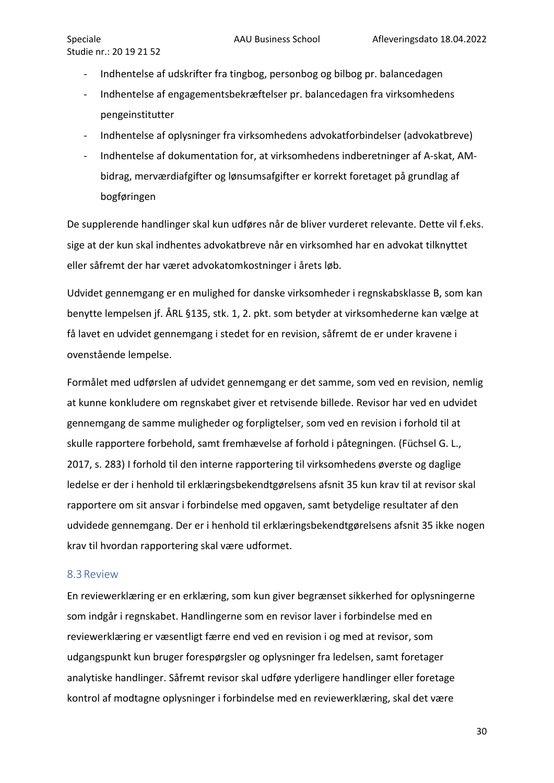- Indhentelse af udskrifter fra tingbog, personbog og bilbog pr. balancedagen
- Indhentelse af engagementsbekræftelser pr. balancedagen fra virksomhedens pengeinstitutter
- Indhentelse af oplysninger fra virksomhedens advokatforbindelser (advokatbreve)
- Indhentelse af dokumentation for, at virksomhedens indberetninger af A-skat, AMbidrag, merværdiafgifter og lønsumsafgifter er korrekt foretaget på grundlag af bogføringen

De supplerende handlinger skal kun udføres når de bliver vurderet relevante. Dette vil f.eks. sige at der kun skal indhentes advokatbreve når en virksomhed har en advokat tilknyttet eller såfremt der har været advokatomkostninger i årets løb.

Udvidet gennemgang er en mulighed for danske virksomheder i regnskabsklasse B, som kan benytte lempelsen jf. ÅRL §135, stk. 1, 2. pkt. som betyder at virksomhederne kan vælge at få lavet en udvidet gennemgang i stedet for en revision, såfremt de er under kravene i ovenstående lempelse.

Formålet med udførslen af udvidet gennemgang er det samme, som ved en revision, nemlig at kunne konkludere om regnskabet giver et retvisende billede. Revisor har ved en udvidet gennemgang de samme muligheder og forpligtelser, som ved en revision i forhold til at skulle rapportere forbehold, samt fremhævelse af forhold i påtegningen. (Füchsel G. L., 2017, s. 283) I forhold til den interne rapportering til virksomhedens øverste og daglige ledelse er der i henhold til erklæringsbekendtgørelsens afsnit 35 kun krav til at revisor skal rapportere om sit ansvar i forbindelse med opgaven, samt betydelige resultater af den udvidede gennemgang. Der er i henhold til erklæringsbekendtgørelsens afsnit 35 ikke nogen krav til hvordan rapportering skal være udformet.

#### <span id="page-30-0"></span>8.3Review

En reviewerklæring er en erklæring, som kun giver begrænset sikkerhed for oplysningerne som indgår i regnskabet. Handlingerne som en revisor laver i forbindelse med en reviewerklæring er væsentligt færre end ved en revision i og med at revisor, som udgangspunkt kun bruger forespørgsler og oplysninger fra ledelsen, samt foretager analytiske handlinger. Såfremt revisor skal udføre yderligere handlinger eller foretage kontrol af modtagne oplysninger i forbindelse med en reviewerklæring, skal det være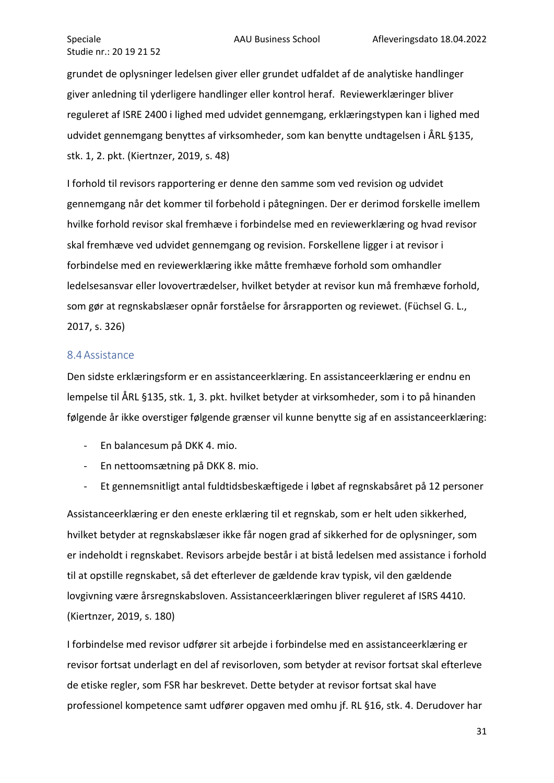grundet de oplysninger ledelsen giver eller grundet udfaldet af de analytiske handlinger giver anledning til yderligere handlinger eller kontrol heraf. Reviewerklæringer bliver reguleret af ISRE 2400 i lighed med udvidet gennemgang, erklæringstypen kan i lighed med udvidet gennemgang benyttes af virksomheder, som kan benytte undtagelsen i ÅRL §135, stk. 1, 2. pkt. (Kiertnzer, 2019, s. 48)

I forhold til revisors rapportering er denne den samme som ved revision og udvidet gennemgang når det kommer til forbehold i påtegningen. Der er derimod forskelle imellem hvilke forhold revisor skal fremhæve i forbindelse med en reviewerklæring og hvad revisor skal fremhæve ved udvidet gennemgang og revision. Forskellene ligger i at revisor i forbindelse med en reviewerklæring ikke måtte fremhæve forhold som omhandler ledelsesansvar eller lovovertrædelser, hvilket betyder at revisor kun må fremhæve forhold, som gør at regnskabslæser opnår forståelse for årsrapporten og reviewet. (Füchsel G. L., 2017, s. 326)

#### <span id="page-31-0"></span>8.4Assistance

Den sidste erklæringsform er en assistanceerklæring. En assistanceerklæring er endnu en lempelse til ÅRL §135, stk. 1, 3. pkt. hvilket betyder at virksomheder, som i to på hinanden følgende år ikke overstiger følgende grænser vil kunne benytte sig af en assistanceerklæring:

- En balancesum på DKK 4. mio.
- En nettoomsætning på DKK 8. mio.
- Et gennemsnitligt antal fuldtidsbeskæftigede i løbet af regnskabsåret på 12 personer

Assistanceerklæring er den eneste erklæring til et regnskab, som er helt uden sikkerhed, hvilket betyder at regnskabslæser ikke får nogen grad af sikkerhed for de oplysninger, som er indeholdt i regnskabet. Revisors arbejde består i at bistå ledelsen med assistance i forhold til at opstille regnskabet, så det efterlever de gældende krav typisk, vil den gældende lovgivning være årsregnskabsloven. Assistanceerklæringen bliver reguleret af ISRS 4410. (Kiertnzer, 2019, s. 180)

I forbindelse med revisor udfører sit arbejde i forbindelse med en assistanceerklæring er revisor fortsat underlagt en del af revisorloven, som betyder at revisor fortsat skal efterleve de etiske regler, som FSR har beskrevet. Dette betyder at revisor fortsat skal have professionel kompetence samt udfører opgaven med omhu jf. RL §16, stk. 4. Derudover har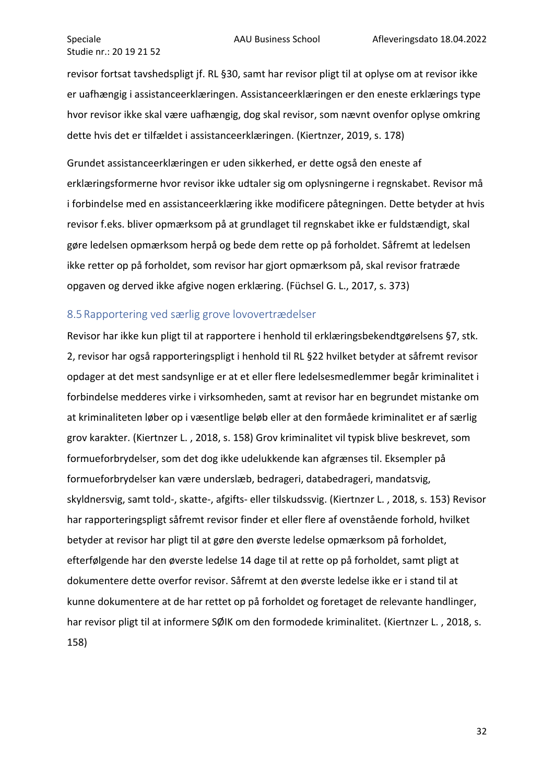revisor fortsat tavshedspligt jf. RL §30, samt har revisor pligt til at oplyse om at revisor ikke er uafhængig i assistanceerklæringen. Assistanceerklæringen er den eneste erklærings type hvor revisor ikke skal være uafhængig, dog skal revisor, som nævnt ovenfor oplyse omkring dette hvis det er tilfældet i assistanceerklæringen. (Kiertnzer, 2019, s. 178)

Grundet assistanceerklæringen er uden sikkerhed, er dette også den eneste af erklæringsformerne hvor revisor ikke udtaler sig om oplysningerne i regnskabet. Revisor må i forbindelse med en assistanceerklæring ikke modificere påtegningen. Dette betyder at hvis revisor f.eks. bliver opmærksom på at grundlaget til regnskabet ikke er fuldstændigt, skal gøre ledelsen opmærksom herpå og bede dem rette op på forholdet. Såfremt at ledelsen ikke retter op på forholdet, som revisor har gjort opmærksom på, skal revisor fratræde opgaven og derved ikke afgive nogen erklæring. (Füchsel G. L., 2017, s. 373)

#### <span id="page-32-0"></span>8.5Rapportering ved særlig grove lovovertrædelser

Revisor har ikke kun pligt til at rapportere i henhold til erklæringsbekendtgørelsens §7, stk. 2, revisor har også rapporteringspligt i henhold til RL §22 hvilket betyder at såfremt revisor opdager at det mest sandsynlige er at et eller flere ledelsesmedlemmer begår kriminalitet i forbindelse medderes virke i virksomheden, samt at revisor har en begrundet mistanke om at kriminaliteten løber op i væsentlige beløb eller at den formåede kriminalitet er af særlig grov karakter. (Kiertnzer L. , 2018, s. 158) Grov kriminalitet vil typisk blive beskrevet, som formueforbrydelser, som det dog ikke udelukkende kan afgrænses til. Eksempler på formueforbrydelser kan være underslæb, bedrageri, databedrageri, mandatsvig, skyldnersvig, samt told-, skatte-, afgifts- eller tilskudssvig. (Kiertnzer L. , 2018, s. 153) Revisor har rapporteringspligt såfremt revisor finder et eller flere af ovenstående forhold, hvilket betyder at revisor har pligt til at gøre den øverste ledelse opmærksom på forholdet, efterfølgende har den øverste ledelse 14 dage til at rette op på forholdet, samt pligt at dokumentere dette overfor revisor. Såfremt at den øverste ledelse ikke er i stand til at kunne dokumentere at de har rettet op på forholdet og foretaget de relevante handlinger, har revisor pligt til at informere SØIK om den formodede kriminalitet. (Kiertnzer L. , 2018, s. 158)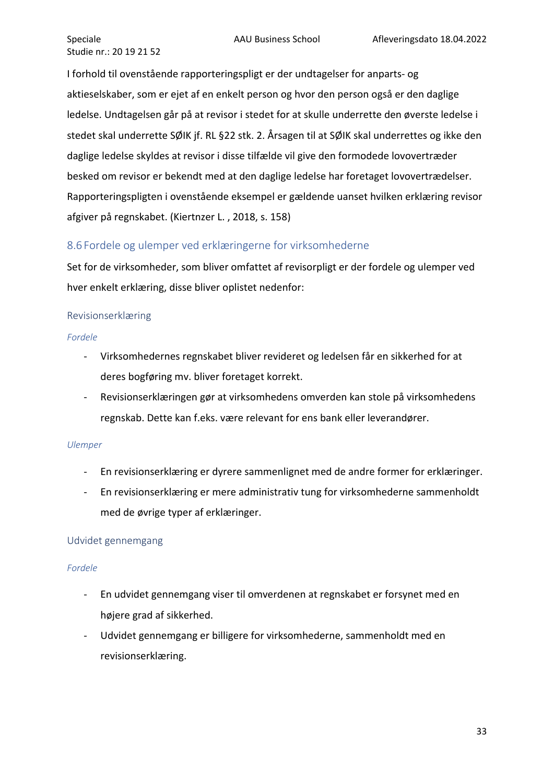I forhold til ovenstående rapporteringspligt er der undtagelser for anparts- og aktieselskaber, som er ejet af en enkelt person og hvor den person også er den daglige ledelse. Undtagelsen går på at revisor i stedet for at skulle underrette den øverste ledelse i stedet skal underrette SØIK jf. RL §22 stk. 2. Årsagen til at SØIK skal underrettes og ikke den daglige ledelse skyldes at revisor i disse tilfælde vil give den formodede lovovertræder besked om revisor er bekendt med at den daglige ledelse har foretaget lovovertrædelser. Rapporteringspligten i ovenstående eksempel er gældende uanset hvilken erklæring revisor afgiver på regnskabet. (Kiertnzer L. , 2018, s. 158)

## <span id="page-33-0"></span>8.6Fordele og ulemper ved erklæringerne for virksomhederne

Set for de virksomheder, som bliver omfattet af revisorpligt er der fordele og ulemper ved hver enkelt erklæring, disse bliver oplistet nedenfor:

#### <span id="page-33-1"></span>Revisionserklæring

#### *Fordele*

- Virksomhedernes regnskabet bliver revideret og ledelsen får en sikkerhed for at deres bogføring mv. bliver foretaget korrekt.
- Revisionserklæringen gør at virksomhedens omverden kan stole på virksomhedens regnskab. Dette kan f.eks. være relevant for ens bank eller leverandører.

#### *Ulemper*

- En revisionserklæring er dyrere sammenlignet med de andre former for erklæringer.
- En revisionserklæring er mere administrativ tung for virksomhederne sammenholdt med de øvrige typer af erklæringer.

## Udvidet gennemgang

#### *Fordele*

- En udvidet gennemgang viser til omverdenen at regnskabet er forsynet med en højere grad af sikkerhed.
- Udvidet gennemgang er billigere for virksomhederne, sammenholdt med en revisionserklæring.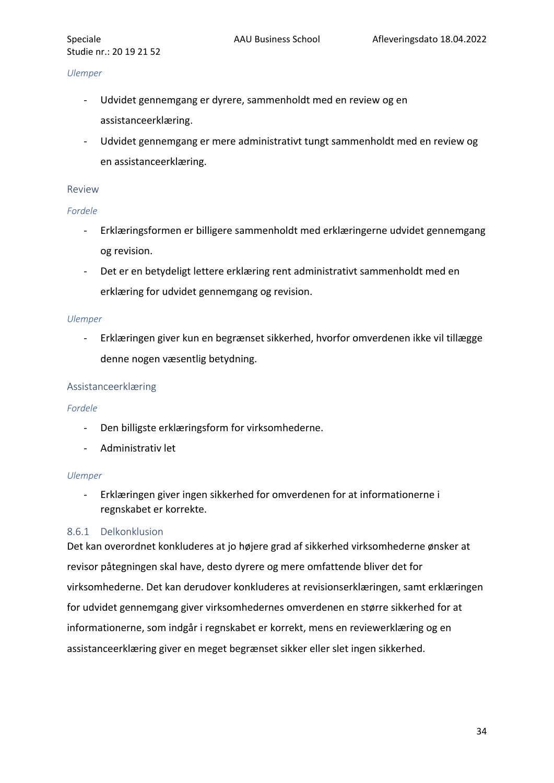#### *Ulemper*

- Udvidet gennemgang er dyrere, sammenholdt med en review og en assistanceerklæring.
- Udvidet gennemgang er mere administrativt tungt sammenholdt med en review og en assistanceerklæring.

#### <span id="page-34-0"></span>Review

#### *Fordele*

- Erklæringsformen er billigere sammenholdt med erklæringerne udvidet gennemgang og revision.
- Det er en betydeligt lettere erklæring rent administrativt sammenholdt med en erklæring for udvidet gennemgang og revision.

#### *Ulemper*

- Erklæringen giver kun en begrænset sikkerhed, hvorfor omverdenen ikke vil tillægge denne nogen væsentlig betydning.

#### <span id="page-34-1"></span>Assistanceerklæring

#### *Fordele*

- Den billigste erklæringsform for virksomhederne.
- Administrativ let

#### *Ulemper*

- Erklæringen giver ingen sikkerhed for omverdenen for at informationerne i regnskabet er korrekte.

#### <span id="page-34-2"></span>8.6.1 Delkonklusion

Det kan overordnet konkluderes at jo højere grad af sikkerhed virksomhederne ønsker at revisor påtegningen skal have, desto dyrere og mere omfattende bliver det for virksomhederne. Det kan derudover konkluderes at revisionserklæringen, samt erklæringen for udvidet gennemgang giver virksomhedernes omverdenen en større sikkerhed for at informationerne, som indgår i regnskabet er korrekt, mens en reviewerklæring og en assistanceerklæring giver en meget begrænset sikker eller slet ingen sikkerhed.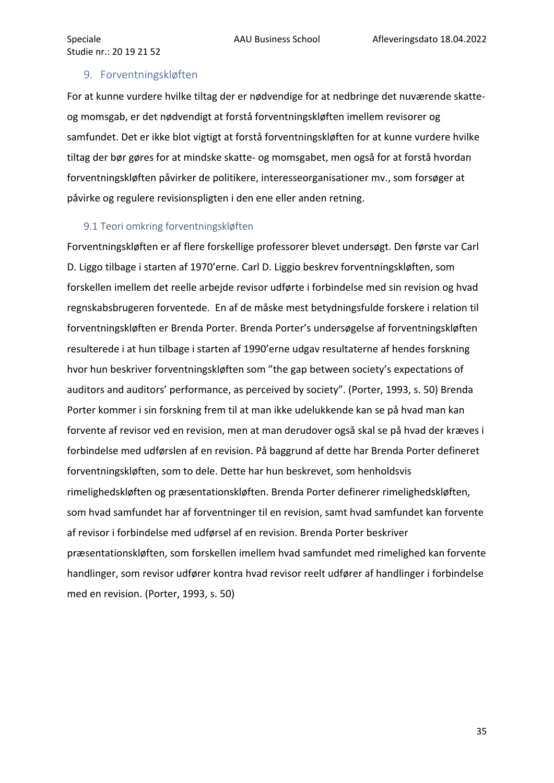#### <span id="page-35-0"></span>9. Forventningskløften

For at kunne vurdere hvilke tiltag der er nødvendige for at nedbringe det nuværende skatteog momsgab, er det nødvendigt at forstå forventningskløften imellem revisorer og samfundet. Det er ikke blot vigtigt at forstå forventningskløften for at kunne vurdere hvilke tiltag der bør gøres for at mindske skatte- og momsgabet, men også for at forstå hvordan forventningskløften påvirker de politikere, interesseorganisationer mv., som forsøger at påvirke og regulere revisionspligten i den ene eller anden retning.

#### <span id="page-35-1"></span>9.1 Teori omkring forventningskløften

Forventningskløften er af flere forskellige professorer blevet undersøgt. Den første var Carl D. Liggo tilbage i starten af 1970'erne. Carl D. Liggio beskrev forventningskløften, som forskellen imellem det reelle arbejde revisor udførte i forbindelse med sin revision og hvad regnskabsbrugeren forventede. En af de måske mest betydningsfulde forskere i relation til forventningskløften er Brenda Porter. Brenda Porter's undersøgelse af forventningskløften resulterede i at hun tilbage i starten af 1990'erne udgav resultaterne af hendes forskning hvor hun beskriver forventningskløften som "the gap between society's expectations of auditors and auditors' performance, as perceived by society". (Porter, 1993, s. 50) Brenda Porter kommer i sin forskning frem til at man ikke udelukkende kan se på hvad man kan forvente af revisor ved en revision, men at man derudover også skal se på hvad der kræves i forbindelse med udførslen af en revision. På baggrund af dette har Brenda Porter defineret forventningskløften, som to dele. Dette har hun beskrevet, som henholdsvis rimelighedskløften og præsentationskløften. Brenda Porter definerer rimelighedskløften, som hvad samfundet har af forventninger til en revision, samt hvad samfundet kan forvente af revisor i forbindelse med udførsel af en revision. Brenda Porter beskriver præsentationskløften, som forskellen imellem hvad samfundet med rimelighed kan forvente handlinger, som revisor udfører kontra hvad revisor reelt udfører af handlinger i forbindelse med en revision. (Porter, 1993, s. 50)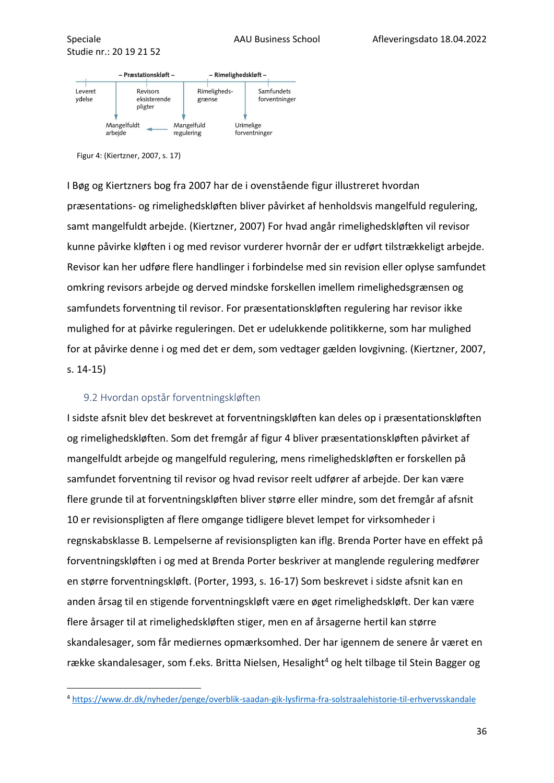

Figur 4: (Kiertzner, 2007, s. 17)

I Bøg og Kiertzners bog fra 2007 har de i ovenstående figur illustreret hvordan præsentations- og rimelighedskløften bliver påvirket af henholdsvis mangelfuld regulering, samt mangelfuldt arbejde. (Kiertzner, 2007) For hvad angår rimelighedskløften vil revisor kunne påvirke kløften i og med revisor vurderer hvornår der er udført tilstrækkeligt arbejde. Revisor kan her udføre flere handlinger i forbindelse med sin revision eller oplyse samfundet omkring revisors arbejde og derved mindske forskellen imellem rimelighedsgrænsen og samfundets forventning til revisor. For præsentationskløften regulering har revisor ikke mulighed for at påvirke reguleringen. Det er udelukkende politikkerne, som har mulighed for at påvirke denne i og med det er dem, som vedtager gælden lovgivning. (Kiertzner, 2007, s. 14-15)

#### <span id="page-36-0"></span>9.2 Hvordan opstår forventningskløften

I sidste afsnit blev det beskrevet at forventningskløften kan deles op i præsentationskløften og rimelighedskløften. Som det fremgår af figur 4 bliver præsentationskløften påvirket af mangelfuldt arbejde og mangelfuld regulering, mens rimelighedskløften er forskellen på samfundet forventning til revisor og hvad revisor reelt udfører af arbejde. Der kan være flere grunde til at forventningskløften bliver større eller mindre, som det fremgår af afsnit 10 er revisionspligten af flere omgange tidligere blevet lempet for virksomheder i regnskabsklasse B. Lempelserne af revisionspligten kan iflg. Brenda Porter have en effekt på forventningskløften i og med at Brenda Porter beskriver at manglende regulering medfører en større forventningskløft. (Porter, 1993, s. 16-17) Som beskrevet i sidste afsnit kan en anden årsag til en stigende forventningskløft være en øget rimelighedskløft. Der kan være flere årsager til at rimelighedskløften stiger, men en af årsagerne hertil kan større skandalesager, som får mediernes opmærksomhed. Der har igennem de senere år været en række skandalesager, som f.eks. Britta Nielsen, Hesalight<sup>4</sup> og helt tilbage til Stein Bagger og

<sup>4</sup> <https://www.dr.dk/nyheder/penge/overblik-saadan-gik-lysfirma-fra-solstraalehistorie-til-erhvervsskandale>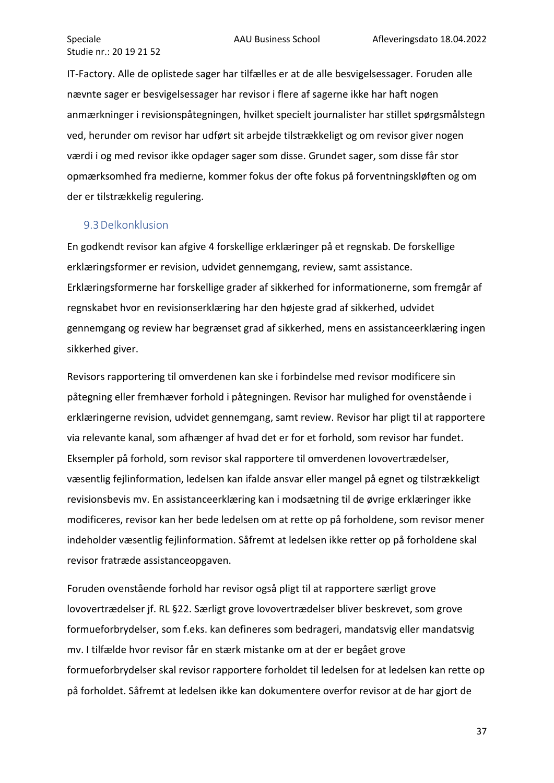IT-Factory. Alle de oplistede sager har tilfælles er at de alle besvigelsessager. Foruden alle nævnte sager er besvigelsessager har revisor i flere af sagerne ikke har haft nogen anmærkninger i revisionspåtegningen, hvilket specielt journalister har stillet spørgsmålstegn ved, herunder om revisor har udført sit arbejde tilstrækkeligt og om revisor giver nogen værdi i og med revisor ikke opdager sager som disse. Grundet sager, som disse får stor opmærksomhed fra medierne, kommer fokus der ofte fokus på forventningskløften og om der er tilstrækkelig regulering.

#### <span id="page-37-0"></span>9.3Delkonklusion

En godkendt revisor kan afgive 4 forskellige erklæringer på et regnskab. De forskellige erklæringsformer er revision, udvidet gennemgang, review, samt assistance. Erklæringsformerne har forskellige grader af sikkerhed for informationerne, som fremgår af regnskabet hvor en revisionserklæring har den højeste grad af sikkerhed, udvidet gennemgang og review har begrænset grad af sikkerhed, mens en assistanceerklæring ingen sikkerhed giver.

Revisors rapportering til omverdenen kan ske i forbindelse med revisor modificere sin påtegning eller fremhæver forhold i påtegningen. Revisor har mulighed for ovenstående i erklæringerne revision, udvidet gennemgang, samt review. Revisor har pligt til at rapportere via relevante kanal, som afhænger af hvad det er for et forhold, som revisor har fundet. Eksempler på forhold, som revisor skal rapportere til omverdenen lovovertrædelser, væsentlig fejlinformation, ledelsen kan ifalde ansvar eller mangel på egnet og tilstrækkeligt revisionsbevis mv. En assistanceerklæring kan i modsætning til de øvrige erklæringer ikke modificeres, revisor kan her bede ledelsen om at rette op på forholdene, som revisor mener indeholder væsentlig fejlinformation. Såfremt at ledelsen ikke retter op på forholdene skal revisor fratræde assistanceopgaven.

Foruden ovenstående forhold har revisor også pligt til at rapportere særligt grove lovovertrædelser jf. RL §22. Særligt grove lovovertrædelser bliver beskrevet, som grove formueforbrydelser, som f.eks. kan defineres som bedrageri, mandatsvig eller mandatsvig mv. I tilfælde hvor revisor får en stærk mistanke om at der er begået grove formueforbrydelser skal revisor rapportere forholdet til ledelsen for at ledelsen kan rette op på forholdet. Såfremt at ledelsen ikke kan dokumentere overfor revisor at de har gjort de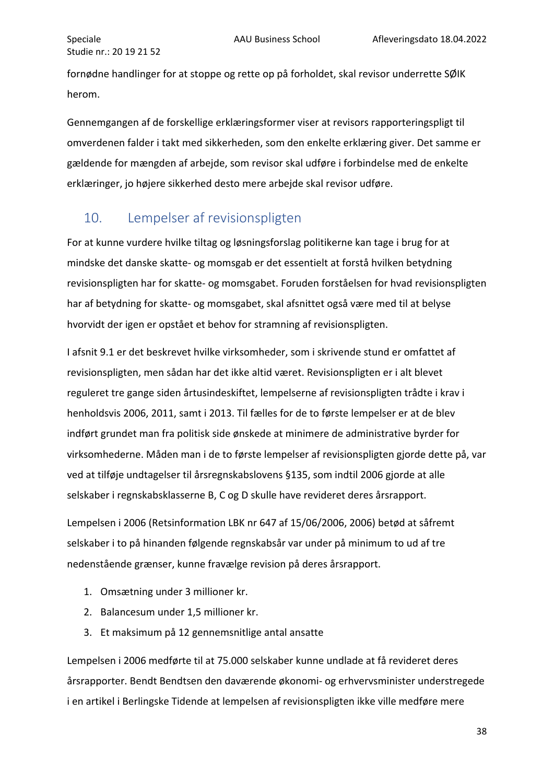fornødne handlinger for at stoppe og rette op på forholdet, skal revisor underrette SØIK herom.

Gennemgangen af de forskellige erklæringsformer viser at revisors rapporteringspligt til omverdenen falder i takt med sikkerheden, som den enkelte erklæring giver. Det samme er gældende for mængden af arbejde, som revisor skal udføre i forbindelse med de enkelte erklæringer, jo højere sikkerhed desto mere arbejde skal revisor udføre.

# <span id="page-38-0"></span>10. Lempelser af revisionspligten

For at kunne vurdere hvilke tiltag og løsningsforslag politikerne kan tage i brug for at mindske det danske skatte- og momsgab er det essentielt at forstå hvilken betydning revisionspligten har for skatte- og momsgabet. Foruden forståelsen for hvad revisionspligten har af betydning for skatte- og momsgabet, skal afsnittet også være med til at belyse hvorvidt der igen er opstået et behov for stramning af revisionspligten.

I afsnit 9.1 er det beskrevet hvilke virksomheder, som i skrivende stund er omfattet af revisionspligten, men sådan har det ikke altid været. Revisionspligten er i alt blevet reguleret tre gange siden årtusindeskiftet, lempelserne af revisionspligten trådte i krav i henholdsvis 2006, 2011, samt i 2013. Til fælles for de to første lempelser er at de blev indført grundet man fra politisk side ønskede at minimere de administrative byrder for virksomhederne. Måden man i de to første lempelser af revisionspligten gjorde dette på, var ved at tilføje undtagelser til årsregnskabslovens §135, som indtil 2006 gjorde at alle selskaber i regnskabsklasserne B, C og D skulle have revideret deres årsrapport.

Lempelsen i 2006 (Retsinformation LBK nr 647 af 15/06/2006, 2006) betød at såfremt selskaber i to på hinanden følgende regnskabsår var under på minimum to ud af tre nedenstående grænser, kunne fravælge revision på deres årsrapport.

- 1. Omsætning under 3 millioner kr.
- 2. Balancesum under 1,5 millioner kr.
- 3. Et maksimum på 12 gennemsnitlige antal ansatte

Lempelsen i 2006 medførte til at 75.000 selskaber kunne undlade at få revideret deres årsrapporter. Bendt Bendtsen den daværende økonomi- og erhvervsminister understregede i en artikel i Berlingske Tidende at lempelsen af revisionspligten ikke ville medføre mere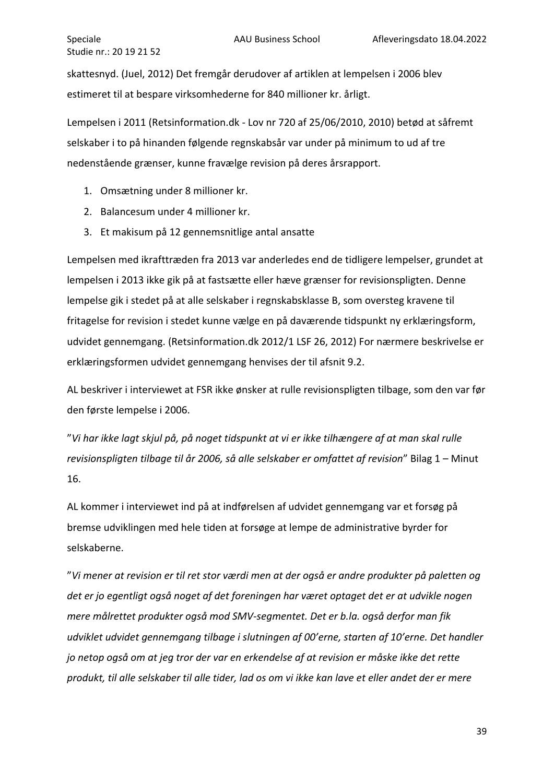skattesnyd. (Juel, 2012) Det fremgår derudover af artiklen at lempelsen i 2006 blev estimeret til at bespare virksomhederne for 840 millioner kr. årligt.

Lempelsen i 2011 (Retsinformation.dk - Lov nr 720 af 25/06/2010, 2010) betød at såfremt selskaber i to på hinanden følgende regnskabsår var under på minimum to ud af tre nedenstående grænser, kunne fravælge revision på deres årsrapport.

- 1. Omsætning under 8 millioner kr.
- 2. Balancesum under 4 millioner kr.
- 3. Et makisum på 12 gennemsnitlige antal ansatte

Lempelsen med ikrafttræden fra 2013 var anderledes end de tidligere lempelser, grundet at lempelsen i 2013 ikke gik på at fastsætte eller hæve grænser for revisionspligten. Denne lempelse gik i stedet på at alle selskaber i regnskabsklasse B, som oversteg kravene til fritagelse for revision i stedet kunne vælge en på daværende tidspunkt ny erklæringsform, udvidet gennemgang. (Retsinformation.dk 2012/1 LSF 26, 2012) For nærmere beskrivelse er erklæringsformen udvidet gennemgang henvises der til afsnit 9.2.

AL beskriver i interviewet at FSR ikke ønsker at rulle revisionspligten tilbage, som den var før den første lempelse i 2006.

"*Vi har ikke lagt skjul på, på noget tidspunkt at vi er ikke tilhængere af at man skal rulle revisionspligten tilbage til år 2006, så alle selskaber er omfattet af revision*" Bilag 1 – Minut 16.

AL kommer i interviewet ind på at indførelsen af udvidet gennemgang var et forsøg på bremse udviklingen med hele tiden at forsøge at lempe de administrative byrder for selskaberne.

"*Vi mener at revision er til ret stor værdi men at der også er andre produkter på paletten og det er jo egentligt også noget af det foreningen har været optaget det er at udvikle nogen mere målrettet produkter også mod SMV-segmentet. Det er b.la. også derfor man fik udviklet udvidet gennemgang tilbage i slutningen af 00'erne, starten af 10'erne. Det handler jo netop også om at jeg tror der var en erkendelse af at revision er måske ikke det rette produkt, til alle selskaber til alle tider, lad os om vi ikke kan lave et eller andet der er mere*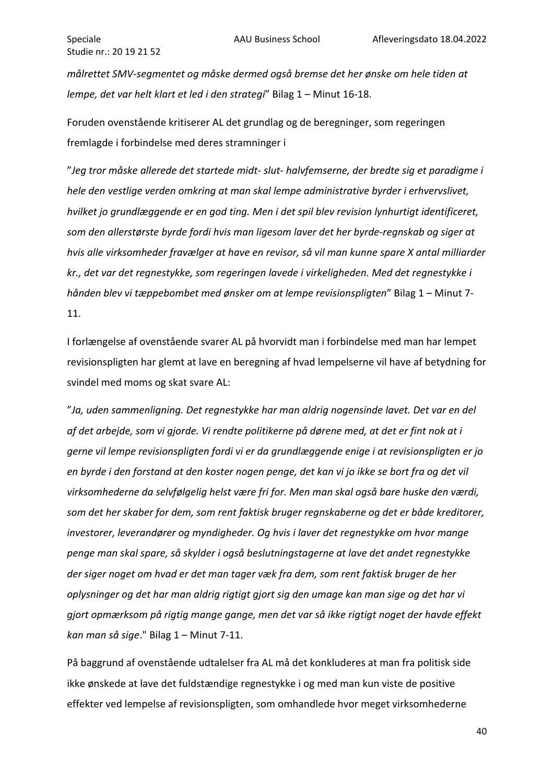*målrettet SMV-segmentet og måske dermed også bremse det her ønske om hele tiden at lempe, det var helt klart et led i den strategi*" Bilag 1 – Minut 16-18.

Foruden ovenstående kritiserer AL det grundlag og de beregninger, som regeringen fremlagde i forbindelse med deres stramninger i

"*Jeg tror måske allerede det startede midt- slut- halvfemserne, der bredte sig et paradigme i hele den vestlige verden omkring at man skal lempe administrative byrder i erhvervslivet, hvilket jo grundlæggende er en god ting. Men i det spil blev revision lynhurtigt identificeret, som den allerstørste byrde fordi hvis man ligesom laver det her byrde-regnskab og siger at hvis alle virksomheder fravælger at have en revisor, så vil man kunne spare X antal milliarder kr., det var det regnestykke, som regeringen lavede i virkeligheden. Med det regnestykke i hånden blev vi tæppebombet med ønsker om at lempe revisionspligten*" Bilag 1 – Minut 7- 11.

I forlængelse af ovenstående svarer AL på hvorvidt man i forbindelse med man har lempet revisionspligten har glemt at lave en beregning af hvad lempelserne vil have af betydning for svindel med moms og skat svare AL:

"*Ja, uden sammenligning. Det regnestykke har man aldrig nogensinde lavet. Det var en del af det arbejde, som vi gjorde. Vi rendte politikerne på dørene med, at det er fint nok at i gerne vil lempe revisionspligten fordi vi er da grundlæggende enige i at revisionspligten er jo en byrde i den forstand at den koster nogen penge, det kan vi jo ikke se bort fra og det vil virksomhederne da selvfølgelig helst være fri for. Men man skal også bare huske den værdi, som det her skaber for dem, som rent faktisk bruger regnskaberne og det er både kreditorer, investorer, leverandører og myndigheder. Og hvis i laver det regnestykke om hvor mange penge man skal spare, så skylder i også beslutningstagerne at lave det andet regnestykke der siger noget om hvad er det man tager væk fra dem, som rent faktisk bruger de her oplysninger og det har man aldrig rigtigt gjort sig den umage kan man sige og det har vi gjort opmærksom på rigtig mange gange, men det var så ikke rigtigt noget der havde effekt kan man så sige*." Bilag 1 – Minut 7-11.

På baggrund af ovenstående udtalelser fra AL må det konkluderes at man fra politisk side ikke ønskede at lave det fuldstændige regnestykke i og med man kun viste de positive effekter ved lempelse af revisionspligten, som omhandlede hvor meget virksomhederne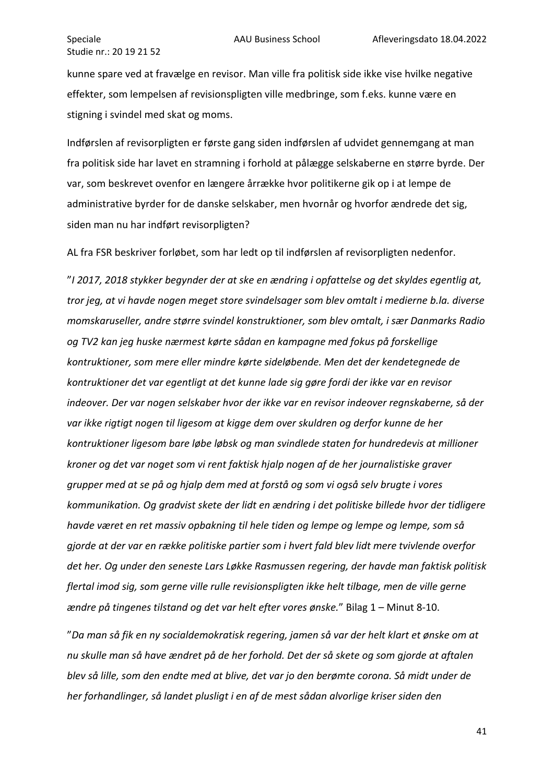kunne spare ved at fravælge en revisor. Man ville fra politisk side ikke vise hvilke negative effekter, som lempelsen af revisionspligten ville medbringe, som f.eks. kunne være en stigning i svindel med skat og moms.

Indførslen af revisorpligten er første gang siden indførslen af udvidet gennemgang at man fra politisk side har lavet en stramning i forhold at pålægge selskaberne en større byrde. Der var, som beskrevet ovenfor en længere årrække hvor politikerne gik op i at lempe de administrative byrder for de danske selskaber, men hvornår og hvorfor ændrede det sig, siden man nu har indført revisorpligten?

AL fra FSR beskriver forløbet, som har ledt op til indførslen af revisorpligten nedenfor.

"*I 2017, 2018 stykker begynder der at ske en ændring i opfattelse og det skyldes egentlig at, tror jeg, at vi havde nogen meget store svindelsager som blev omtalt i medierne b.la. diverse momskaruseller, andre større svindel konstruktioner, som blev omtalt, i sær Danmarks Radio og TV2 kan jeg huske nærmest kørte sådan en kampagne med fokus på forskellige kontruktioner, som mere eller mindre kørte sideløbende. Men det der kendetegnede de kontruktioner det var egentligt at det kunne lade sig gøre fordi der ikke var en revisor indeover. Der var nogen selskaber hvor der ikke var en revisor indeover regnskaberne, så der var ikke rigtigt nogen til ligesom at kigge dem over skuldren og derfor kunne de her kontruktioner ligesom bare løbe løbsk og man svindlede staten for hundredevis at millioner kroner og det var noget som vi rent faktisk hjalp nogen af de her journalistiske graver grupper med at se på og hjalp dem med at forstå og som vi også selv brugte i vores kommunikation. Og gradvist skete der lidt en ændring i det politiske billede hvor der tidligere havde været en ret massiv opbakning til hele tiden og lempe og lempe og lempe, som så gjorde at der var en række politiske partier som i hvert fald blev lidt mere tvivlende overfor det her. Og under den seneste Lars Løkke Rasmussen regering, der havde man faktisk politisk flertal imod sig, som gerne ville rulle revisionspligten ikke helt tilbage, men de ville gerne ændre på tingenes tilstand og det var helt efter vores ønske.*" Bilag 1 – Minut 8-10.

"*Da man så fik en ny socialdemokratisk regering, jamen så var der helt klart et ønske om at nu skulle man så have ændret på de her forhold. Det der så skete og som gjorde at aftalen blev så lille, som den endte med at blive, det var jo den berømte corona. Så midt under de her forhandlinger, så landet plusligt i en af de mest sådan alvorlige kriser siden den*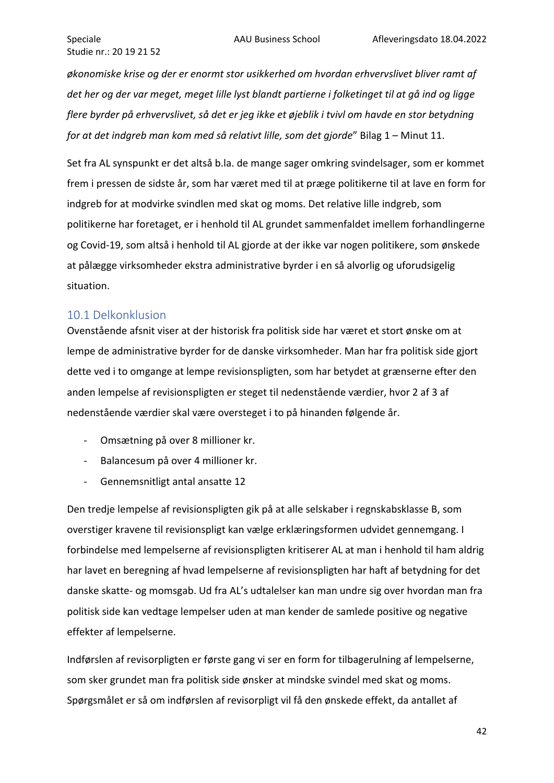*økonomiske krise og der er enormt stor usikkerhed om hvordan erhvervslivet bliver ramt af det her og der var meget, meget lille lyst blandt partierne i folketinget til at gå ind og ligge flere byrder på erhvervslivet, så det er jeg ikke et øjeblik i tvivl om havde en stor betydning for at det indgreb man kom med så relativt lille, som det gjorde*" Bilag 1 – Minut 11.

Set fra AL synspunkt er det altså b.la. de mange sager omkring svindelsager, som er kommet frem i pressen de sidste år, som har været med til at præge politikerne til at lave en form for indgreb for at modvirke svindlen med skat og moms. Det relative lille indgreb, som politikerne har foretaget, er i henhold til AL grundet sammenfaldet imellem forhandlingerne og Covid-19, som altså i henhold til AL gjorde at der ikke var nogen politikere, som ønskede at pålægge virksomheder ekstra administrative byrder i en så alvorlig og uforudsigelig situation.

## <span id="page-42-0"></span>10.1 Delkonklusion

Ovenstående afsnit viser at der historisk fra politisk side har været et stort ønske om at lempe de administrative byrder for de danske virksomheder. Man har fra politisk side gjort dette ved i to omgange at lempe revisionspligten, som har betydet at grænserne efter den anden lempelse af revisionspligten er steget til nedenstående værdier, hvor 2 af 3 af nedenstående værdier skal være oversteget i to på hinanden følgende år.

- Omsætning på over 8 millioner kr.
- Balancesum på over 4 millioner kr.
- Gennemsnitligt antal ansatte 12

Den tredje lempelse af revisionspligten gik på at alle selskaber i regnskabsklasse B, som overstiger kravene til revisionspligt kan vælge erklæringsformen udvidet gennemgang. I forbindelse med lempelserne af revisionspligten kritiserer AL at man i henhold til ham aldrig har lavet en beregning af hvad lempelserne af revisionspligten har haft af betydning for det danske skatte- og momsgab. Ud fra AL's udtalelser kan man undre sig over hvordan man fra politisk side kan vedtage lempelser uden at man kender de samlede positive og negative effekter af lempelserne.

Indførslen af revisorpligten er første gang vi ser en form for tilbagerulning af lempelserne, som sker grundet man fra politisk side ønsker at mindske svindel med skat og moms. Spørgsmålet er så om indførslen af revisorpligt vil få den ønskede effekt, da antallet af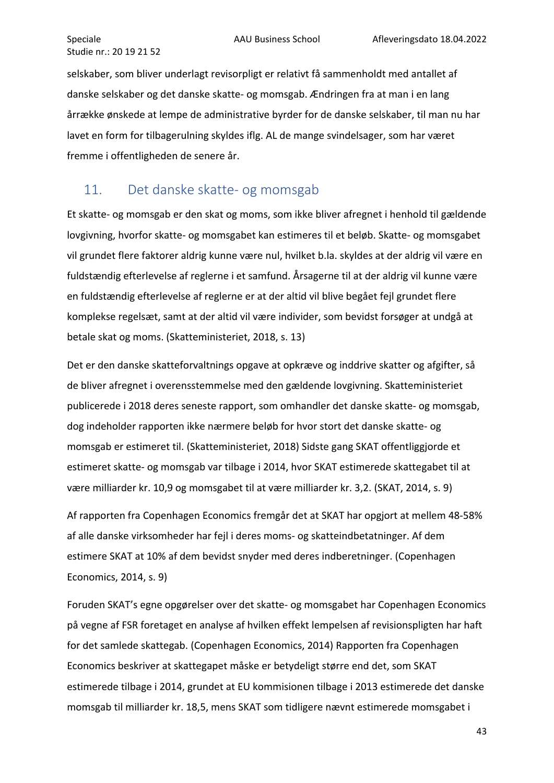selskaber, som bliver underlagt revisorpligt er relativt få sammenholdt med antallet af danske selskaber og det danske skatte- og momsgab. Ændringen fra at man i en lang årrække ønskede at lempe de administrative byrder for de danske selskaber, til man nu har lavet en form for tilbagerulning skyldes iflg. AL de mange svindelsager, som har været fremme i offentligheden de senere år.

# <span id="page-43-0"></span>11. Det danske skatte- og momsgab

Et skatte- og momsgab er den skat og moms, som ikke bliver afregnet i henhold til gældende lovgivning, hvorfor skatte- og momsgabet kan estimeres til et beløb. Skatte- og momsgabet vil grundet flere faktorer aldrig kunne være nul, hvilket b.la. skyldes at der aldrig vil være en fuldstændig efterlevelse af reglerne i et samfund. Årsagerne til at der aldrig vil kunne være en fuldstændig efterlevelse af reglerne er at der altid vil blive begået fejl grundet flere komplekse regelsæt, samt at der altid vil være individer, som bevidst forsøger at undgå at betale skat og moms. (Skatteministeriet, 2018, s. 13)

Det er den danske skatteforvaltnings opgave at opkræve og inddrive skatter og afgifter, så de bliver afregnet i overensstemmelse med den gældende lovgivning. Skatteministeriet publicerede i 2018 deres seneste rapport, som omhandler det danske skatte- og momsgab, dog indeholder rapporten ikke nærmere beløb for hvor stort det danske skatte- og momsgab er estimeret til. (Skatteministeriet, 2018) Sidste gang SKAT offentliggjorde et estimeret skatte- og momsgab var tilbage i 2014, hvor SKAT estimerede skattegabet til at være milliarder kr. 10,9 og momsgabet til at være milliarder kr. 3,2. (SKAT, 2014, s. 9)

Af rapporten fra Copenhagen Economics fremgår det at SKAT har opgjort at mellem 48-58% af alle danske virksomheder har fejl i deres moms- og skatteindbetatninger. Af dem estimere SKAT at 10% af dem bevidst snyder med deres indberetninger. (Copenhagen Economics, 2014, s. 9)

Foruden SKAT's egne opgørelser over det skatte- og momsgabet har Copenhagen Economics på vegne af FSR foretaget en analyse af hvilken effekt lempelsen af revisionspligten har haft for det samlede skattegab. (Copenhagen Economics, 2014) Rapporten fra Copenhagen Economics beskriver at skattegapet måske er betydeligt større end det, som SKAT estimerede tilbage i 2014, grundet at EU kommisionen tilbage i 2013 estimerede det danske momsgab til milliarder kr. 18,5, mens SKAT som tidligere nævnt estimerede momsgabet i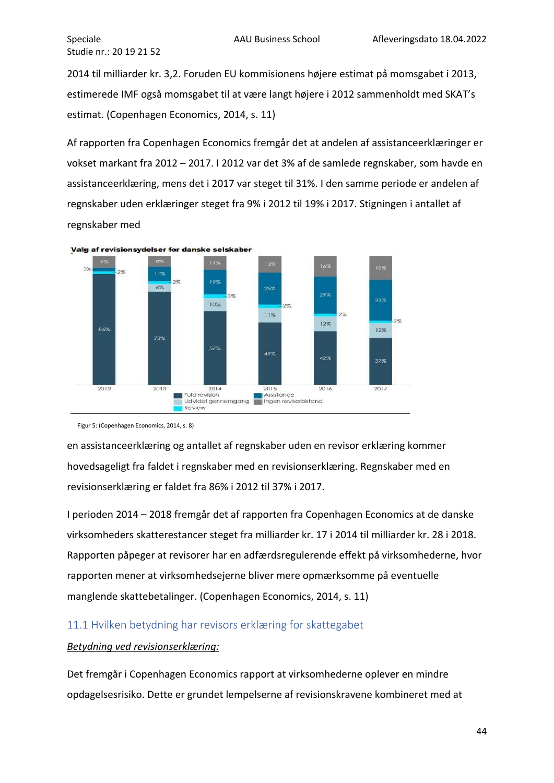2014 til milliarder kr. 3,2. Foruden EU kommisionens højere estimat på momsgabet i 2013, estimerede IMF også momsgabet til at være langt højere i 2012 sammenholdt med SKAT's estimat. (Copenhagen Economics, 2014, s. 11)

Af rapporten fra Copenhagen Economics fremgår det at andelen af assistanceerklæringer er vokset markant fra 2012 – 2017. I 2012 var det 3% af de samlede regnskaber, som havde en assistanceerklæring, mens det i 2017 var steget til 31%. I den samme periode er andelen af regnskaber uden erklæringer steget fra 9% i 2012 til 19% i 2017. Stigningen i antallet af regnskaber med



Figur 5: (Copenhagen Economics, 2014, s. 8)

en assistanceerklæring og antallet af regnskaber uden en revisor erklæring kommer hovedsageligt fra faldet i regnskaber med en revisionserklæring. Regnskaber med en revisionserklæring er faldet fra 86% i 2012 til 37% i 2017.

I perioden 2014 – 2018 fremgår det af rapporten fra Copenhagen Economics at de danske virksomheders skatterestancer steget fra milliarder kr. 17 i 2014 til milliarder kr. 28 i 2018. Rapporten påpeger at revisorer har en adfærdsregulerende effekt på virksomhederne, hvor rapporten mener at virksomhedsejerne bliver mere opmærksomme på eventuelle manglende skattebetalinger. (Copenhagen Economics, 2014, s. 11)

## <span id="page-44-0"></span>11.1 Hvilken betydning har revisors erklæring for skattegabet

#### *Betydning ved revisionserklæring:*

Det fremgår i Copenhagen Economics rapport at virksomhederne oplever en mindre opdagelsesrisiko. Dette er grundet lempelserne af revisionskravene kombineret med at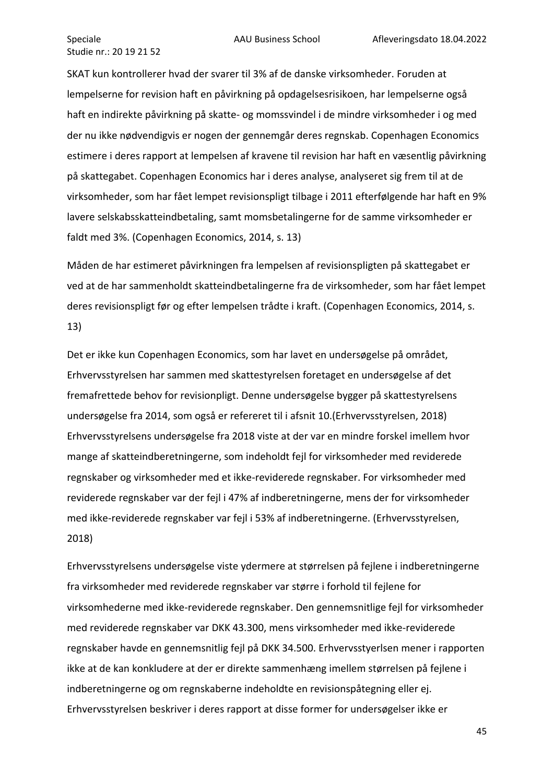SKAT kun kontrollerer hvad der svarer til 3% af de danske virksomheder. Foruden at lempelserne for revision haft en påvirkning på opdagelsesrisikoen, har lempelserne også haft en indirekte påvirkning på skatte- og momssvindel i de mindre virksomheder i og med der nu ikke nødvendigvis er nogen der gennemgår deres regnskab. Copenhagen Economics estimere i deres rapport at lempelsen af kravene til revision har haft en væsentlig påvirkning på skattegabet. Copenhagen Economics har i deres analyse, analyseret sig frem til at de virksomheder, som har fået lempet revisionspligt tilbage i 2011 efterfølgende har haft en 9% lavere selskabsskatteindbetaling, samt momsbetalingerne for de samme virksomheder er faldt med 3%. (Copenhagen Economics, 2014, s. 13)

Måden de har estimeret påvirkningen fra lempelsen af revisionspligten på skattegabet er ved at de har sammenholdt skatteindbetalingerne fra de virksomheder, som har fået lempet deres revisionspligt før og efter lempelsen trådte i kraft. (Copenhagen Economics, 2014, s. 13)

Det er ikke kun Copenhagen Economics, som har lavet en undersøgelse på området, Erhvervsstyrelsen har sammen med skattestyrelsen foretaget en undersøgelse af det fremafrettede behov for revisionpligt. Denne undersøgelse bygger på skattestyrelsens undersøgelse fra 2014, som også er refereret til i afsnit 10.(Erhvervsstyrelsen, 2018) Erhvervsstyrelsens undersøgelse fra 2018 viste at der var en mindre forskel imellem hvor mange af skatteindberetningerne, som indeholdt fejl for virksomheder med reviderede regnskaber og virksomheder med et ikke-reviderede regnskaber. For virksomheder med reviderede regnskaber var der fejl i 47% af indberetningerne, mens der for virksomheder med ikke-reviderede regnskaber var fejl i 53% af indberetningerne. (Erhvervsstyrelsen, 2018)

Erhvervsstyrelsens undersøgelse viste ydermere at størrelsen på fejlene i indberetningerne fra virksomheder med reviderede regnskaber var større i forhold til fejlene for virksomhederne med ikke-reviderede regnskaber. Den gennemsnitlige fejl for virksomheder med reviderede regnskaber var DKK 43.300, mens virksomheder med ikke-reviderede regnskaber havde en gennemsnitlig fejl på DKK 34.500. Erhvervsstyerlsen mener i rapporten ikke at de kan konkludere at der er direkte sammenhæng imellem størrelsen på fejlene i indberetningerne og om regnskaberne indeholdte en revisionspåtegning eller ej. Erhvervsstyrelsen beskriver i deres rapport at disse former for undersøgelser ikke er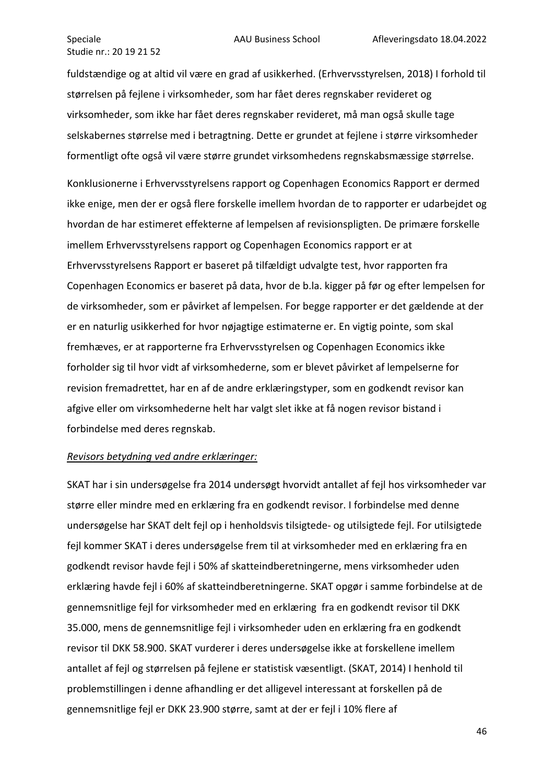fuldstændige og at altid vil være en grad af usikkerhed. (Erhvervsstyrelsen, 2018) I forhold til størrelsen på fejlene i virksomheder, som har fået deres regnskaber revideret og virksomheder, som ikke har fået deres regnskaber revideret, må man også skulle tage selskabernes størrelse med i betragtning. Dette er grundet at fejlene i større virksomheder formentligt ofte også vil være større grundet virksomhedens regnskabsmæssige størrelse.

Konklusionerne i Erhvervsstyrelsens rapport og Copenhagen Economics Rapport er dermed ikke enige, men der er også flere forskelle imellem hvordan de to rapporter er udarbejdet og hvordan de har estimeret effekterne af lempelsen af revisionspligten. De primære forskelle imellem Erhvervsstyrelsens rapport og Copenhagen Economics rapport er at Erhvervsstyrelsens Rapport er baseret på tilfældigt udvalgte test, hvor rapporten fra Copenhagen Economics er baseret på data, hvor de b.la. kigger på før og efter lempelsen for de virksomheder, som er påvirket af lempelsen. For begge rapporter er det gældende at der er en naturlig usikkerhed for hvor nøjagtige estimaterne er. En vigtig pointe, som skal fremhæves, er at rapporterne fra Erhvervsstyrelsen og Copenhagen Economics ikke forholder sig til hvor vidt af virksomhederne, som er blevet påvirket af lempelserne for revision fremadrettet, har en af de andre erklæringstyper, som en godkendt revisor kan afgive eller om virksomhederne helt har valgt slet ikke at få nogen revisor bistand i forbindelse med deres regnskab.

#### *Revisors betydning ved andre erklæringer:*

SKAT har i sin undersøgelse fra 2014 undersøgt hvorvidt antallet af fejl hos virksomheder var større eller mindre med en erklæring fra en godkendt revisor. I forbindelse med denne undersøgelse har SKAT delt fejl op i henholdsvis tilsigtede- og utilsigtede fejl. For utilsigtede fejl kommer SKAT i deres undersøgelse frem til at virksomheder med en erklæring fra en godkendt revisor havde fejl i 50% af skatteindberetningerne, mens virksomheder uden erklæring havde fejl i 60% af skatteindberetningerne. SKAT opgør i samme forbindelse at de gennemsnitlige fejl for virksomheder med en erklæring fra en godkendt revisor til DKK 35.000, mens de gennemsnitlige fejl i virksomheder uden en erklæring fra en godkendt revisor til DKK 58.900. SKAT vurderer i deres undersøgelse ikke at forskellene imellem antallet af fejl og størrelsen på fejlene er statistisk væsentligt. (SKAT, 2014) I henhold til problemstillingen i denne afhandling er det alligevel interessant at forskellen på de gennemsnitlige fejl er DKK 23.900 større, samt at der er fejl i 10% flere af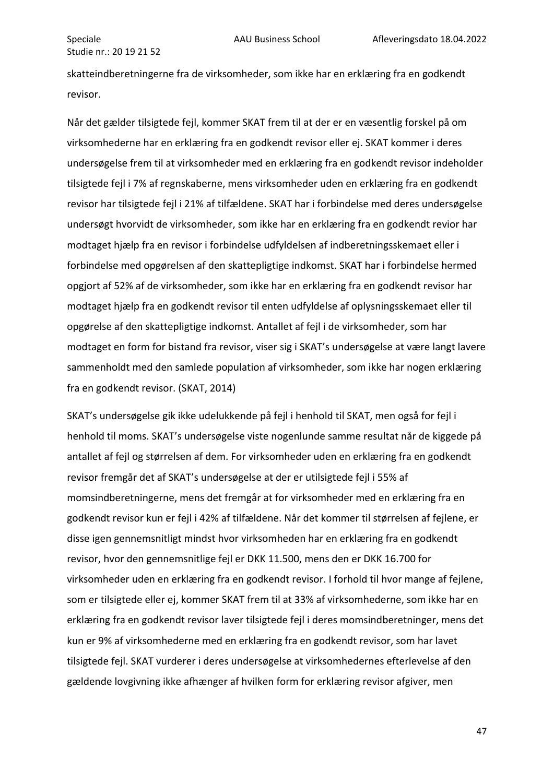skatteindberetningerne fra de virksomheder, som ikke har en erklæring fra en godkendt revisor.

Når det gælder tilsigtede fejl, kommer SKAT frem til at der er en væsentlig forskel på om virksomhederne har en erklæring fra en godkendt revisor eller ej. SKAT kommer i deres undersøgelse frem til at virksomheder med en erklæring fra en godkendt revisor indeholder tilsigtede fejl i 7% af regnskaberne, mens virksomheder uden en erklæring fra en godkendt revisor har tilsigtede fejl i 21% af tilfældene. SKAT har i forbindelse med deres undersøgelse undersøgt hvorvidt de virksomheder, som ikke har en erklæring fra en godkendt revior har modtaget hjælp fra en revisor i forbindelse udfyldelsen af indberetningsskemaet eller i forbindelse med opgørelsen af den skattepligtige indkomst. SKAT har i forbindelse hermed opgjort af 52% af de virksomheder, som ikke har en erklæring fra en godkendt revisor har modtaget hjælp fra en godkendt revisor til enten udfyldelse af oplysningsskemaet eller til opgørelse af den skattepligtige indkomst. Antallet af fejl i de virksomheder, som har modtaget en form for bistand fra revisor, viser sig i SKAT's undersøgelse at være langt lavere sammenholdt med den samlede population af virksomheder, som ikke har nogen erklæring fra en godkendt revisor. (SKAT, 2014)

SKAT's undersøgelse gik ikke udelukkende på fejl i henhold til SKAT, men også for fejl i henhold til moms. SKAT's undersøgelse viste nogenlunde samme resultat når de kiggede på antallet af fejl og størrelsen af dem. For virksomheder uden en erklæring fra en godkendt revisor fremgår det af SKAT's undersøgelse at der er utilsigtede fejl i 55% af momsindberetningerne, mens det fremgår at for virksomheder med en erklæring fra en godkendt revisor kun er fejl i 42% af tilfældene. Når det kommer til størrelsen af fejlene, er disse igen gennemsnitligt mindst hvor virksomheden har en erklæring fra en godkendt revisor, hvor den gennemsnitlige fejl er DKK 11.500, mens den er DKK 16.700 for virksomheder uden en erklæring fra en godkendt revisor. I forhold til hvor mange af fejlene, som er tilsigtede eller ej, kommer SKAT frem til at 33% af virksomhederne, som ikke har en erklæring fra en godkendt revisor laver tilsigtede fejl i deres momsindberetninger, mens det kun er 9% af virksomhederne med en erklæring fra en godkendt revisor, som har lavet tilsigtede fejl. SKAT vurderer i deres undersøgelse at virksomhedernes efterlevelse af den gældende lovgivning ikke afhænger af hvilken form for erklæring revisor afgiver, men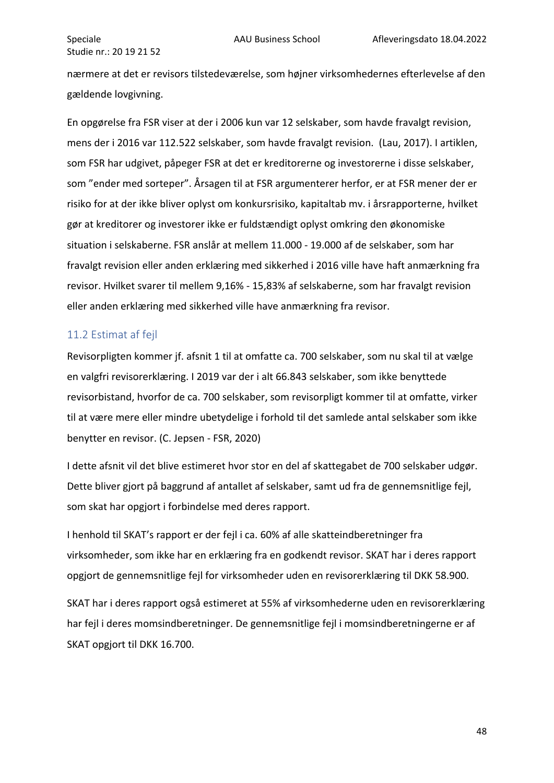nærmere at det er revisors tilstedeværelse, som højner virksomhedernes efterlevelse af den gældende lovgivning.

En opgørelse fra FSR viser at der i 2006 kun var 12 selskaber, som havde fravalgt revision, mens der i 2016 var 112.522 selskaber, som havde fravalgt revision. (Lau, 2017). I artiklen, som FSR har udgivet, påpeger FSR at det er kreditorerne og investorerne i disse selskaber, som "ender med sorteper". Årsagen til at FSR argumenterer herfor, er at FSR mener der er risiko for at der ikke bliver oplyst om konkursrisiko, kapitaltab mv. i årsrapporterne, hvilket gør at kreditorer og investorer ikke er fuldstændigt oplyst omkring den økonomiske situation i selskaberne. FSR anslår at mellem 11.000 - 19.000 af de selskaber, som har fravalgt revision eller anden erklæring med sikkerhed i 2016 ville have haft anmærkning fra revisor. Hvilket svarer til mellem 9,16% - 15,83% af selskaberne, som har fravalgt revision eller anden erklæring med sikkerhed ville have anmærkning fra revisor.

## <span id="page-48-0"></span>11.2 Estimat af fejl

Revisorpligten kommer jf. afsnit 1 til at omfatte ca. 700 selskaber, som nu skal til at vælge en valgfri revisorerklæring. I 2019 var der i alt 66.843 selskaber, som ikke benyttede revisorbistand, hvorfor de ca. 700 selskaber, som revisorpligt kommer til at omfatte, virker til at være mere eller mindre ubetydelige i forhold til det samlede antal selskaber som ikke benytter en revisor. (C. Jepsen - FSR, 2020)

I dette afsnit vil det blive estimeret hvor stor en del af skattegabet de 700 selskaber udgør. Dette bliver gjort på baggrund af antallet af selskaber, samt ud fra de gennemsnitlige fejl, som skat har opgjort i forbindelse med deres rapport.

I henhold til SKAT's rapport er der fejl i ca. 60% af alle skatteindberetninger fra virksomheder, som ikke har en erklæring fra en godkendt revisor. SKAT har i deres rapport opgjort de gennemsnitlige fejl for virksomheder uden en revisorerklæring til DKK 58.900.

SKAT har i deres rapport også estimeret at 55% af virksomhederne uden en revisorerklæring har fejl i deres momsindberetninger. De gennemsnitlige fejl i momsindberetningerne er af SKAT opgjort til DKK 16.700.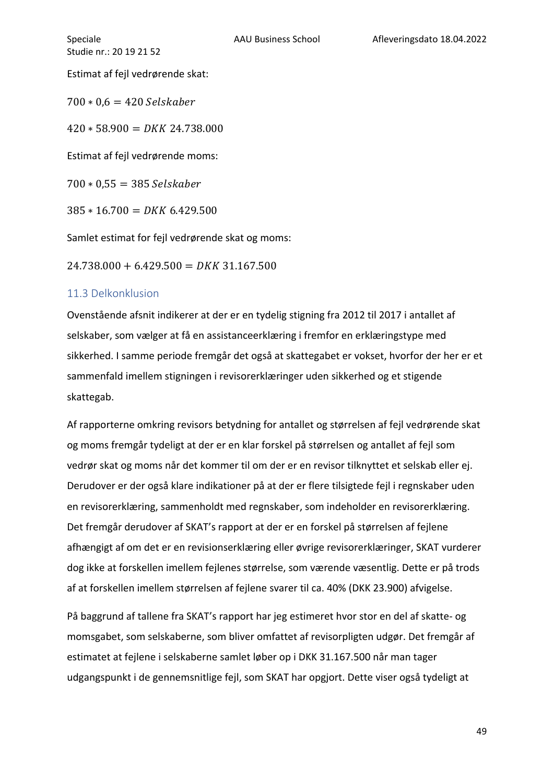Estimat af fejl vedrørende skat:

 $700 * 0.6 = 420$  Selskaber

 $420 * 58.900 = DKK\,24.738.000$ 

Estimat af fejl vedrørende moms:

 $700 * 0,55 = 385 \text{ Selskaber}$ 

 $385 * 16.700 = DKK 6.429.500$ 

Samlet estimat for fejl vedrørende skat og moms:

 $24.738.000 + 6.429.500 = DKK$  31.167.500

#### <span id="page-49-0"></span>11.3 Delkonklusion

Ovenstående afsnit indikerer at der er en tydelig stigning fra 2012 til 2017 i antallet af selskaber, som vælger at få en assistanceerklæring i fremfor en erklæringstype med sikkerhed. I samme periode fremgår det også at skattegabet er vokset, hvorfor der her er et sammenfald imellem stigningen i revisorerklæringer uden sikkerhed og et stigende skattegab.

Af rapporterne omkring revisors betydning for antallet og størrelsen af fejl vedrørende skat og moms fremgår tydeligt at der er en klar forskel på størrelsen og antallet af fejl som vedrør skat og moms når det kommer til om der er en revisor tilknyttet et selskab eller ej. Derudover er der også klare indikationer på at der er flere tilsigtede fejl i regnskaber uden en revisorerklæring, sammenholdt med regnskaber, som indeholder en revisorerklæring. Det fremgår derudover af SKAT's rapport at der er en forskel på størrelsen af fejlene afhængigt af om det er en revisionserklæring eller øvrige revisorerklæringer, SKAT vurderer dog ikke at forskellen imellem fejlenes størrelse, som værende væsentlig. Dette er på trods af at forskellen imellem størrelsen af fejlene svarer til ca. 40% (DKK 23.900) afvigelse.

På baggrund af tallene fra SKAT's rapport har jeg estimeret hvor stor en del af skatte- og momsgabet, som selskaberne, som bliver omfattet af revisorpligten udgør. Det fremgår af estimatet at fejlene i selskaberne samlet løber op i DKK 31.167.500 når man tager udgangspunkt i de gennemsnitlige fejl, som SKAT har opgjort. Dette viser også tydeligt at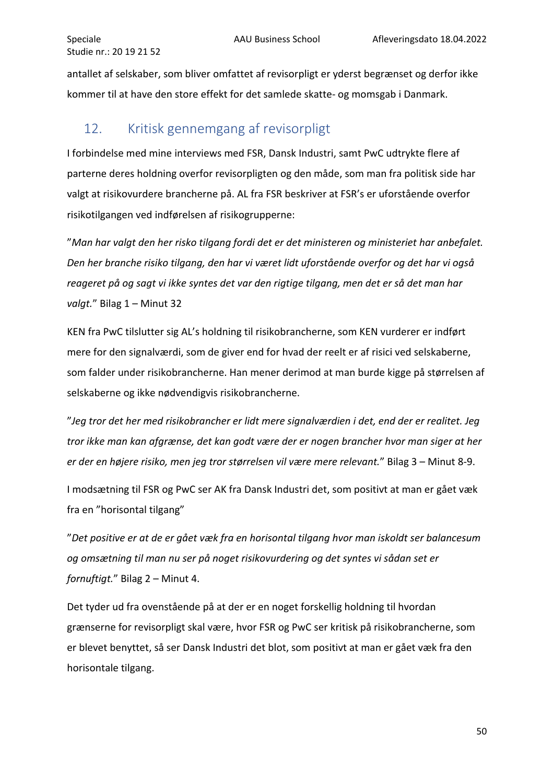antallet af selskaber, som bliver omfattet af revisorpligt er yderst begrænset og derfor ikke kommer til at have den store effekt for det samlede skatte- og momsgab i Danmark.

# <span id="page-50-0"></span>12. Kritisk gennemgang af revisorpligt

I forbindelse med mine interviews med FSR, Dansk Industri, samt PwC udtrykte flere af parterne deres holdning overfor revisorpligten og den måde, som man fra politisk side har valgt at risikovurdere brancherne på. AL fra FSR beskriver at FSR's er uforstående overfor risikotilgangen ved indførelsen af risikogrupperne:

"*Man har valgt den her risko tilgang fordi det er det ministeren og ministeriet har anbefalet. Den her branche risiko tilgang, den har vi været lidt uforstående overfor og det har vi også reageret på og sagt vi ikke syntes det var den rigtige tilgang, men det er så det man har*  valgt." Bilag 1 – Minut 32

KEN fra PwC tilslutter sig AL's holdning til risikobrancherne, som KEN vurderer er indført mere for den signalværdi, som de giver end for hvad der reelt er af risici ved selskaberne, som falder under risikobrancherne. Han mener derimod at man burde kigge på størrelsen af selskaberne og ikke nødvendigvis risikobrancherne.

"*Jeg tror det her med risikobrancher er lidt mere signalværdien i det, end der er realitet. Jeg tror ikke man kan afgrænse, det kan godt være der er nogen brancher hvor man siger at her er der en højere risiko, men jeg tror størrelsen vil være mere relevant.*" Bilag 3 – Minut 8-9.

I modsætning til FSR og PwC ser AK fra Dansk Industri det, som positivt at man er gået væk fra en "horisontal tilgang"

"*Det positive er at de er gået væk fra en horisontal tilgang hvor man iskoldt ser balancesum og omsætning til man nu ser på noget risikovurdering og det syntes vi sådan set er fornuftigt.*" Bilag 2 – Minut 4.

Det tyder ud fra ovenstående på at der er en noget forskellig holdning til hvordan grænserne for revisorpligt skal være, hvor FSR og PwC ser kritisk på risikobrancherne, som er blevet benyttet, så ser Dansk Industri det blot, som positivt at man er gået væk fra den horisontale tilgang.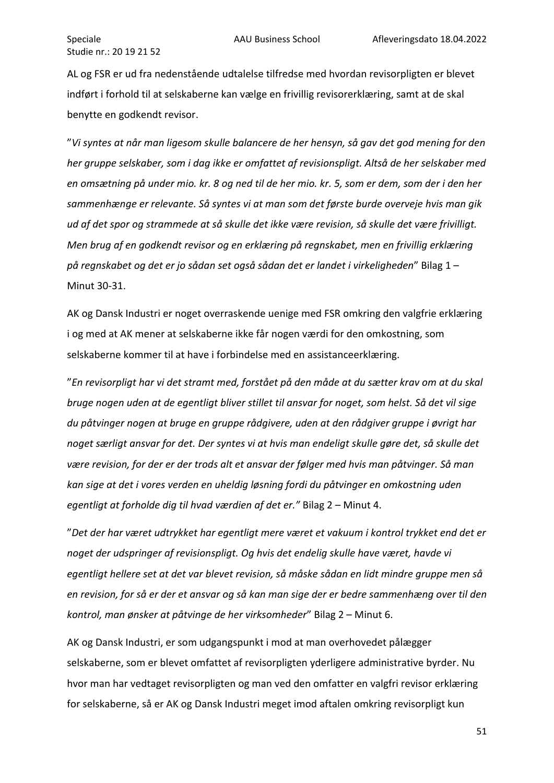AL og FSR er ud fra nedenstående udtalelse tilfredse med hvordan revisorpligten er blevet indført i forhold til at selskaberne kan vælge en frivillig revisorerklæring, samt at de skal benytte en godkendt revisor.

"*Vi syntes at når man ligesom skulle balancere de her hensyn, så gav det god mening for den her gruppe selskaber, som i dag ikke er omfattet af revisionspligt. Altså de her selskaber med en omsætning på under mio. kr. 8 og ned til de her mio. kr. 5, som er dem, som der i den her sammenhænge er relevante. Så syntes vi at man som det første burde overveje hvis man gik ud af det spor og strammede at så skulle det ikke være revision, så skulle det være frivilligt. Men brug af en godkendt revisor og en erklæring på regnskabet, men en frivillig erklæring på regnskabet og det er jo sådan set også sådan det er landet i virkeligheden*" Bilag 1 – Minut 30-31.

AK og Dansk Industri er noget overraskende uenige med FSR omkring den valgfrie erklæring i og med at AK mener at selskaberne ikke får nogen værdi for den omkostning, som selskaberne kommer til at have i forbindelse med en assistanceerklæring.

"*En revisorpligt har vi det stramt med, forstået på den måde at du sætter krav om at du skal bruge nogen uden at de egentligt bliver stillet til ansvar for noget, som helst. Så det vil sige du påtvinger nogen at bruge en gruppe rådgivere, uden at den rådgiver gruppe i øvrigt har noget særligt ansvar for det. Der syntes vi at hvis man endeligt skulle gøre det, så skulle det være revision, for der er der trods alt et ansvar der følger med hvis man påtvinger. Så man kan sige at det i vores verden en uheldig løsning fordi du påtvinger en omkostning uden egentligt at forholde dig til hvad værdien af det er."* Bilag 2 – Minut 4.

"*Det der har været udtrykket har egentligt mere været et vakuum i kontrol trykket end det er noget der udspringer af revisionspligt. Og hvis det endelig skulle have været, havde vi egentligt hellere set at det var blevet revision, så måske sådan en lidt mindre gruppe men så en revision, for så er der et ansvar og så kan man sige der er bedre sammenhæng over til den kontrol, man ønsker at påtvinge de her virksomheder*" Bilag 2 – Minut 6.

AK og Dansk Industri, er som udgangspunkt i mod at man overhovedet pålægger selskaberne, som er blevet omfattet af revisorpligten yderligere administrative byrder. Nu hvor man har vedtaget revisorpligten og man ved den omfatter en valgfri revisor erklæring for selskaberne, så er AK og Dansk Industri meget imod aftalen omkring revisorpligt kun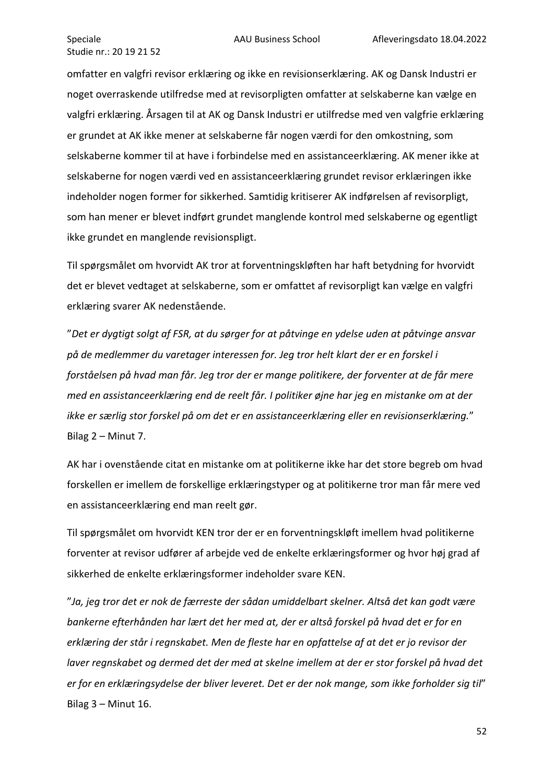omfatter en valgfri revisor erklæring og ikke en revisionserklæring. AK og Dansk Industri er noget overraskende utilfredse med at revisorpligten omfatter at selskaberne kan vælge en valgfri erklæring. Årsagen til at AK og Dansk Industri er utilfredse med ven valgfrie erklæring er grundet at AK ikke mener at selskaberne får nogen værdi for den omkostning, som selskaberne kommer til at have i forbindelse med en assistanceerklæring. AK mener ikke at selskaberne for nogen værdi ved en assistanceerklæring grundet revisor erklæringen ikke indeholder nogen former for sikkerhed. Samtidig kritiserer AK indførelsen af revisorpligt, som han mener er blevet indført grundet manglende kontrol med selskaberne og egentligt ikke grundet en manglende revisionspligt.

Til spørgsmålet om hvorvidt AK tror at forventningskløften har haft betydning for hvorvidt det er blevet vedtaget at selskaberne, som er omfattet af revisorpligt kan vælge en valgfri erklæring svarer AK nedenstående.

"*Det er dygtigt solgt af FSR, at du sørger for at påtvinge en ydelse uden at påtvinge ansvar på de medlemmer du varetager interessen for. Jeg tror helt klart der er en forskel i forståelsen på hvad man får. Jeg tror der er mange politikere, der forventer at de får mere med en assistanceerklæring end de reelt får. I politiker øjne har jeg en mistanke om at der ikke er særlig stor forskel på om det er en assistanceerklæring eller en revisionserklæring.*" Bilag 2 – Minut 7.

AK har i ovenstående citat en mistanke om at politikerne ikke har det store begreb om hvad forskellen er imellem de forskellige erklæringstyper og at politikerne tror man får mere ved en assistanceerklæring end man reelt gør.

Til spørgsmålet om hvorvidt KEN tror der er en forventningskløft imellem hvad politikerne forventer at revisor udfører af arbejde ved de enkelte erklæringsformer og hvor høj grad af sikkerhed de enkelte erklæringsformer indeholder svare KEN.

"*Ja, jeg tror det er nok de færreste der sådan umiddelbart skelner. Altså det kan godt være bankerne efterhånden har lært det her med at, der er altså forskel på hvad det er for en erklæring der står i regnskabet. Men de fleste har en opfattelse af at det er jo revisor der laver regnskabet og dermed det der med at skelne imellem at der er stor forskel på hvad det er for en erklæringsydelse der bliver leveret. Det er der nok mange, som ikke forholder sig til*" Bilag 3 – Minut 16.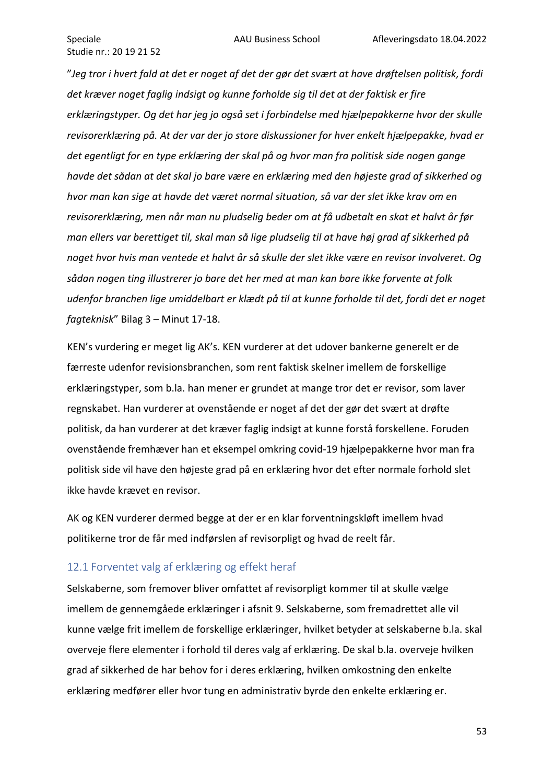"*Jeg tror i hvert fald at det er noget af det der gør det svært at have drøftelsen politisk, fordi det kræver noget faglig indsigt og kunne forholde sig til det at der faktisk er fire erklæringstyper. Og det har jeg jo også set i forbindelse med hjælpepakkerne hvor der skulle revisorerklæring på. At der var der jo store diskussioner for hver enkelt hjælpepakke, hvad er det egentligt for en type erklæring der skal på og hvor man fra politisk side nogen gange havde det sådan at det skal jo bare være en erklæring med den højeste grad af sikkerhed og hvor man kan sige at havde det været normal situation, så var der slet ikke krav om en revisorerklæring, men når man nu pludselig beder om at få udbetalt en skat et halvt år før man ellers var berettiget til, skal man så lige pludselig til at have høj grad af sikkerhed på noget hvor hvis man ventede et halvt år så skulle der slet ikke være en revisor involveret. Og sådan nogen ting illustrerer jo bare det her med at man kan bare ikke forvente at folk udenfor branchen lige umiddelbart er klædt på til at kunne forholde til det, fordi det er noget fagteknisk*" Bilag 3 – Minut 17-18.

KEN's vurdering er meget lig AK's. KEN vurderer at det udover bankerne generelt er de færreste udenfor revisionsbranchen, som rent faktisk skelner imellem de forskellige erklæringstyper, som b.la. han mener er grundet at mange tror det er revisor, som laver regnskabet. Han vurderer at ovenstående er noget af det der gør det svært at drøfte politisk, da han vurderer at det kræver faglig indsigt at kunne forstå forskellene. Foruden ovenstående fremhæver han et eksempel omkring covid-19 hjælpepakkerne hvor man fra politisk side vil have den højeste grad på en erklæring hvor det efter normale forhold slet ikke havde krævet en revisor.

AK og KEN vurderer dermed begge at der er en klar forventningskløft imellem hvad politikerne tror de får med indførslen af revisorpligt og hvad de reelt får.

#### <span id="page-53-0"></span>12.1 Forventet valg af erklæring og effekt heraf

Selskaberne, som fremover bliver omfattet af revisorpligt kommer til at skulle vælge imellem de gennemgåede erklæringer i afsnit 9. Selskaberne, som fremadrettet alle vil kunne vælge frit imellem de forskellige erklæringer, hvilket betyder at selskaberne b.la. skal overveje flere elementer i forhold til deres valg af erklæring. De skal b.la. overveje hvilken grad af sikkerhed de har behov for i deres erklæring, hvilken omkostning den enkelte erklæring medfører eller hvor tung en administrativ byrde den enkelte erklæring er.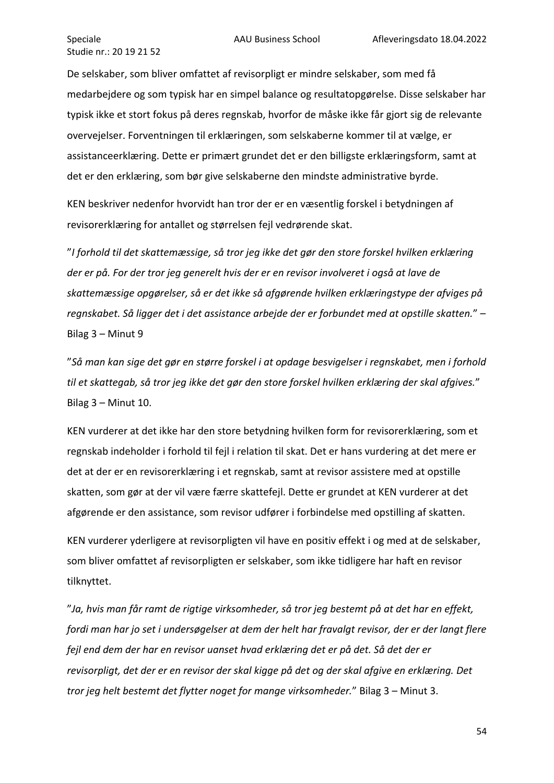De selskaber, som bliver omfattet af revisorpligt er mindre selskaber, som med få medarbejdere og som typisk har en simpel balance og resultatopgørelse. Disse selskaber har typisk ikke et stort fokus på deres regnskab, hvorfor de måske ikke får gjort sig de relevante overvejelser. Forventningen til erklæringen, som selskaberne kommer til at vælge, er assistanceerklæring. Dette er primært grundet det er den billigste erklæringsform, samt at det er den erklæring, som bør give selskaberne den mindste administrative byrde.

KEN beskriver nedenfor hvorvidt han tror der er en væsentlig forskel i betydningen af revisorerklæring for antallet og størrelsen fejl vedrørende skat.

"*I forhold til det skattemæssige, så tror jeg ikke det gør den store forskel hvilken erklæring der er på. For der tror jeg generelt hvis der er en revisor involveret i også at lave de skattemæssige opgørelser, så er det ikke så afgørende hvilken erklæringstype der afviges på regnskabet. Så ligger det i det assistance arbejde der er forbundet med at opstille skatten.*" – Bilag 3 – Minut 9

"*Så man kan sige det gør en større forskel i at opdage besvigelser i regnskabet, men i forhold til et skattegab, så tror jeg ikke det gør den store forskel hvilken erklæring der skal afgives.*" Bilag 3 – Minut 10.

KEN vurderer at det ikke har den store betydning hvilken form for revisorerklæring, som et regnskab indeholder i forhold til fejl i relation til skat. Det er hans vurdering at det mere er det at der er en revisorerklæring i et regnskab, samt at revisor assistere med at opstille skatten, som gør at der vil være færre skattefejl. Dette er grundet at KEN vurderer at det afgørende er den assistance, som revisor udfører i forbindelse med opstilling af skatten.

KEN vurderer yderligere at revisorpligten vil have en positiv effekt i og med at de selskaber, som bliver omfattet af revisorpligten er selskaber, som ikke tidligere har haft en revisor tilknyttet.

"*Ja, hvis man får ramt de rigtige virksomheder, så tror jeg bestemt på at det har en effekt, fordi man har jo set i undersøgelser at dem der helt har fravalgt revisor, der er der langt flere fejl end dem der har en revisor uanset hvad erklæring det er på det. Så det der er revisorpligt, det der er en revisor der skal kigge på det og der skal afgive en erklæring. Det tror jeg helt bestemt det flytter noget for mange virksomheder.*" Bilag 3 – Minut 3.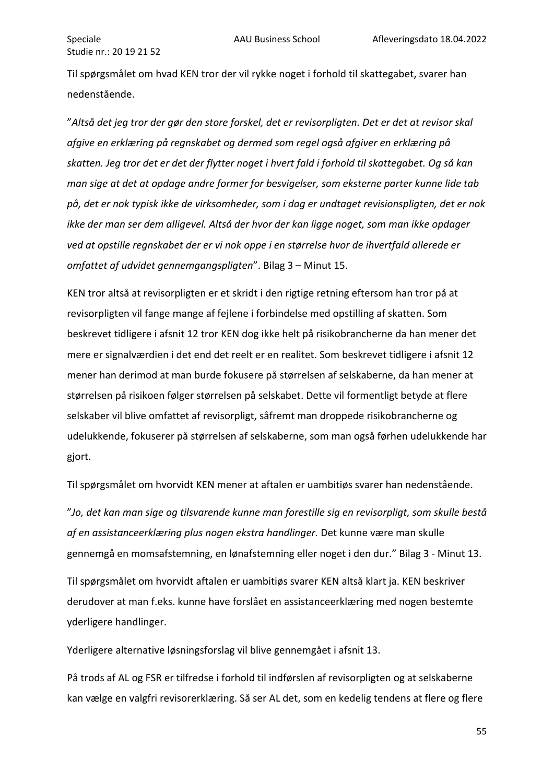Til spørgsmålet om hvad KEN tror der vil rykke noget i forhold til skattegabet, svarer han nedenstående.

"*Altså det jeg tror der gør den store forskel, det er revisorpligten. Det er det at revisor skal afgive en erklæring på regnskabet og dermed som regel også afgiver en erklæring på skatten. Jeg tror det er det der flytter noget i hvert fald i forhold til skattegabet. Og så kan man sige at det at opdage andre former for besvigelser, som eksterne parter kunne lide tab på, det er nok typisk ikke de virksomheder, som i dag er undtaget revisionspligten, det er nok ikke der man ser dem alligevel. Altså der hvor der kan ligge noget, som man ikke opdager ved at opstille regnskabet der er vi nok oppe i en størrelse hvor de ihvertfald allerede er omfattet af udvidet gennemgangspligten*". Bilag 3 – Minut 15.

KEN tror altså at revisorpligten er et skridt i den rigtige retning eftersom han tror på at revisorpligten vil fange mange af fejlene i forbindelse med opstilling af skatten. Som beskrevet tidligere i afsnit 12 tror KEN dog ikke helt på risikobrancherne da han mener det mere er signalværdien i det end det reelt er en realitet. Som beskrevet tidligere i afsnit 12 mener han derimod at man burde fokusere på størrelsen af selskaberne, da han mener at størrelsen på risikoen følger størrelsen på selskabet. Dette vil formentligt betyde at flere selskaber vil blive omfattet af revisorpligt, såfremt man droppede risikobrancherne og udelukkende, fokuserer på størrelsen af selskaberne, som man også førhen udelukkende har gjort.

Til spørgsmålet om hvorvidt KEN mener at aftalen er uambitiøs svarer han nedenstående.

"*Jo, det kan man sige og tilsvarende kunne man forestille sig en revisorpligt, som skulle bestå af en assistanceerklæring plus nogen ekstra handlinger.* Det kunne være man skulle gennemgå en momsafstemning, en lønafstemning eller noget i den dur." Bilag 3 - Minut 13.

Til spørgsmålet om hvorvidt aftalen er uambitiøs svarer KEN altså klart ja. KEN beskriver derudover at man f.eks. kunne have forslået en assistanceerklæring med nogen bestemte yderligere handlinger.

Yderligere alternative løsningsforslag vil blive gennemgået i afsnit 13.

På trods af AL og FSR er tilfredse i forhold til indførslen af revisorpligten og at selskaberne kan vælge en valgfri revisorerklæring. Så ser AL det, som en kedelig tendens at flere og flere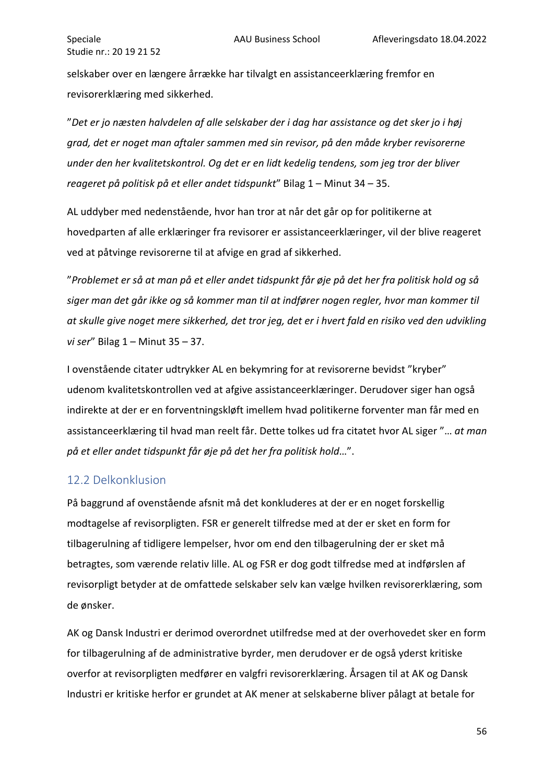selskaber over en længere årrække har tilvalgt en assistanceerklæring fremfor en revisorerklæring med sikkerhed.

"*Det er jo næsten halvdelen af alle selskaber der i dag har assistance og det sker jo i høj grad, det er noget man aftaler sammen med sin revisor, på den måde kryber revisorerne under den her kvalitetskontrol. Og det er en lidt kedelig tendens, som jeg tror der bliver reageret på politisk på et eller andet tidspunkt*" Bilag 1 – Minut 34 – 35.

AL uddyber med nedenstående, hvor han tror at når det går op for politikerne at hovedparten af alle erklæringer fra revisorer er assistanceerklæringer, vil der blive reageret ved at påtvinge revisorerne til at afvige en grad af sikkerhed.

"*Problemet er så at man på et eller andet tidspunkt får øje på det her fra politisk hold og så siger man det går ikke og så kommer man til at indfører nogen regler, hvor man kommer til at skulle give noget mere sikkerhed, det tror jeg, det er i hvert fald en risiko ved den udvikling vi ser*" Bilag 1 – Minut 35 – 37.

I ovenstående citater udtrykker AL en bekymring for at revisorerne bevidst "kryber" udenom kvalitetskontrollen ved at afgive assistanceerklæringer. Derudover siger han også indirekte at der er en forventningskløft imellem hvad politikerne forventer man får med en assistanceerklæring til hvad man reelt får. Dette tolkes ud fra citatet hvor AL siger "… *at man på et eller andet tidspunkt får øje på det her fra politisk hold*…".

## <span id="page-56-0"></span>12.2 Delkonklusion

På baggrund af ovenstående afsnit må det konkluderes at der er en noget forskellig modtagelse af revisorpligten. FSR er generelt tilfredse med at der er sket en form for tilbagerulning af tidligere lempelser, hvor om end den tilbagerulning der er sket må betragtes, som værende relativ lille. AL og FSR er dog godt tilfredse med at indførslen af revisorpligt betyder at de omfattede selskaber selv kan vælge hvilken revisorerklæring, som de ønsker.

AK og Dansk Industri er derimod overordnet utilfredse med at der overhovedet sker en form for tilbagerulning af de administrative byrder, men derudover er de også yderst kritiske overfor at revisorpligten medfører en valgfri revisorerklæring. Årsagen til at AK og Dansk Industri er kritiske herfor er grundet at AK mener at selskaberne bliver pålagt at betale for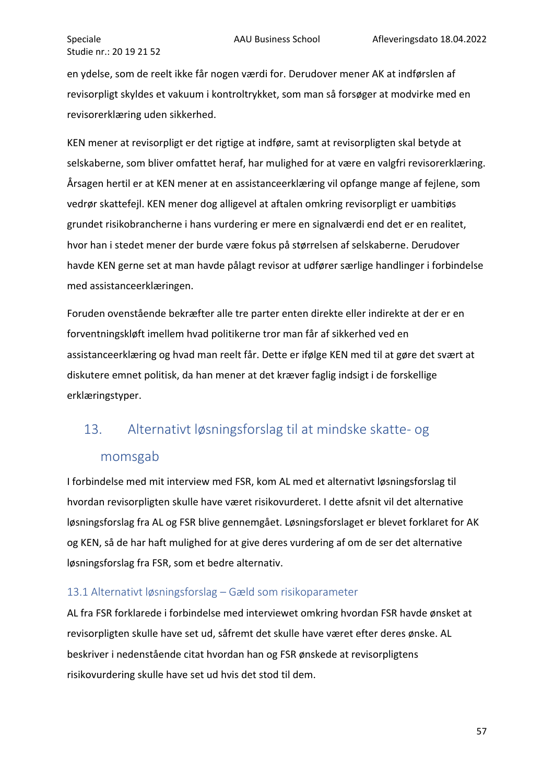en ydelse, som de reelt ikke får nogen værdi for. Derudover mener AK at indførslen af revisorpligt skyldes et vakuum i kontroltrykket, som man så forsøger at modvirke med en revisorerklæring uden sikkerhed.

KEN mener at revisorpligt er det rigtige at indføre, samt at revisorpligten skal betyde at selskaberne, som bliver omfattet heraf, har mulighed for at være en valgfri revisorerklæring. Årsagen hertil er at KEN mener at en assistanceerklæring vil opfange mange af fejlene, som vedrør skattefejl. KEN mener dog alligevel at aftalen omkring revisorpligt er uambitiøs grundet risikobrancherne i hans vurdering er mere en signalværdi end det er en realitet, hvor han i stedet mener der burde være fokus på størrelsen af selskaberne. Derudover havde KEN gerne set at man havde pålagt revisor at udfører særlige handlinger i forbindelse med assistanceerklæringen.

Foruden ovenstående bekræfter alle tre parter enten direkte eller indirekte at der er en forventningskløft imellem hvad politikerne tror man får af sikkerhed ved en assistanceerklæring og hvad man reelt får. Dette er ifølge KEN med til at gøre det svært at diskutere emnet politisk, da han mener at det kræver faglig indsigt i de forskellige erklæringstyper.

# <span id="page-57-0"></span>13. Alternativt løsningsforslag til at mindske skatte- og

## momsgab

I forbindelse med mit interview med FSR, kom AL med et alternativt løsningsforslag til hvordan revisorpligten skulle have været risikovurderet. I dette afsnit vil det alternative løsningsforslag fra AL og FSR blive gennemgået. Løsningsforslaget er blevet forklaret for AK og KEN, så de har haft mulighed for at give deres vurdering af om de ser det alternative løsningsforslag fra FSR, som et bedre alternativ.

#### <span id="page-57-1"></span>13.1 Alternativt løsningsforslag – Gæld som risikoparameter

AL fra FSR forklarede i forbindelse med interviewet omkring hvordan FSR havde ønsket at revisorpligten skulle have set ud, såfremt det skulle have været efter deres ønske. AL beskriver i nedenstående citat hvordan han og FSR ønskede at revisorpligtens risikovurdering skulle have set ud hvis det stod til dem.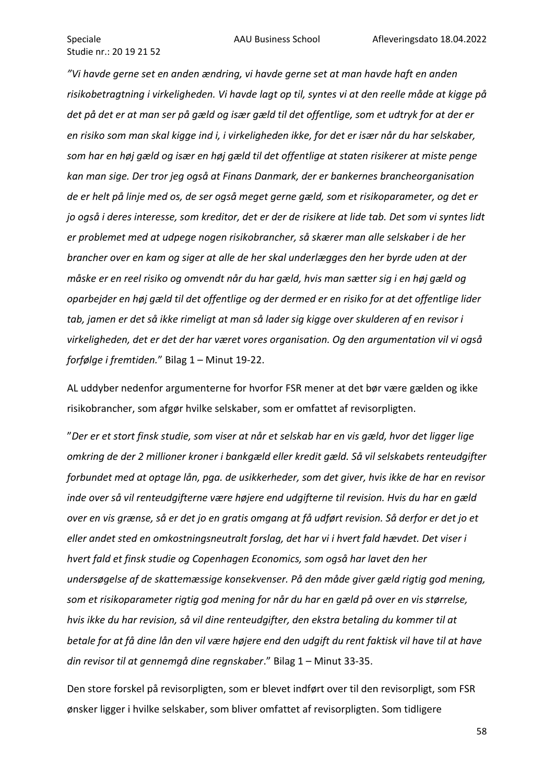*"Vi havde gerne set en anden ændring, vi havde gerne set at man havde haft en anden risikobetragtning i virkeligheden. Vi havde lagt op til, syntes vi at den reelle måde at kigge på det på det er at man ser på gæld og især gæld til det offentlige, som et udtryk for at der er en risiko som man skal kigge ind i, i virkeligheden ikke, for det er især når du har selskaber, som har en høj gæld og især en høj gæld til det offentlige at staten risikerer at miste penge kan man sige. Der tror jeg også at Finans Danmark, der er bankernes brancheorganisation de er helt på linje med os, de ser også meget gerne gæld, som et risikoparameter, og det er jo også i deres interesse, som kreditor, det er der de risikere at lide tab. Det som vi syntes lidt er problemet med at udpege nogen risikobrancher, så skærer man alle selskaber i de her brancher over en kam og siger at alle de her skal underlægges den her byrde uden at der måske er en reel risiko og omvendt når du har gæld, hvis man sætter sig i en høj gæld og oparbejder en høj gæld til det offentlige og der dermed er en risiko for at det offentlige lider tab, jamen er det så ikke rimeligt at man så lader sig kigge over skulderen af en revisor i virkeligheden, det er det der har været vores organisation. Og den argumentation vil vi også forfølge i fremtiden.*" Bilag 1 – Minut 19-22.

AL uddyber nedenfor argumenterne for hvorfor FSR mener at det bør være gælden og ikke risikobrancher, som afgør hvilke selskaber, som er omfattet af revisorpligten.

"*Der er et stort finsk studie, som viser at når et selskab har en vis gæld, hvor det ligger lige omkring de der 2 millioner kroner i bankgæld eller kredit gæld. Så vil selskabets renteudgifter forbundet med at optage lån, pga. de usikkerheder, som det giver, hvis ikke de har en revisor inde over så vil renteudgifterne være højere end udgifterne til revision. Hvis du har en gæld over en vis grænse, så er det jo en gratis omgang at få udført revision. Så derfor er det jo et eller andet sted en omkostningsneutralt forslag, det har vi i hvert fald hævdet. Det viser i hvert fald et finsk studie og Copenhagen Economics, som også har lavet den her undersøgelse af de skattemæssige konsekvenser. På den måde giver gæld rigtig god mening, som et risikoparameter rigtig god mening for når du har en gæld på over en vis størrelse, hvis ikke du har revision, så vil dine renteudgifter, den ekstra betaling du kommer til at betale for at få dine lån den vil være højere end den udgift du rent faktisk vil have til at have din revisor til at gennemgå dine regnskaber*." Bilag 1 – Minut 33-35.

Den store forskel på revisorpligten, som er blevet indført over til den revisorpligt, som FSR ønsker ligger i hvilke selskaber, som bliver omfattet af revisorpligten. Som tidligere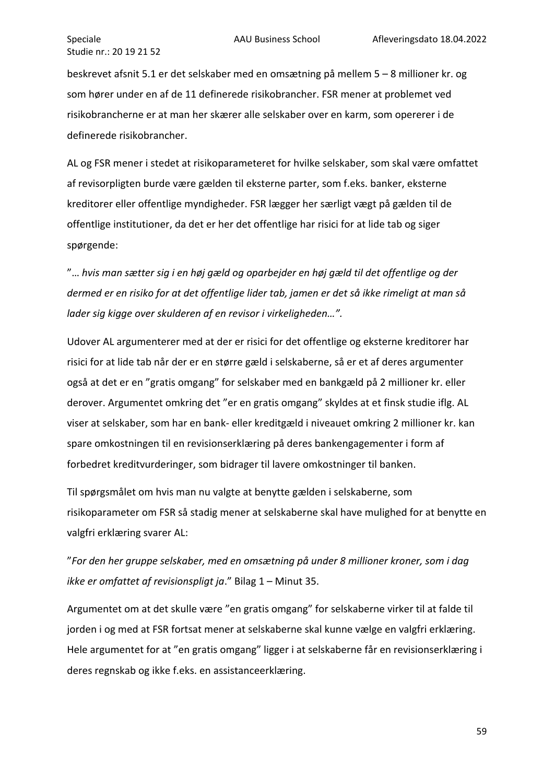beskrevet afsnit 5.1 er det selskaber med en omsætning på mellem 5 – 8 millioner kr. og som hører under en af de 11 definerede risikobrancher. FSR mener at problemet ved risikobrancherne er at man her skærer alle selskaber over en karm, som opererer i de definerede risikobrancher.

AL og FSR mener i stedet at risikoparameteret for hvilke selskaber, som skal være omfattet af revisorpligten burde være gælden til eksterne parter, som f.eks. banker, eksterne kreditorer eller offentlige myndigheder. FSR lægger her særligt vægt på gælden til de offentlige institutioner, da det er her det offentlige har risici for at lide tab og siger spørgende:

"… *hvis man sætter sig i en høj gæld og oparbejder en høj gæld til det offentlige og der dermed er en risiko for at det offentlige lider tab, jamen er det så ikke rimeligt at man så lader sig kigge over skulderen af en revisor i virkeligheden…".*

Udover AL argumenterer med at der er risici for det offentlige og eksterne kreditorer har risici for at lide tab når der er en større gæld i selskaberne, så er et af deres argumenter også at det er en "gratis omgang" for selskaber med en bankgæld på 2 millioner kr. eller derover. Argumentet omkring det "er en gratis omgang" skyldes at et finsk studie iflg. AL viser at selskaber, som har en bank- eller kreditgæld i niveauet omkring 2 millioner kr. kan spare omkostningen til en revisionserklæring på deres bankengagementer i form af forbedret kreditvurderinger, som bidrager til lavere omkostninger til banken.

Til spørgsmålet om hvis man nu valgte at benytte gælden i selskaberne, som risikoparameter om FSR så stadig mener at selskaberne skal have mulighed for at benytte en valgfri erklæring svarer AL:

"*For den her gruppe selskaber, med en omsætning på under 8 millioner kroner, som i dag ikke er omfattet af revisionspligt ja*." Bilag 1 – Minut 35.

Argumentet om at det skulle være "en gratis omgang" for selskaberne virker til at falde til jorden i og med at FSR fortsat mener at selskaberne skal kunne vælge en valgfri erklæring. Hele argumentet for at "en gratis omgang" ligger i at selskaberne får en revisionserklæring i deres regnskab og ikke f.eks. en assistanceerklæring.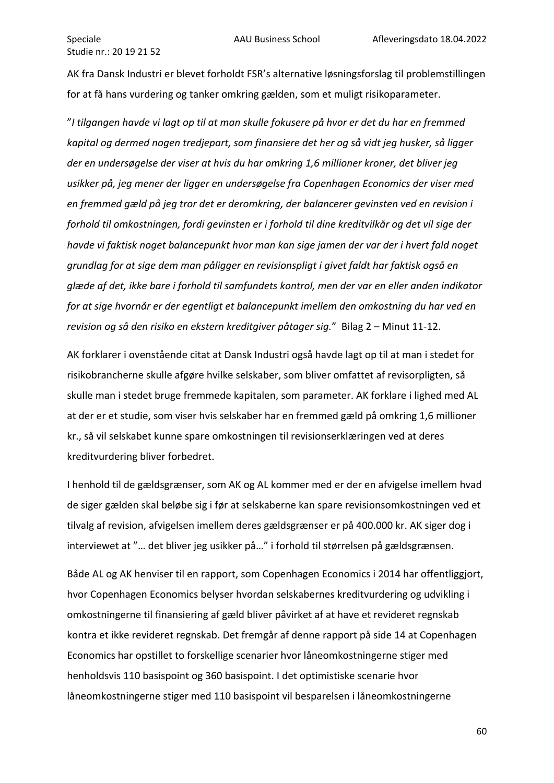AK fra Dansk Industri er blevet forholdt FSR's alternative løsningsforslag til problemstillingen for at få hans vurdering og tanker omkring gælden, som et muligt risikoparameter.

"*I tilgangen havde vi lagt op til at man skulle fokusere på hvor er det du har en fremmed kapital og dermed nogen tredjepart, som finansiere det her og så vidt jeg husker, så ligger der en undersøgelse der viser at hvis du har omkring 1,6 millioner kroner, det bliver jeg usikker på, jeg mener der ligger en undersøgelse fra Copenhagen Economics der viser med en fremmed gæld på jeg tror det er deromkring, der balancerer gevinsten ved en revision i forhold til omkostningen, fordi gevinsten er i forhold til dine kreditvilkår og det vil sige der havde vi faktisk noget balancepunkt hvor man kan sige jamen der var der i hvert fald noget grundlag for at sige dem man påligger en revisionspligt i givet faldt har faktisk også en glæde af det, ikke bare i forhold til samfundets kontrol, men der var en eller anden indikator for at sige hvornår er der egentligt et balancepunkt imellem den omkostning du har ved en revision og så den risiko en ekstern kreditgiver påtager sig.*" Bilag 2 – Minut 11-12.

AK forklarer i ovenstående citat at Dansk Industri også havde lagt op til at man i stedet for risikobrancherne skulle afgøre hvilke selskaber, som bliver omfattet af revisorpligten, så skulle man i stedet bruge fremmede kapitalen, som parameter. AK forklare i lighed med AL at der er et studie, som viser hvis selskaber har en fremmed gæld på omkring 1,6 millioner kr., så vil selskabet kunne spare omkostningen til revisionserklæringen ved at deres kreditvurdering bliver forbedret.

I henhold til de gældsgrænser, som AK og AL kommer med er der en afvigelse imellem hvad de siger gælden skal beløbe sig i før at selskaberne kan spare revisionsomkostningen ved et tilvalg af revision, afvigelsen imellem deres gældsgrænser er på 400.000 kr. AK siger dog i interviewet at "… det bliver jeg usikker på…" i forhold til størrelsen på gældsgrænsen.

Både AL og AK henviser til en rapport, som Copenhagen Economics i 2014 har offentliggjort, hvor Copenhagen Economics belyser hvordan selskabernes kreditvurdering og udvikling i omkostningerne til finansiering af gæld bliver påvirket af at have et revideret regnskab kontra et ikke revideret regnskab. Det fremgår af denne rapport på side 14 at Copenhagen Economics har opstillet to forskellige scenarier hvor låneomkostningerne stiger med henholdsvis 110 basispoint og 360 basispoint. I det optimistiske scenarie hvor låneomkostningerne stiger med 110 basispoint vil besparelsen i låneomkostningerne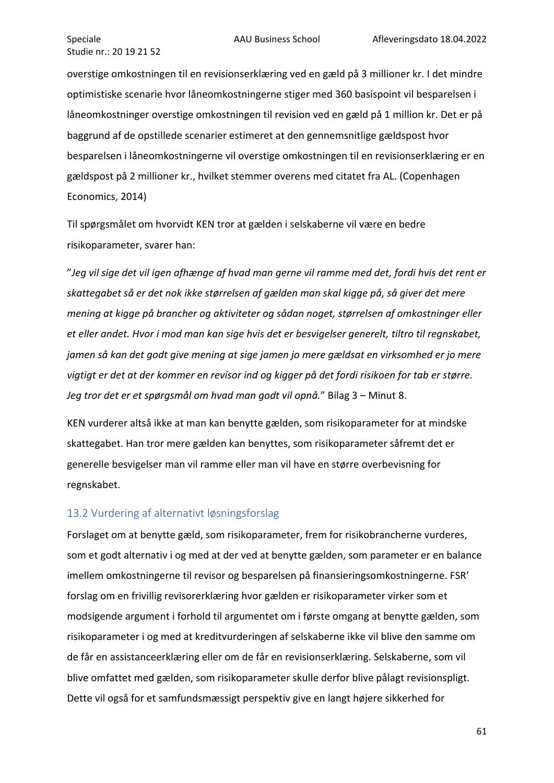overstige omkostningen til en revisionserklæring ved en gæld på 3 millioner kr. I det mindre optimistiske scenarie hvor låneomkostningerne stiger med 360 basispoint vil besparelsen i låneomkostninger overstige omkostningen til revision ved en gæld på 1 million kr. Det er på baggrund af de opstillede scenarier estimeret at den gennemsnitlige gældspost hvor besparelsen i låneomkostningerne vil overstige omkostningen til en revisionserklæring er en gældspost på 2 millioner kr., hvilket stemmer overens med citatet fra AL. (Copenhagen Economics, 2014)

Til spørgsmålet om hvorvidt KEN tror at gælden i selskaberne vil være en bedre risikoparameter, svarer han:

"*Jeg vil sige det vil igen afhænge af hvad man gerne vil ramme med det, fordi hvis det rent er skattegabet så er det nok ikke størrelsen af gælden man skal kigge på, så giver det mere mening at kigge på brancher og aktiviteter og sådan noget, størrelsen af omkostninger eller et eller andet. Hvor i mod man kan sige hvis det er besvigelser generelt, tiltro til regnskabet, jamen så kan det godt give mening at sige jamen jo mere gældsat en virksomhed er jo mere vigtigt er det at der kommer en revisor ind og kigger på det fordi risikoen for tab er større. Jeg tror det er et spørgsmål om hvad man godt vil opnå.*" Bilag 3 – Minut 8.

KEN vurderer altså ikke at man kan benytte gælden, som risikoparameter for at mindske skattegabet. Han tror mere gælden kan benyttes, som risikoparameter såfremt det er generelle besvigelser man vil ramme eller man vil have en større overbevisning for regnskabet.

#### <span id="page-61-0"></span>13.2 Vurdering af alternativt løsningsforslag

Forslaget om at benytte gæld, som risikoparameter, frem for risikobrancherne vurderes, som et godt alternativ i og med at der ved at benytte gælden, som parameter er en balance imellem omkostningerne til revisor og besparelsen på finansieringsomkostningerne. FSR' forslag om en frivillig revisorerklæring hvor gælden er risikoparameter virker som et modsigende argument i forhold til argumentet om i første omgang at benytte gælden, som risikoparameter i og med at kreditvurderingen af selskaberne ikke vil blive den samme om de får en assistanceerklæring eller om de får en revisionserklæring. Selskaberne, som vil blive omfattet med gælden, som risikoparameter skulle derfor blive pålagt revisionspligt. Dette vil også for et samfundsmæssigt perspektiv give en langt højere sikkerhed for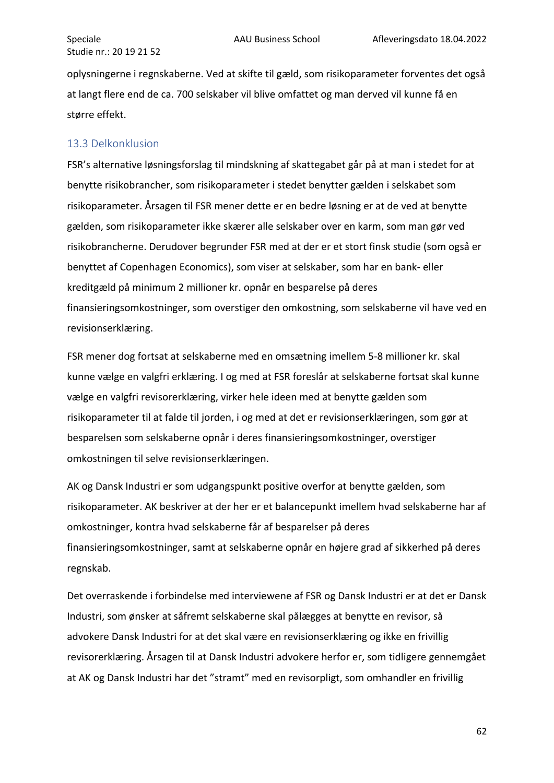oplysningerne i regnskaberne. Ved at skifte til gæld, som risikoparameter forventes det også at langt flere end de ca. 700 selskaber vil blive omfattet og man derved vil kunne få en større effekt.

## <span id="page-62-0"></span>13.3 Delkonklusion

FSR's alternative løsningsforslag til mindskning af skattegabet går på at man i stedet for at benytte risikobrancher, som risikoparameter i stedet benytter gælden i selskabet som risikoparameter. Årsagen til FSR mener dette er en bedre løsning er at de ved at benytte gælden, som risikoparameter ikke skærer alle selskaber over en karm, som man gør ved risikobrancherne. Derudover begrunder FSR med at der er et stort finsk studie (som også er benyttet af Copenhagen Economics), som viser at selskaber, som har en bank- eller kreditgæld på minimum 2 millioner kr. opnår en besparelse på deres finansieringsomkostninger, som overstiger den omkostning, som selskaberne vil have ved en revisionserklæring.

FSR mener dog fortsat at selskaberne med en omsætning imellem 5-8 millioner kr. skal kunne vælge en valgfri erklæring. I og med at FSR foreslår at selskaberne fortsat skal kunne vælge en valgfri revisorerklæring, virker hele ideen med at benytte gælden som risikoparameter til at falde til jorden, i og med at det er revisionserklæringen, som gør at besparelsen som selskaberne opnår i deres finansieringsomkostninger, overstiger omkostningen til selve revisionserklæringen.

AK og Dansk Industri er som udgangspunkt positive overfor at benytte gælden, som risikoparameter. AK beskriver at der her er et balancepunkt imellem hvad selskaberne har af omkostninger, kontra hvad selskaberne får af besparelser på deres finansieringsomkostninger, samt at selskaberne opnår en højere grad af sikkerhed på deres regnskab.

Det overraskende i forbindelse med interviewene af FSR og Dansk Industri er at det er Dansk Industri, som ønsker at såfremt selskaberne skal pålægges at benytte en revisor, så advokere Dansk Industri for at det skal være en revisionserklæring og ikke en frivillig revisorerklæring. Årsagen til at Dansk Industri advokere herfor er, som tidligere gennemgået at AK og Dansk Industri har det "stramt" med en revisorpligt, som omhandler en frivillig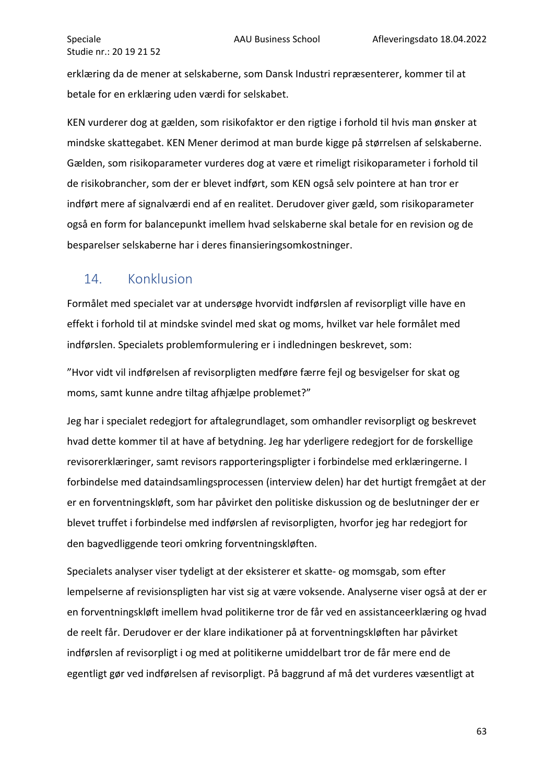erklæring da de mener at selskaberne, som Dansk Industri repræsenterer, kommer til at betale for en erklæring uden værdi for selskabet.

KEN vurderer dog at gælden, som risikofaktor er den rigtige i forhold til hvis man ønsker at mindske skattegabet. KEN Mener derimod at man burde kigge på størrelsen af selskaberne. Gælden, som risikoparameter vurderes dog at være et rimeligt risikoparameter i forhold til de risikobrancher, som der er blevet indført, som KEN også selv pointere at han tror er indført mere af signalværdi end af en realitet. Derudover giver gæld, som risikoparameter også en form for balancepunkt imellem hvad selskaberne skal betale for en revision og de besparelser selskaberne har i deres finansieringsomkostninger.

# <span id="page-63-0"></span>14. Konklusion

Formålet med specialet var at undersøge hvorvidt indførslen af revisorpligt ville have en effekt i forhold til at mindske svindel med skat og moms, hvilket var hele formålet med indførslen. Specialets problemformulering er i indledningen beskrevet, som:

"Hvor vidt vil indførelsen af revisorpligten medføre færre fejl og besvigelser for skat og moms, samt kunne andre tiltag afhjælpe problemet?"

Jeg har i specialet redegjort for aftalegrundlaget, som omhandler revisorpligt og beskrevet hvad dette kommer til at have af betydning. Jeg har yderligere redegjort for de forskellige revisorerklæringer, samt revisors rapporteringspligter i forbindelse med erklæringerne. I forbindelse med dataindsamlingsprocessen (interview delen) har det hurtigt fremgået at der er en forventningskløft, som har påvirket den politiske diskussion og de beslutninger der er blevet truffet i forbindelse med indførslen af revisorpligten, hvorfor jeg har redegjort for den bagvedliggende teori omkring forventningskløften.

Specialets analyser viser tydeligt at der eksisterer et skatte- og momsgab, som efter lempelserne af revisionspligten har vist sig at være voksende. Analyserne viser også at der er en forventningskløft imellem hvad politikerne tror de får ved en assistanceerklæring og hvad de reelt får. Derudover er der klare indikationer på at forventningskløften har påvirket indførslen af revisorpligt i og med at politikerne umiddelbart tror de får mere end de egentligt gør ved indførelsen af revisorpligt. På baggrund af må det vurderes væsentligt at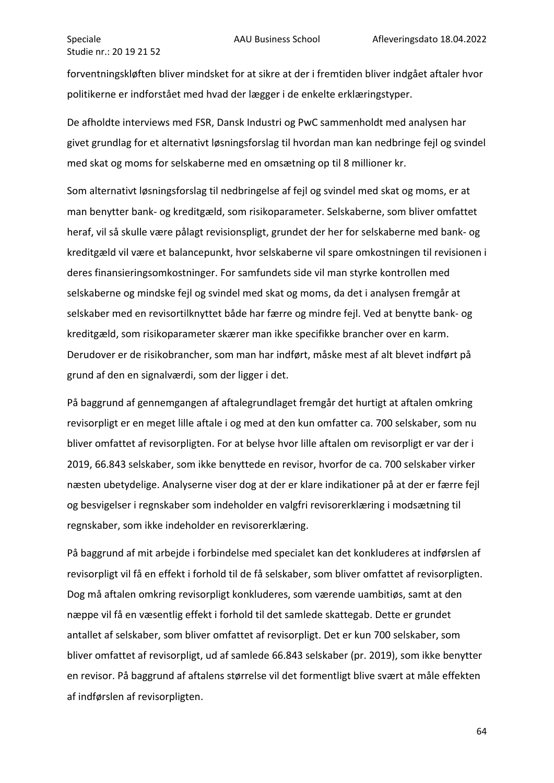forventningskløften bliver mindsket for at sikre at der i fremtiden bliver indgået aftaler hvor politikerne er indforstået med hvad der lægger i de enkelte erklæringstyper.

De afholdte interviews med FSR, Dansk Industri og PwC sammenholdt med analysen har givet grundlag for et alternativt løsningsforslag til hvordan man kan nedbringe fejl og svindel med skat og moms for selskaberne med en omsætning op til 8 millioner kr.

Som alternativt løsningsforslag til nedbringelse af fejl og svindel med skat og moms, er at man benytter bank- og kreditgæld, som risikoparameter. Selskaberne, som bliver omfattet heraf, vil så skulle være pålagt revisionspligt, grundet der her for selskaberne med bank- og kreditgæld vil være et balancepunkt, hvor selskaberne vil spare omkostningen til revisionen i deres finansieringsomkostninger. For samfundets side vil man styrke kontrollen med selskaberne og mindske fejl og svindel med skat og moms, da det i analysen fremgår at selskaber med en revisortilknyttet både har færre og mindre fejl. Ved at benytte bank- og kreditgæld, som risikoparameter skærer man ikke specifikke brancher over en karm. Derudover er de risikobrancher, som man har indført, måske mest af alt blevet indført på grund af den en signalværdi, som der ligger i det.

På baggrund af gennemgangen af aftalegrundlaget fremgår det hurtigt at aftalen omkring revisorpligt er en meget lille aftale i og med at den kun omfatter ca. 700 selskaber, som nu bliver omfattet af revisorpligten. For at belyse hvor lille aftalen om revisorpligt er var der i 2019, 66.843 selskaber, som ikke benyttede en revisor, hvorfor de ca. 700 selskaber virker næsten ubetydelige. Analyserne viser dog at der er klare indikationer på at der er færre fejl og besvigelser i regnskaber som indeholder en valgfri revisorerklæring i modsætning til regnskaber, som ikke indeholder en revisorerklæring.

På baggrund af mit arbejde i forbindelse med specialet kan det konkluderes at indførslen af revisorpligt vil få en effekt i forhold til de få selskaber, som bliver omfattet af revisorpligten. Dog må aftalen omkring revisorpligt konkluderes, som værende uambitiøs, samt at den næppe vil få en væsentlig effekt i forhold til det samlede skattegab. Dette er grundet antallet af selskaber, som bliver omfattet af revisorpligt. Det er kun 700 selskaber, som bliver omfattet af revisorpligt, ud af samlede 66.843 selskaber (pr. 2019), som ikke benytter en revisor. På baggrund af aftalens størrelse vil det formentligt blive svært at måle effekten af indførslen af revisorpligten.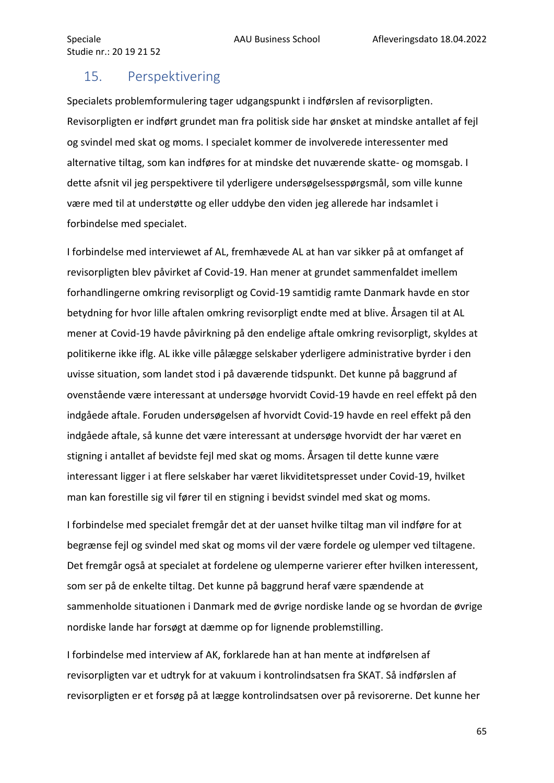# <span id="page-65-0"></span>15. Perspektivering

Specialets problemformulering tager udgangspunkt i indførslen af revisorpligten. Revisorpligten er indført grundet man fra politisk side har ønsket at mindske antallet af fejl og svindel med skat og moms. I specialet kommer de involverede interessenter med alternative tiltag, som kan indføres for at mindske det nuværende skatte- og momsgab. I dette afsnit vil jeg perspektivere til yderligere undersøgelsesspørgsmål, som ville kunne være med til at understøtte og eller uddybe den viden jeg allerede har indsamlet i forbindelse med specialet.

I forbindelse med interviewet af AL, fremhævede AL at han var sikker på at omfanget af revisorpligten blev påvirket af Covid-19. Han mener at grundet sammenfaldet imellem forhandlingerne omkring revisorpligt og Covid-19 samtidig ramte Danmark havde en stor betydning for hvor lille aftalen omkring revisorpligt endte med at blive. Årsagen til at AL mener at Covid-19 havde påvirkning på den endelige aftale omkring revisorpligt, skyldes at politikerne ikke iflg. AL ikke ville pålægge selskaber yderligere administrative byrder i den uvisse situation, som landet stod i på daværende tidspunkt. Det kunne på baggrund af ovenstående være interessant at undersøge hvorvidt Covid-19 havde en reel effekt på den indgåede aftale. Foruden undersøgelsen af hvorvidt Covid-19 havde en reel effekt på den indgåede aftale, så kunne det være interessant at undersøge hvorvidt der har været en stigning i antallet af bevidste fejl med skat og moms. Årsagen til dette kunne være interessant ligger i at flere selskaber har været likviditetspresset under Covid-19, hvilket man kan forestille sig vil fører til en stigning i bevidst svindel med skat og moms.

I forbindelse med specialet fremgår det at der uanset hvilke tiltag man vil indføre for at begrænse fejl og svindel med skat og moms vil der være fordele og ulemper ved tiltagene. Det fremgår også at specialet at fordelene og ulemperne varierer efter hvilken interessent, som ser på de enkelte tiltag. Det kunne på baggrund heraf være spændende at sammenholde situationen i Danmark med de øvrige nordiske lande og se hvordan de øvrige nordiske lande har forsøgt at dæmme op for lignende problemstilling.

I forbindelse med interview af AK, forklarede han at han mente at indførelsen af revisorpligten var et udtryk for at vakuum i kontrolindsatsen fra SKAT. Så indførslen af revisorpligten er et forsøg på at lægge kontrolindsatsen over på revisorerne. Det kunne her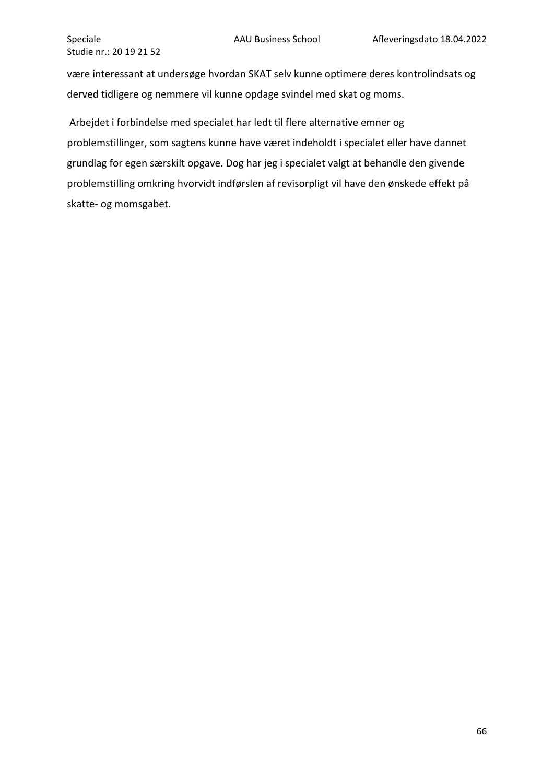være interessant at undersøge hvordan SKAT selv kunne optimere deres kontrolindsats og derved tidligere og nemmere vil kunne opdage svindel med skat og moms.

Arbejdet i forbindelse med specialet har ledt til flere alternative emner og problemstillinger, som sagtens kunne have været indeholdt i specialet eller have dannet grundlag for egen særskilt opgave. Dog har jeg i specialet valgt at behandle den givende problemstilling omkring hvorvidt indførslen af revisorpligt vil have den ønskede effekt på skatte- og momsgabet.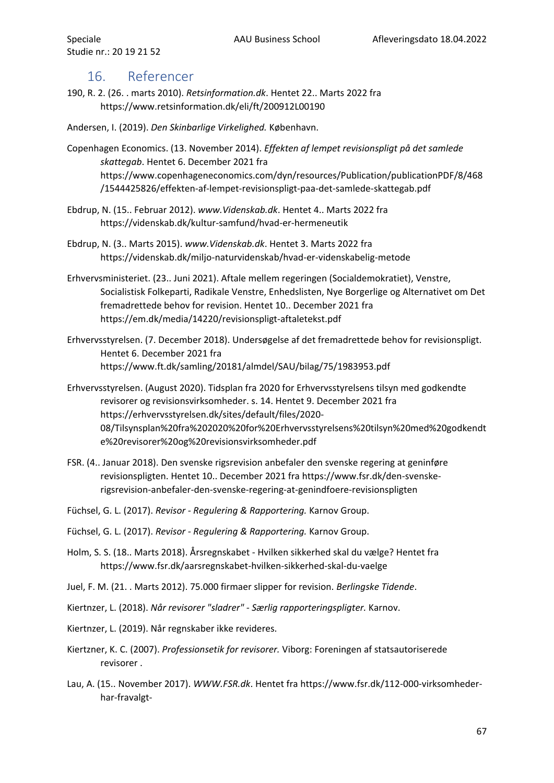## <span id="page-67-0"></span>16. Referencer

190, R. 2. (26. . marts 2010). *Retsinformation.dk*. Hentet 22.. Marts 2022 fra https://www.retsinformation.dk/eli/ft/200912L00190

Andersen, I. (2019). *Den Skinbarlige Virkelighed.* København.

Copenhagen Economics. (13. November 2014). *Effekten af lempet revisionspligt på det samlede skattegab*. Hentet 6. December 2021 fra https://www.copenhageneconomics.com/dyn/resources/Publication/publicationPDF/8/468 /1544425826/effekten-af-lempet-revisionspligt-paa-det-samlede-skattegab.pdf

- Ebdrup, N. (15.. Februar 2012). *www.Videnskab.dk*. Hentet 4.. Marts 2022 fra https://videnskab.dk/kultur-samfund/hvad-er-hermeneutik
- Ebdrup, N. (3.. Marts 2015). *www.Videnskab.dk*. Hentet 3. Marts 2022 fra https://videnskab.dk/miljo-naturvidenskab/hvad-er-videnskabelig-metode
- Erhvervsministeriet. (23.. Juni 2021). Aftale mellem regeringen (Socialdemokratiet), Venstre, Socialistisk Folkeparti, Radikale Venstre, Enhedslisten, Nye Borgerlige og Alternativet om Det fremadrettede behov for revision. Hentet 10.. December 2021 fra https://em.dk/media/14220/revisionspligt-aftaletekst.pdf
- Erhvervsstyrelsen. (7. December 2018). Undersøgelse af det fremadrettede behov for revisionspligt. Hentet 6. December 2021 fra https://www.ft.dk/samling/20181/almdel/SAU/bilag/75/1983953.pdf
- Erhvervsstyrelsen. (August 2020). Tidsplan fra 2020 for Erhvervsstyrelsens tilsyn med godkendte revisorer og revisionsvirksomheder. s. 14. Hentet 9. December 2021 fra https://erhvervsstyrelsen.dk/sites/default/files/2020- 08/Tilsynsplan%20fra%202020%20for%20Erhvervsstyrelsens%20tilsyn%20med%20godkendt e%20revisorer%20og%20revisionsvirksomheder.pdf
- FSR. (4.. Januar 2018). Den svenske rigsrevision anbefaler den svenske regering at geninføre revisionspligten. Hentet 10.. December 2021 fra https://www.fsr.dk/den-svenskerigsrevision-anbefaler-den-svenske-regering-at-genindfoere-revisionspligten
- Füchsel, G. L. (2017). *Revisor - Regulering & Rapportering.* Karnov Group.
- Füchsel, G. L. (2017). *Revisor - Regulering & Rapportering.* Karnov Group.
- Holm, S. S. (18.. Marts 2018). Årsregnskabet Hvilken sikkerhed skal du vælge? Hentet fra https://www.fsr.dk/aarsregnskabet-hvilken-sikkerhed-skal-du-vaelge
- Juel, F. M. (21. . Marts 2012). 75.000 firmaer slipper for revision. *Berlingske Tidende*.
- Kiertnzer, L. (2018). *Når revisorer "sladrer" - Særlig rapporteringspligter.* Karnov.
- Kiertnzer, L. (2019). Når regnskaber ikke revideres.
- Kiertzner, K. C. (2007). *Professionsetik for revisorer.* Viborg: Foreningen af statsautoriserede revisorer .
- Lau, A. (15.. November 2017). *WWW.FSR.dk*. Hentet fra https://www.fsr.dk/112-000-virksomhederhar-fravalgt-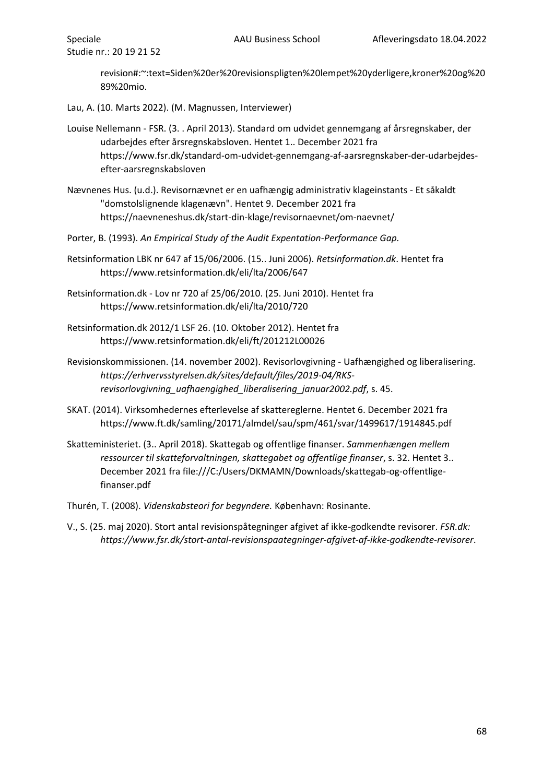revision#:~:text=Siden%20er%20revisionspligten%20lempet%20yderligere,kroner%20og%20 89%20mio.

Lau, A. (10. Marts 2022). (M. Magnussen, Interviewer)

- Louise Nellemann FSR. (3. . April 2013). Standard om udvidet gennemgang af årsregnskaber, der udarbejdes efter årsregnskabsloven. Hentet 1.. December 2021 fra https://www.fsr.dk/standard-om-udvidet-gennemgang-af-aarsregnskaber-der-udarbejdesefter-aarsregnskabsloven
- Nævnenes Hus. (u.d.). Revisornævnet er en uafhængig administrativ klageinstants Et såkaldt "domstolslignende klagenævn". Hentet 9. December 2021 fra https://naevneneshus.dk/start-din-klage/revisornaevnet/om-naevnet/
- Porter, B. (1993). *An Empirical Study of the Audit Expentation-Performance Gap.*
- Retsinformation LBK nr 647 af 15/06/2006. (15.. Juni 2006). *Retsinformation.dk*. Hentet fra https://www.retsinformation.dk/eli/lta/2006/647
- Retsinformation.dk Lov nr 720 af 25/06/2010. (25. Juni 2010). Hentet fra https://www.retsinformation.dk/eli/lta/2010/720
- Retsinformation.dk 2012/1 LSF 26. (10. Oktober 2012). Hentet fra https://www.retsinformation.dk/eli/ft/201212L00026
- Revisionskommissionen. (14. november 2002). Revisorlovgivning Uafhængighed og liberalisering. *https://erhvervsstyrelsen.dk/sites/default/files/2019-04/RKSrevisorlovgivning\_uafhaengighed\_liberalisering\_januar2002.pdf*, s. 45.
- SKAT. (2014). Virksomhedernes efterlevelse af skattereglerne. Hentet 6. December 2021 fra https://www.ft.dk/samling/20171/almdel/sau/spm/461/svar/1499617/1914845.pdf
- Skatteministeriet. (3.. April 2018). Skattegab og offentlige finanser. *Sammenhængen mellem ressourcer til skatteforvaltningen, skattegabet og offentlige finanser*, s. 32. Hentet 3.. December 2021 fra file:///C:/Users/DKMAMN/Downloads/skattegab-og-offentligefinanser.pdf
- Thurén, T. (2008). *Videnskabsteori for begyndere.* København: Rosinante.
- V., S. (25. maj 2020). Stort antal revisionspåtegninger afgivet af ikke-godkendte revisorer. *FSR.dk: https://www.fsr.dk/stort-antal-revisionspaategninger-afgivet-af-ikke-godkendte-revisorer*.